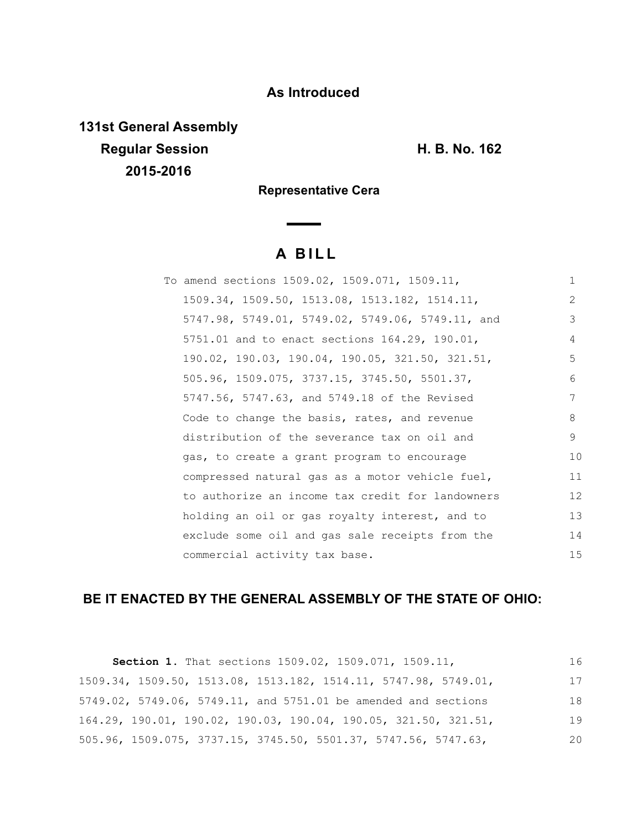# **As Introduced**

**131st General Assembly Regular Session H. B. No. 162 2015-2016**

**Representative Cera** 

# **A B I L L**

| To amend sections 1509.02, 1509.071, 1509.11,    | $\mathbf{1}$ |
|--------------------------------------------------|--------------|
| 1509.34, 1509.50, 1513.08, 1513.182, 1514.11,    | 2            |
| 5747.98, 5749.01, 5749.02, 5749.06, 5749.11, and | 3            |
| 5751.01 and to enact sections 164.29, 190.01,    | 4            |
| 190.02, 190.03, 190.04, 190.05, 321.50, 321.51,  | 5            |
| 505.96, 1509.075, 3737.15, 3745.50, 5501.37,     | 6            |
| 5747.56, 5747.63, and 5749.18 of the Revised     | 7            |
| Code to change the basis, rates, and revenue     | 8            |
| distribution of the severance tax on oil and     | 9            |
| gas, to create a grant program to encourage      | 10           |
| compressed natural gas as a motor vehicle fuel,  | 11           |
| to authorize an income tax credit for landowners | 12           |
| holding an oil or gas royalty interest, and to   | 13           |
| exclude some oil and gas sale receipts from the  | 14           |
| commercial activity tax base.                    | 15           |

# **BE IT ENACTED BY THE GENERAL ASSEMBLY OF THE STATE OF OHIO:**

| Section 1. That sections 1509.02, 1509.071, 1509.11,                                    | 16 |
|-----------------------------------------------------------------------------------------|----|
| 1509.34, 1509.50, 1513.08, 1513.182, 1514.11, 5747.98, 5749.01,                         | 17 |
| 5749.02, 5749.06, 5749.11, and 5751.01 be amended and sections                          | 18 |
| $164.29$ , $190.01$ , $190.02$ , $190.03$ , $190.04$ , $190.05$ , $321.50$ , $321.51$ , | 19 |
| 505.96, 1509.075, 3737.15, 3745.50, 5501.37, 5747.56, 5747.63,                          | 20 |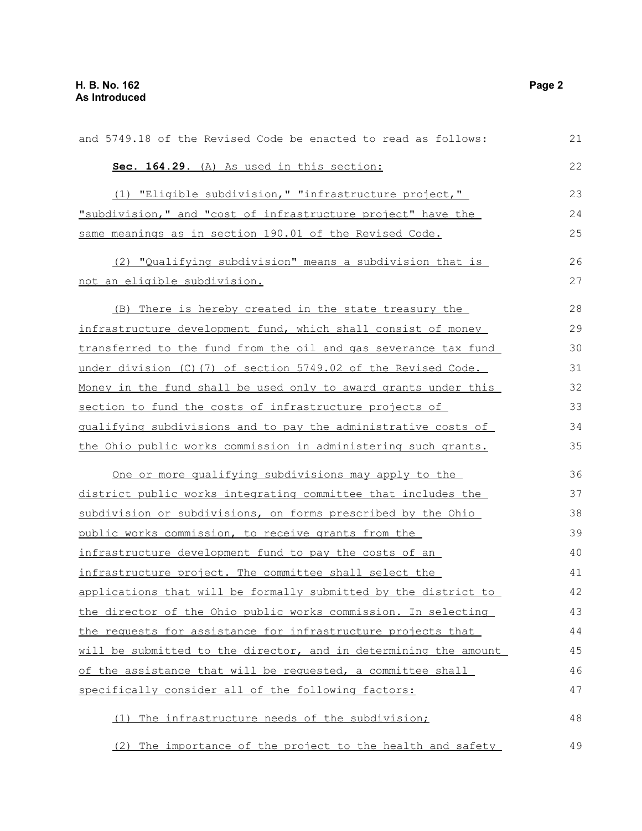| and 5749.18 of the Revised Code be enacted to read as follows:        | 21 |
|-----------------------------------------------------------------------|----|
| Sec. 164.29. (A) As used in this section:                             | 22 |
| (1) "Eligible subdivision," "infrastructure project,"                 | 23 |
| "subdivision," and "cost of infrastructure project" have the          | 24 |
| same meanings as in section 190.01 of the Revised Code.               | 25 |
| (2) "Qualifying subdivision" means a subdivision that is              | 26 |
| not an eligible subdivision.                                          | 27 |
| There is hereby created in the state treasury the<br>(B)              | 28 |
| infrastructure development fund, which shall consist of money         | 29 |
| transferred to the fund from the oil and gas severance tax fund       | 30 |
| under division (C) (7) of section 5749.02 of the Revised Code.        | 31 |
| Money in the fund shall be used only to award grants under this       | 32 |
| section to fund the costs of infrastructure projects of               | 33 |
| qualifying subdivisions and to pay the administrative costs of        | 34 |
| <u>the Ohio public works commission in administering such grants.</u> | 35 |
| One or more qualifying subdivisions may apply to the                  | 36 |
| district public works integrating committee that includes the         | 37 |
| subdivision or subdivisions, on forms prescribed by the Ohio          | 38 |
| public works commission, to receive grants from the                   | 39 |
| infrastructure development fund to pay the costs of an                | 40 |
| infrastructure project. The committee shall select the                | 41 |
| applications that will be formally submitted by the district to       | 42 |
| the director of the Ohio public works commission. In selecting        | 43 |
| the requests for assistance for infrastructure projects that          | 44 |
| will be submitted to the director, and in determining the amount      | 45 |
| of the assistance that will be requested, a committee shall           | 46 |
| specifically consider all of the following factors:                   | 47 |
| The infrastructure needs of the subdivision;<br>(1)                   | 48 |
| The importance of the project to the health and safety<br>(2)         | 49 |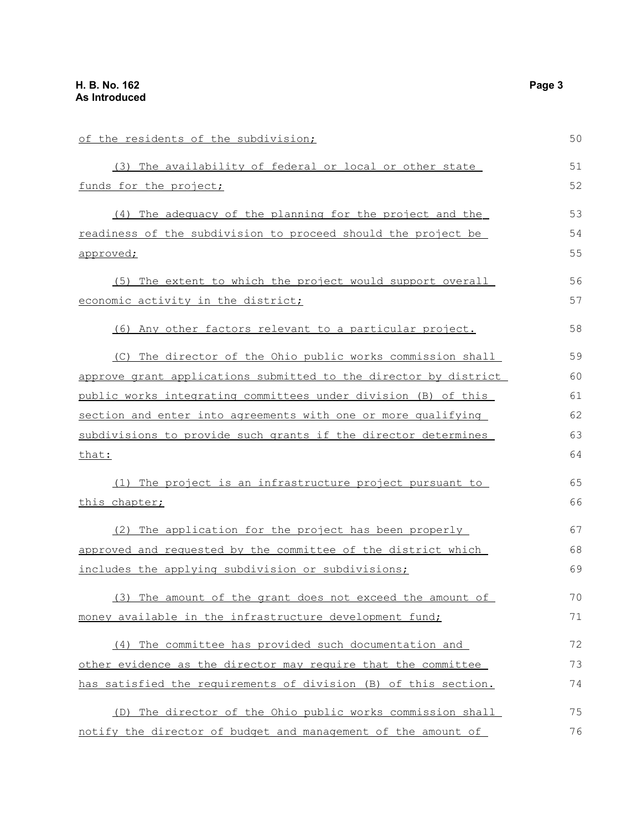| of the residents of the subdivision;                             | 50 |
|------------------------------------------------------------------|----|
| (3) The availability of federal or local or other state          | 51 |
| funds for the project;                                           | 52 |
| (4) The adequacy of the planning for the project and the         | 53 |
| readiness of the subdivision to proceed should the project be    | 54 |
| approved;                                                        | 55 |
| (5) The extent to which the project would support overall        | 56 |
| economic activity in the district;                               | 57 |
| (6) Any other factors relevant to a particular project.          | 58 |
| (C) The director of the Ohio public works commission shall       | 59 |
| approve grant applications submitted to the director by district | 60 |
| public works integrating committees under division (B) of this   | 61 |
| section and enter into agreements with one or more qualifying    | 62 |
| subdivisions to provide such grants if the director determines   | 63 |
| that:                                                            | 64 |
| (1) The project is an infrastructure project pursuant to         | 65 |
| this chapter;                                                    | 66 |
| (2) The application for the project has been properly            | 67 |
| approved and requested by the committee of the district which    | 68 |
| includes the applying subdivision or subdivisions;               | 69 |
| (3) The amount of the grant does not exceed the amount of        | 70 |
| money available in the infrastructure development fund;          | 71 |
| (4) The committee has provided such documentation and            | 72 |
| other evidence as the director may require that the committee    | 73 |
| has satisfied the requirements of division (B) of this section.  | 74 |
| (D) The director of the Ohio public works commission shall       | 75 |
| notify the director of budget and management of the amount of    | 76 |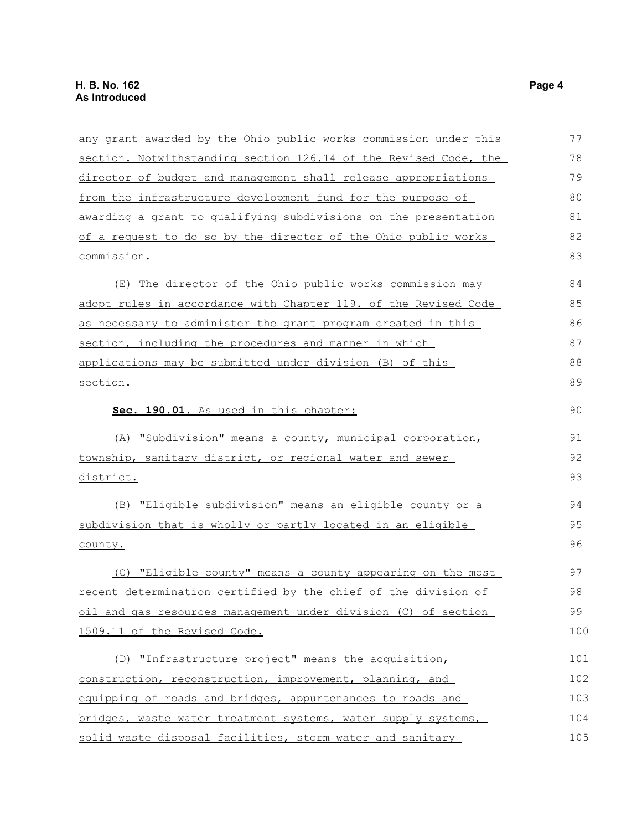| any grant awarded by the Ohio public works commission under this | 77  |
|------------------------------------------------------------------|-----|
| section. Notwithstanding section 126.14 of the Revised Code, the | 78  |
| director of budget and management shall release appropriations   | 79  |
| from the infrastructure development fund for the purpose of      | 80  |
| awarding a grant to qualifying subdivisions on the presentation  | 81  |
| of a request to do so by the director of the Ohio public works   | 82  |
| commission.                                                      | 83  |
| (E) The director of the Ohio public works commission may         | 84  |
| adopt rules in accordance with Chapter 119. of the Revised Code  | 85  |
| as necessary to administer the grant program created in this     | 86  |
| section, including the procedures and manner in which            | 87  |
| applications may be submitted under division (B) of this         | 88  |
| section.                                                         | 89  |
| Sec. 190.01. As used in this chapter:                            | 90  |
| (A) "Subdivision" means a county, municipal corporation,         | 91  |
| township, sanitary district, or regional water and sewer         | 92  |
| <u>district.</u>                                                 | 93  |
| (B) "Eligible subdivision" means an eligible county or a         | 94  |
| subdivision that is wholly or partly located in an eligible      | 95  |
| county.                                                          | 96  |
| (C) "Eligible county" means a county appearing on the most       | 97  |
| recent determination certified by the chief of the division of   | 98  |
| oil and gas resources management under division (C) of section   | 99  |
| 1509.11 of the Revised Code.                                     | 100 |
| (D) "Infrastructure project" means the acquisition,              | 101 |
| construction, reconstruction, improvement, planning, and         | 102 |
| equipping of roads and bridges, appurtenances to roads and       | 103 |
| bridges, waste water treatment systems, water supply systems,    | 104 |
| solid waste disposal facilities, storm water and sanitary        | 105 |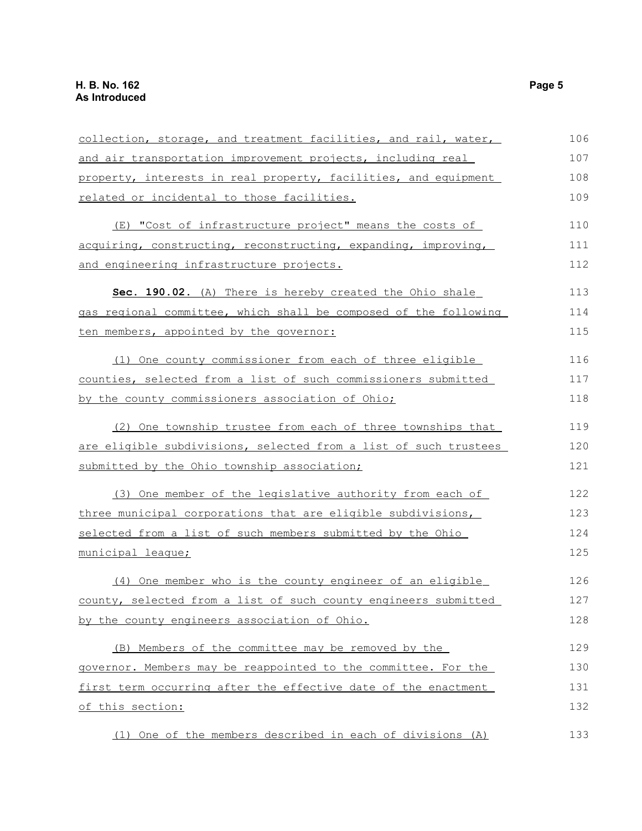| collection, storage, and treatment facilities, and rail, water,  | 106 |
|------------------------------------------------------------------|-----|
| and air transportation improvement projects, including real      | 107 |
| property, interests in real property, facilities, and equipment  | 108 |
| related or incidental to those facilities.                       | 109 |
| (E) "Cost of infrastructure project" means the costs of          | 110 |
| acquiring, constructing, reconstructing, expanding, improving,   | 111 |
| and engineering infrastructure projects.                         | 112 |
| Sec. 190.02. (A) There is hereby created the Ohio shale          | 113 |
| gas regional committee, which shall be composed of the following | 114 |
| ten members, appointed by the governor:                          | 115 |
| (1) One county commissioner from each of three eligible          | 116 |
| counties, selected from a list of such commissioners submitted   | 117 |
| by the county commissioners association of Ohio;                 | 118 |
| (2) One township trustee from each of three townships that       | 119 |
| are eligible subdivisions, selected from a list of such trustees | 120 |
| submitted by the Ohio township association;                      | 121 |
| (3) One member of the legislative authority from each of         | 122 |
| three municipal corporations that are eligible subdivisions,     | 123 |
| selected from a list of such members submitted by the Ohio       | 124 |
| municipal league;                                                | 125 |
| (4) One member who is the county engineer of an eligible         | 126 |
| county, selected from a list of such county engineers submitted  | 127 |
| by the county engineers association of Ohio.                     | 128 |
| (B) Members of the committee may be removed by the               | 129 |
| governor. Members may be reappointed to the committee. For the   | 130 |
| first term occurring after the effective date of the enactment   | 131 |
| of this section:                                                 | 132 |
| (1) One of the members described in each of divisions (A)        | 133 |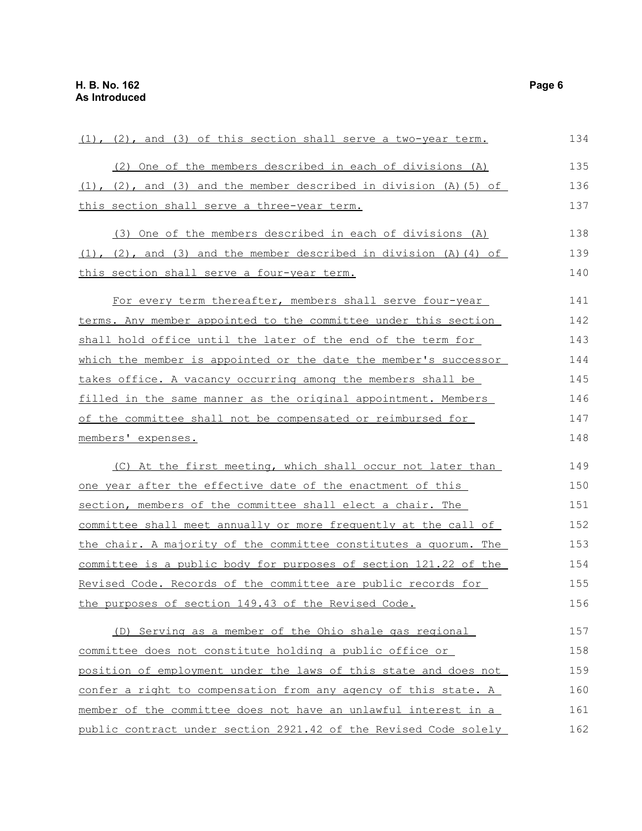| (1), (2), and (3) of this section shall serve a two-year term.                | 134 |
|-------------------------------------------------------------------------------|-----|
| (2) One of the members described in each of divisions (A)                     | 135 |
| $(1)$ , $(2)$ , and $(3)$ and the member described in division $(A)$ $(5)$ of | 136 |
| this section shall serve a three-year term.                                   | 137 |
| (3) One of the members described in each of divisions (A)                     | 138 |
| $(1)$ , $(2)$ , and $(3)$ and the member described in division $(A)$ $(4)$ of | 139 |
| this section shall serve a four-year term.                                    | 140 |
| For every term thereafter, members shall serve four-year                      | 141 |
| terms. Any member appointed to the committee under this section               | 142 |
| shall hold office until the later of the end of the term for                  | 143 |
| which the member is appointed or the date the member's successor              | 144 |
| takes office. A vacancy occurring among the members shall be                  | 145 |
| filled in the same manner as the original appointment. Members                | 146 |
| of the committee shall not be compensated or reimbursed for                   | 147 |
| members' expenses.                                                            | 148 |
| (C) At the first meeting, which shall occur not later than                    | 149 |
| <u>one year after the effective date of the enactment of this</u>             | 150 |
| section, members of the committee shall elect a chair. The                    | 151 |
| committee shall meet annually or more frequently at the call of               | 152 |
| the chair. A majority of the committee constitutes a quorum. The              | 153 |
| committee is a public body for purposes of section 121.22 of the              | 154 |
| Revised Code. Records of the committee are public records for                 | 155 |
| the purposes of section 149.43 of the Revised Code.                           | 156 |
| (D) Serving as a member of the Ohio shale gas regional                        | 157 |
| committee does not constitute holding a public office or                      | 158 |
| position of employment under the laws of this state and does not              | 159 |
| confer a right to compensation from any agency of this state. A               | 160 |
| member of the committee does not have an unlawful interest in a               | 161 |
| public contract under section 2921.42 of the Revised Code solely              | 162 |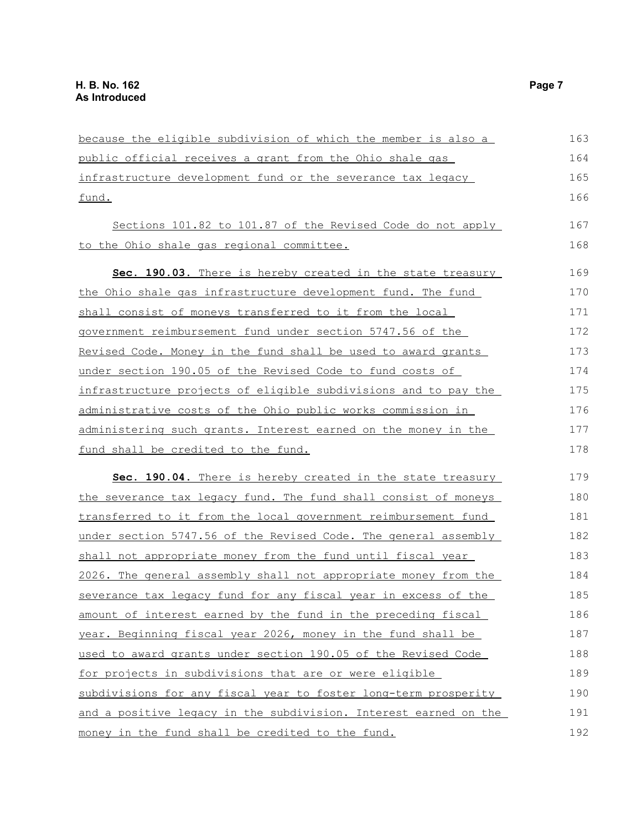| because the eligible subdivision of which the member is also a         | 163 |
|------------------------------------------------------------------------|-----|
| public official receives a grant from the Ohio shale gas               | 164 |
| infrastructure development fund or the severance tax legacy            | 165 |
| fund.                                                                  | 166 |
| Sections 101.82 to 101.87 of the Revised Code do not apply             | 167 |
| to the Ohio shale gas regional committee.                              | 168 |
| Sec. 190.03. There is hereby created in the state treasury             | 169 |
| the Ohio shale gas infrastructure development fund. The fund           | 170 |
| shall consist of moneys transferred to it from the local               | 171 |
| government reimbursement fund under section 5747.56 of the             | 172 |
| Revised Code. Money in the fund shall be used to award grants          | 173 |
| under section 190.05 of the Revised Code to fund costs of              | 174 |
| <u>infrastructure projects of eligible subdivisions and to pay the</u> | 175 |
| administrative costs of the Ohio public works commission in            | 176 |
| administering such grants. Interest earned on the money in the         | 177 |
| fund shall be credited to the fund.                                    | 178 |
| Sec. 190.04. There is hereby created in the state treasury             | 179 |
| the severance tax legacy fund. The fund shall consist of moneys        | 180 |
| transferred to it from the local government reimbursement fund         | 181 |
| under section 5747.56 of the Revised Code. The general assembly        | 182 |
| shall not appropriate money from the fund until fiscal year            | 183 |
| 2026. The general assembly shall not appropriate money from the        | 184 |
| severance tax legacy fund for any fiscal year in excess of the         | 185 |
| amount of interest earned by the fund in the preceding fiscal          | 186 |
| year. Beginning fiscal year 2026, money in the fund shall be           | 187 |
| used to award grants under section 190.05 of the Revised Code          | 188 |
| for projects in subdivisions that are or were eligible                 | 189 |
| subdivisions for any fiscal year to foster long-term prosperity        | 190 |
| and a positive legacy in the subdivision. Interest earned on the       | 191 |
| money in the fund shall be credited to the fund.                       | 192 |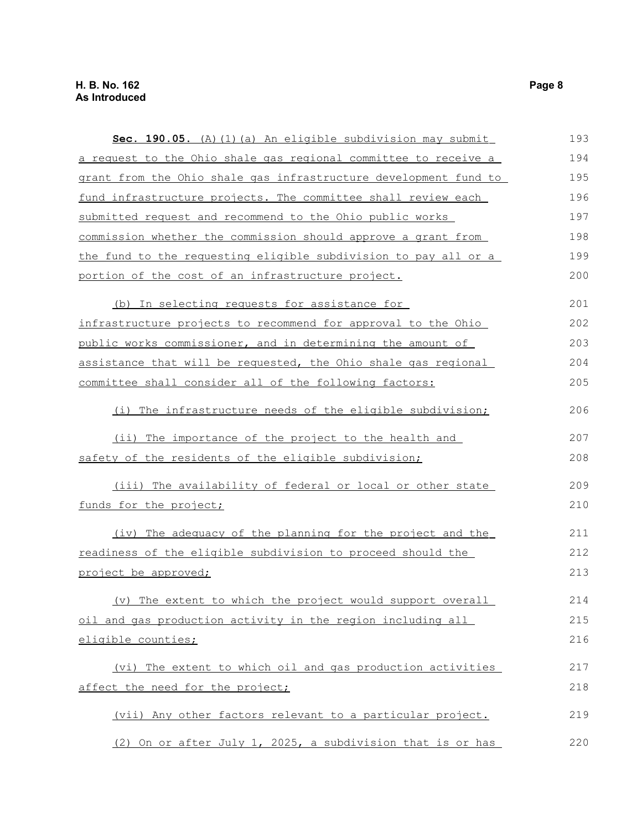| Sec. 190.05. (A) (1) (a) An eligible subdivision may submit      | 193 |
|------------------------------------------------------------------|-----|
| a request to the Ohio shale gas regional committee to receive a  | 194 |
| grant from the Ohio shale gas infrastructure development fund to | 195 |
| fund infrastructure projects. The committee shall review each    | 196 |
| submitted request and recommend to the Ohio public works         | 197 |
| commission whether the commission should approve a grant from    | 198 |
| the fund to the requesting eligible subdivision to pay all or a  | 199 |
| portion of the cost of an infrastructure project.                | 200 |
| (b) In selecting requests for assistance for                     | 201 |
| infrastructure projects to recommend for approval to the Ohio    | 202 |
| public works commissioner, and in determining the amount of      | 203 |
| assistance that will be requested, the Ohio shale gas regional   | 204 |
| committee shall consider all of the following factors:           | 205 |
| (i) The infrastructure needs of the eligible subdivision;        | 206 |
| (ii) The importance of the project to the health and             | 207 |
| safety of the residents of the eligible subdivision;             | 208 |
| (iii) The availability of federal or local or other state        | 209 |
| <u>funds for the project;</u>                                    | 210 |
| (iv) The adequacy of the planning for the project and the        | 211 |
| readiness of the eligible subdivision to proceed should the      | 212 |
| project be approved;                                             | 213 |
| (v) The extent to which the project would support overall        | 214 |
| oil and gas production activity in the region including all      | 215 |
| eligible counties;                                               | 216 |
| (vi) The extent to which oil and gas production activities       | 217 |
| affect the need for the project;                                 | 218 |
| (vii) Any other factors relevant to a particular project.        | 219 |
| (2) On or after July 1, 2025, a subdivision that is or has       | 220 |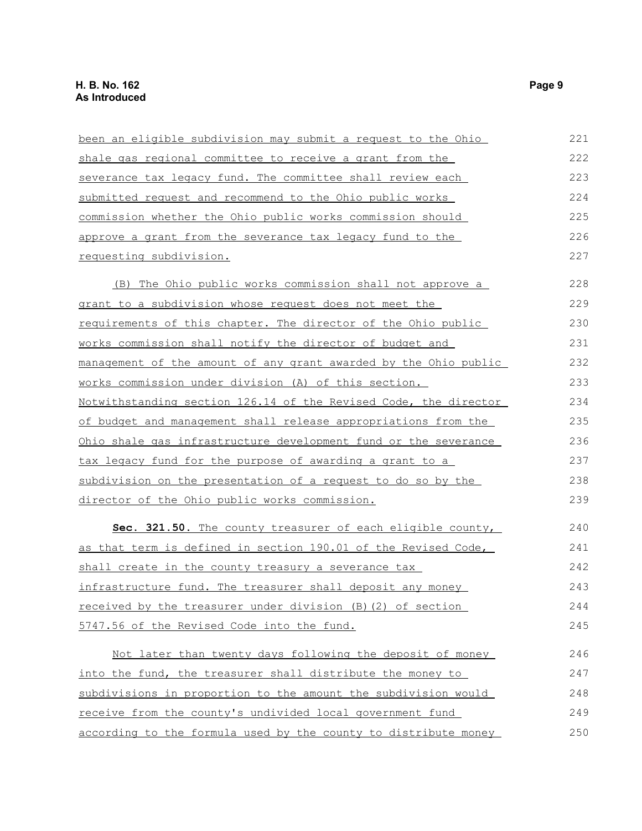| been an eligible subdivision may submit a request to the Ohio    | 221 |
|------------------------------------------------------------------|-----|
| shale gas regional committee to receive a grant from the         | 222 |
| severance tax legacy fund. The committee shall review each       | 223 |
| submitted request and recommend to the Ohio public works         | 224 |
| commission whether the Ohio public works commission should       | 225 |
| approve a grant from the severance tax legacy fund to the        | 226 |
| requesting subdivision.                                          | 227 |
| (B) The Ohio public works commission shall not approve a         | 228 |
| grant to a subdivision whose request does not meet the           | 229 |
| requirements of this chapter. The director of the Ohio public    | 230 |
| works commission shall notify the director of budget and         | 231 |
| management of the amount of any grant awarded by the Ohio public | 232 |
| works commission under division (A) of this section.             | 233 |
| Notwithstanding section 126.14 of the Revised Code, the director | 234 |
| of budget and management shall release appropriations from the   | 235 |
| Ohio shale gas infrastructure development fund or the severance  | 236 |
| tax legacy fund for the purpose of awarding a grant to a         | 237 |
| subdivision on the presentation of a request to do so by the     | 238 |
| director of the Ohio public works commission.                    | 239 |
| Sec. 321.50. The county treasurer of each eligible county,       | 240 |
| as that term is defined in section 190.01 of the Revised Code,   | 241 |
| shall create in the county treasury a severance tax              | 242 |
| infrastructure fund. The treasurer shall deposit any money       | 243 |
| received by the treasurer under division (B) (2) of section      | 244 |
| 5747.56 of the Revised Code into the fund.                       | 245 |
| Not later than twenty days following the deposit of money        | 246 |
| into the fund, the treasurer shall distribute the money to       | 247 |
| subdivisions in proportion to the amount the subdivision would   | 248 |
| receive from the county's undivided local government fund        | 249 |
| according to the formula used by the county to distribute money  | 250 |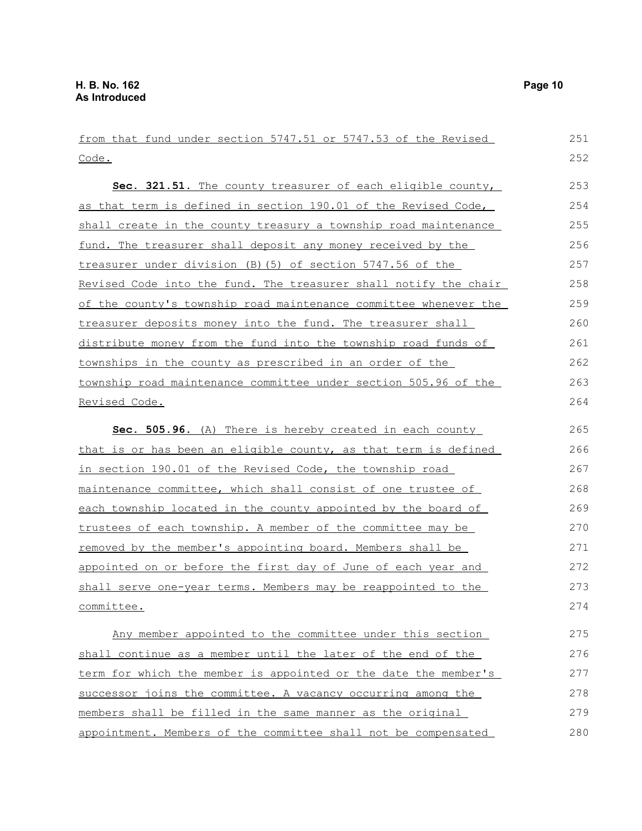from that fund under section 5747.51 or 5747.53 of the Revised Code. **Sec. 321.51.** The county treasurer of each eligible county, as that term is defined in section 190.01 of the Revised Code, shall create in the county treasury a township road maintenance fund. The treasurer shall deposit any money received by the treasurer under division (B)(5) of section 5747.56 of the Revised Code into the fund. The treasurer shall notify the chair of the county's township road maintenance committee whenever the treasurer deposits money into the fund. The treasurer shall distribute money from the fund into the township road funds of townships in the county as prescribed in an order of the township road maintenance committee under section 505.96 of the Revised Code. **Sec. 505.96.** (A) There is hereby created in each county that is or has been an eligible county, as that term is defined in section 190.01 of the Revised Code, the township road maintenance committee, which shall consist of one trustee of each township located in the county appointed by the board of trustees of each township. A member of the committee may be removed by the member's appointing board. Members shall be appointed on or before the first day of June of each year and shall serve one-year terms. Members may be reappointed to the committee. Any member appointed to the committee under this section shall continue as a member until the later of the end of the term for which the member is appointed or the date the member's successor joins the committee. A vacancy occurring among the members shall be filled in the same manner as the original 251 252 253 254 255 256 257 258 259 260 261 262 263 264 265 266 267 268 269 270 271 272 273 274 275 276 277 278 279

appointment. Members of the committee shall not be compensated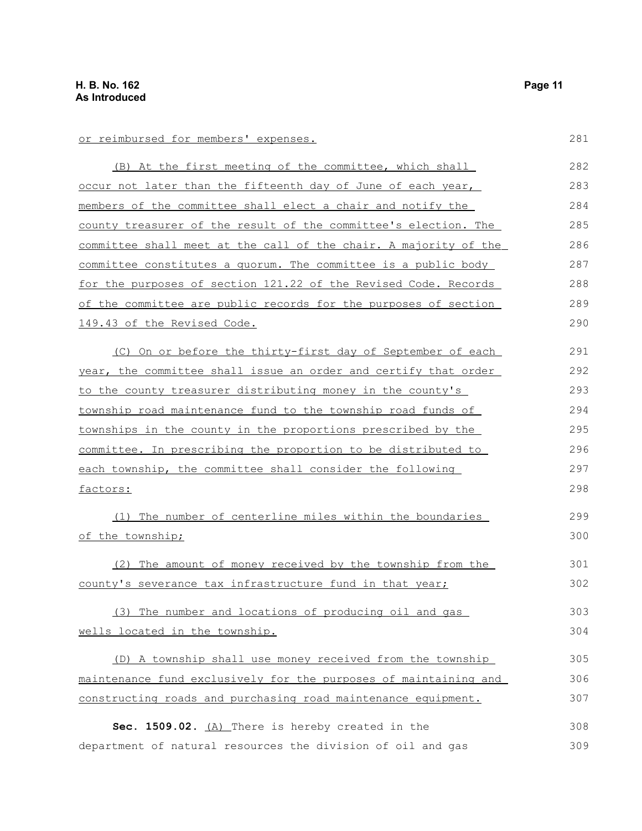| or reimbursed for members' expenses.                             | 281 |
|------------------------------------------------------------------|-----|
| (B) At the first meeting of the committee, which shall           | 282 |
| occur not later than the fifteenth day of June of each year,     | 283 |
| members of the committee shall elect a chair and notify the      | 284 |
| county treasurer of the result of the committee's election. The  | 285 |
| committee shall meet at the call of the chair. A majority of the | 286 |
| committee constitutes a quorum. The committee is a public body   | 287 |
| for the purposes of section 121.22 of the Revised Code. Records  | 288 |
| of the committee are public records for the purposes of section  | 289 |
| 149.43 of the Revised Code.                                      | 290 |
| (C) On or before the thirty-first day of September of each       | 291 |
| year, the committee shall issue an order and certify that order  | 292 |
| to the county treasurer distributing money in the county's       | 293 |
| township road maintenance fund to the township road funds of     | 294 |
| townships in the county in the proportions prescribed by the     | 295 |
| committee. In prescribing the proportion to be distributed to    | 296 |
| each township, the committee shall consider the following        | 297 |
| factors:                                                         | 298 |
| (1) The number of centerline miles within the boundaries         | 299 |
| of the township;                                                 | 300 |
| (2) The amount of money received by the township from the        | 301 |
| county's severance tax infrastructure fund in that year;         | 302 |
| (3) The number and locations of producing oil and gas            | 303 |
| wells located in the township.                                   | 304 |
| (D) A township shall use money received from the township        | 305 |
| maintenance fund exclusively for the purposes of maintaining and | 306 |
| constructing roads and purchasing road maintenance equipment.    | 307 |
| Sec. 1509.02. (A) There is hereby created in the                 | 308 |
| department of natural resources the division of oil and gas      | 309 |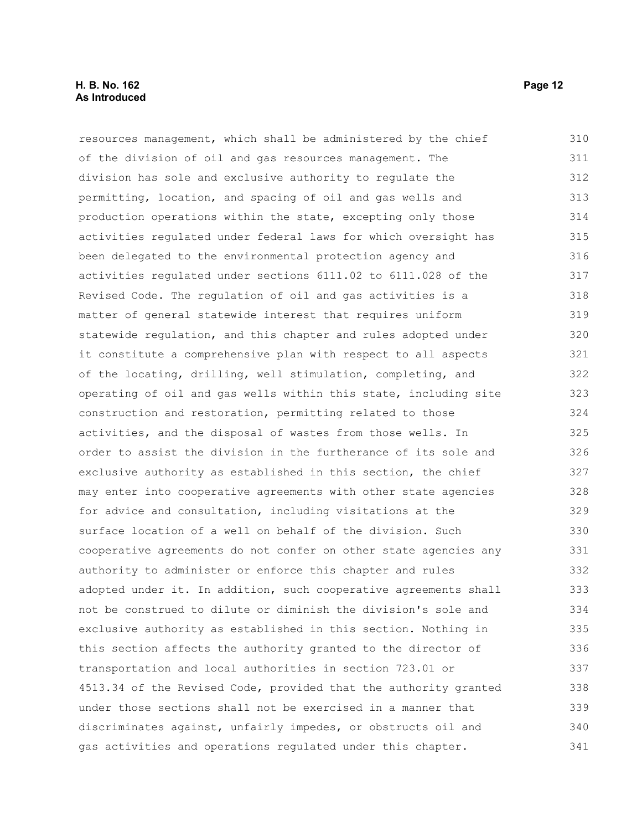# **H. B. No. 162 Page 12 As Introduced**

resources management, which shall be administered by the chief of the division of oil and gas resources management. The division has sole and exclusive authority to regulate the permitting, location, and spacing of oil and gas wells and production operations within the state, excepting only those activities regulated under federal laws for which oversight has been delegated to the environmental protection agency and activities regulated under sections 6111.02 to 6111.028 of the Revised Code. The regulation of oil and gas activities is a matter of general statewide interest that requires uniform statewide regulation, and this chapter and rules adopted under it constitute a comprehensive plan with respect to all aspects of the locating, drilling, well stimulation, completing, and operating of oil and gas wells within this state, including site construction and restoration, permitting related to those activities, and the disposal of wastes from those wells. In order to assist the division in the furtherance of its sole and exclusive authority as established in this section, the chief may enter into cooperative agreements with other state agencies for advice and consultation, including visitations at the surface location of a well on behalf of the division. Such cooperative agreements do not confer on other state agencies any authority to administer or enforce this chapter and rules adopted under it. In addition, such cooperative agreements shall not be construed to dilute or diminish the division's sole and exclusive authority as established in this section. Nothing in this section affects the authority granted to the director of transportation and local authorities in section 723.01 or 4513.34 of the Revised Code, provided that the authority granted under those sections shall not be exercised in a manner that discriminates against, unfairly impedes, or obstructs oil and gas activities and operations regulated under this chapter. 310 311 312 313 314 315 316 317 318 319 320 321 322 323 324 325 326 327 328 329 330 331 332 333 334 335 336 337 338 339 340 341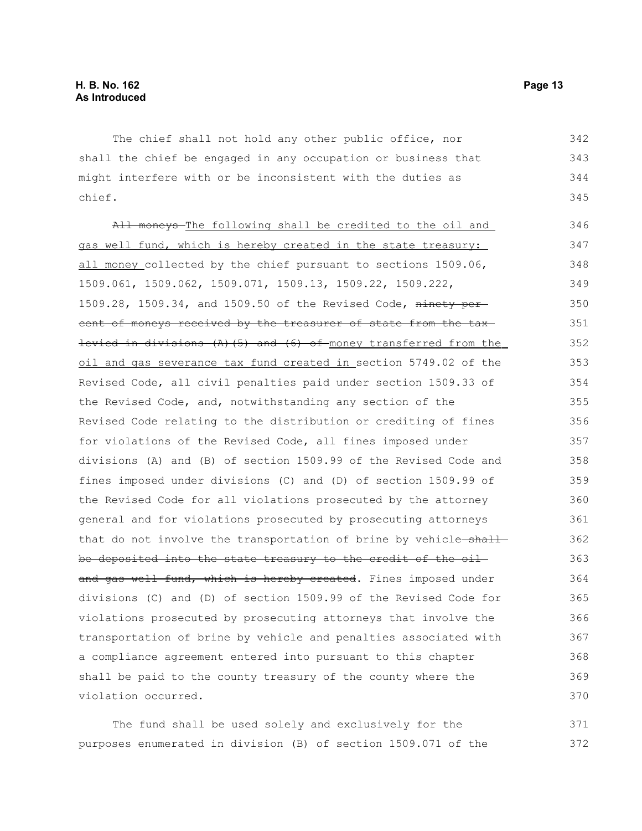The chief shall not hold any other public office, nor shall the chief be engaged in any occupation or business that might interfere with or be inconsistent with the duties as chief. 342 343 344 345

All moneys-The following shall be credited to the oil and gas well fund, which is hereby created in the state treasury: all money collected by the chief pursuant to sections 1509.06, 1509.061, 1509.062, 1509.071, 1509.13, 1509.22, 1509.222, 1509.28, 1509.34, and 1509.50 of the Revised Code, ninety percent of moneys received by the treasurer of state from the tax levied in divisions  $(A)$  (5) and (6) of money transferred from the oil and gas severance tax fund created in section 5749.02 of the Revised Code, all civil penalties paid under section 1509.33 of the Revised Code, and, notwithstanding any section of the Revised Code relating to the distribution or crediting of fines for violations of the Revised Code, all fines imposed under divisions (A) and (B) of section 1509.99 of the Revised Code and fines imposed under divisions (C) and (D) of section 1509.99 of the Revised Code for all violations prosecuted by the attorney general and for violations prosecuted by prosecuting attorneys that do not involve the transportation of brine by vehicle-shallbe deposited into the state treasury to the credit of the oil and gas well fund, which is hereby created. Fines imposed under divisions (C) and (D) of section 1509.99 of the Revised Code for violations prosecuted by prosecuting attorneys that involve the transportation of brine by vehicle and penalties associated with a compliance agreement entered into pursuant to this chapter shall be paid to the county treasury of the county where the violation occurred. 346 347 348 349 350 351 352 353 354 355 356 357 358 359 360 361 362 363 364 365 366 367 368 369 370

The fund shall be used solely and exclusively for the purposes enumerated in division (B) of section 1509.071 of the 371 372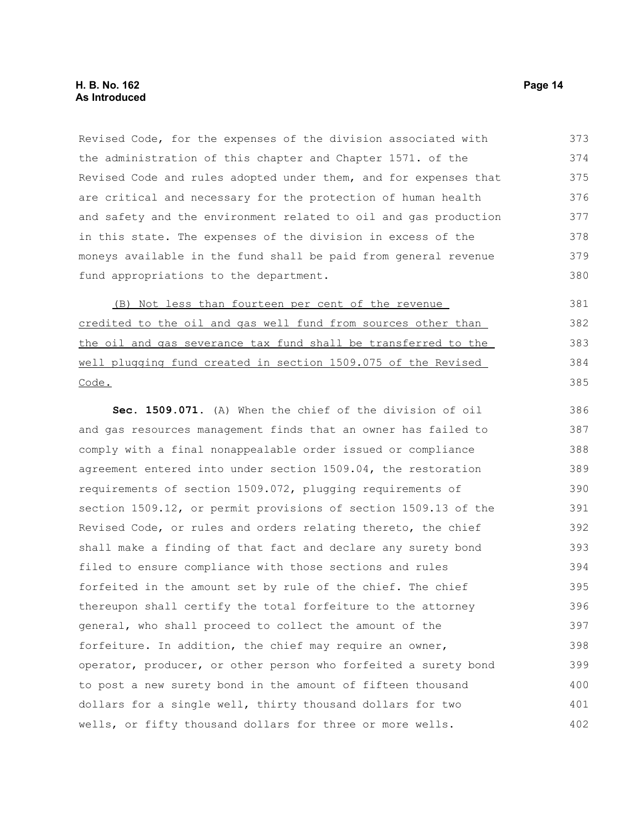Revised Code, for the expenses of the division associated with the administration of this chapter and Chapter 1571. of the Revised Code and rules adopted under them, and for expenses that are critical and necessary for the protection of human health and safety and the environment related to oil and gas production in this state. The expenses of the division in excess of the moneys available in the fund shall be paid from general revenue fund appropriations to the department. 373 374 375 376 377 378 379 380

(B) Not less than fourteen per cent of the revenue credited to the oil and gas well fund from sources other than the oil and gas severance tax fund shall be transferred to the well plugging fund created in section 1509.075 of the Revised Code.

**Sec. 1509.071.** (A) When the chief of the division of oil and gas resources management finds that an owner has failed to comply with a final nonappealable order issued or compliance agreement entered into under section 1509.04, the restoration requirements of section 1509.072, plugging requirements of section 1509.12, or permit provisions of section 1509.13 of the Revised Code, or rules and orders relating thereto, the chief shall make a finding of that fact and declare any surety bond filed to ensure compliance with those sections and rules forfeited in the amount set by rule of the chief. The chief thereupon shall certify the total forfeiture to the attorney general, who shall proceed to collect the amount of the forfeiture. In addition, the chief may require an owner, operator, producer, or other person who forfeited a surety bond to post a new surety bond in the amount of fifteen thousand dollars for a single well, thirty thousand dollars for two wells, or fifty thousand dollars for three or more wells. 386 387 388 389 390 391 392 393 394 395 396 397 398 399 400 401 402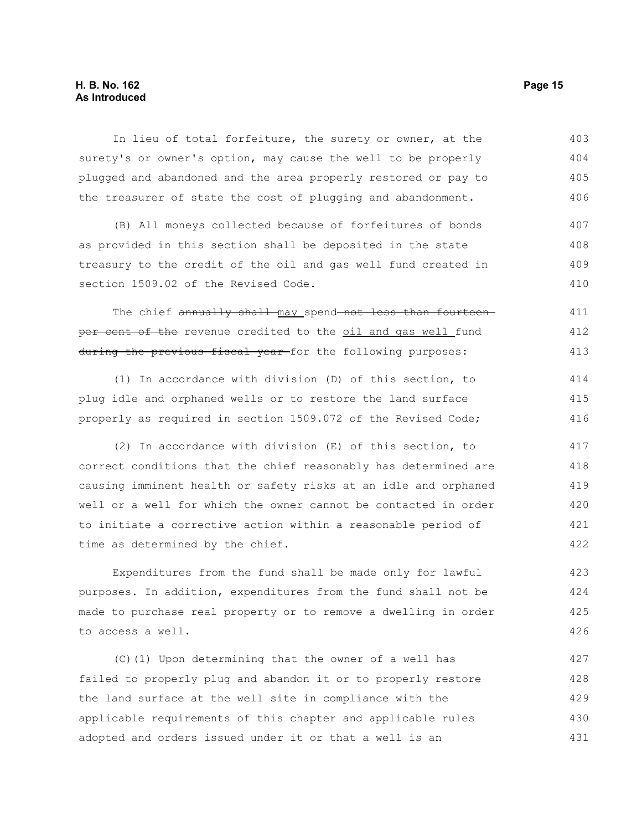# **H. B. No. 162 Page 15 As Introduced**

In lieu of total forfeiture, the surety or owner, at the surety's or owner's option, may cause the well to be properly plugged and abandoned and the area properly restored or pay to the treasurer of state the cost of plugging and abandonment. 403 404 405 406

(B) All moneys collected because of forfeitures of bonds as provided in this section shall be deposited in the state treasury to the credit of the oil and gas well fund created in section 1509.02 of the Revised Code. 407 408 409 410

The chief annually shall may spend not less than fourteen per cent of the revenue credited to the oil and gas well fund during the previous fiscal year-for the following purposes: 411 412 413

(1) In accordance with division (D) of this section, to plug idle and orphaned wells or to restore the land surface properly as required in section 1509.072 of the Revised Code; 414 415 416

(2) In accordance with division (E) of this section, to correct conditions that the chief reasonably has determined are causing imminent health or safety risks at an idle and orphaned well or a well for which the owner cannot be contacted in order to initiate a corrective action within a reasonable period of time as determined by the chief. 417 418 419 420 421 422

Expenditures from the fund shall be made only for lawful purposes. In addition, expenditures from the fund shall not be made to purchase real property or to remove a dwelling in order to access a well. 423 424 425 426

(C)(1) Upon determining that the owner of a well has failed to properly plug and abandon it or to properly restore the land surface at the well site in compliance with the applicable requirements of this chapter and applicable rules adopted and orders issued under it or that a well is an 427 428 429 430 431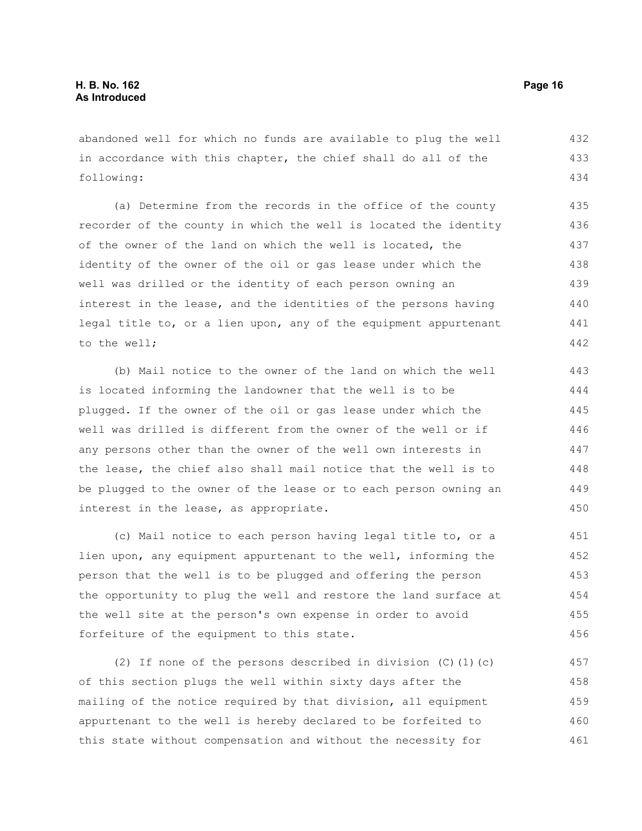abandoned well for which no funds are available to plug the well in accordance with this chapter, the chief shall do all of the following: 432 433 434

(a) Determine from the records in the office of the county recorder of the county in which the well is located the identity of the owner of the land on which the well is located, the identity of the owner of the oil or gas lease under which the well was drilled or the identity of each person owning an interest in the lease, and the identities of the persons having legal title to, or a lien upon, any of the equipment appurtenant to the well; 435 436 437 438 439 440 441 442

(b) Mail notice to the owner of the land on which the well is located informing the landowner that the well is to be plugged. If the owner of the oil or gas lease under which the well was drilled is different from the owner of the well or if any persons other than the owner of the well own interests in the lease, the chief also shall mail notice that the well is to be plugged to the owner of the lease or to each person owning an interest in the lease, as appropriate. 443 444 445 446 447 448 449 450

(c) Mail notice to each person having legal title to, or a lien upon, any equipment appurtenant to the well, informing the person that the well is to be plugged and offering the person the opportunity to plug the well and restore the land surface at the well site at the person's own expense in order to avoid forfeiture of the equipment to this state. 451 452 453 454 455 456

(2) If none of the persons described in division  $(C)$  (1)(c) of this section plugs the well within sixty days after the mailing of the notice required by that division, all equipment appurtenant to the well is hereby declared to be forfeited to this state without compensation and without the necessity for 457 458 459 460 461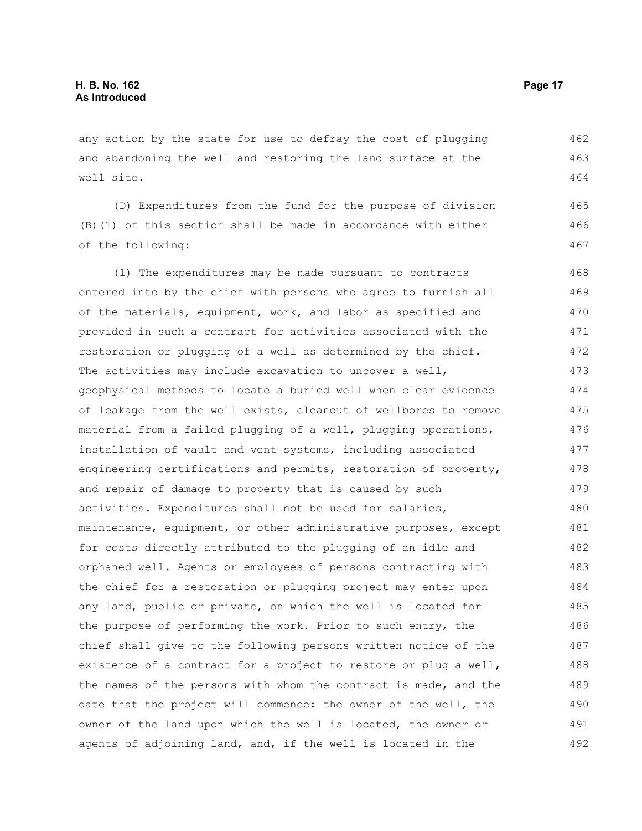any action by the state for use to defray the cost of plugging and abandoning the well and restoring the land surface at the well site.

(D) Expenditures from the fund for the purpose of division (B)(1) of this section shall be made in accordance with either of the following: 465 466 467

(1) The expenditures may be made pursuant to contracts entered into by the chief with persons who agree to furnish all of the materials, equipment, work, and labor as specified and provided in such a contract for activities associated with the restoration or plugging of a well as determined by the chief. The activities may include excavation to uncover a well, geophysical methods to locate a buried well when clear evidence of leakage from the well exists, cleanout of wellbores to remove material from a failed plugging of a well, plugging operations, installation of vault and vent systems, including associated engineering certifications and permits, restoration of property, and repair of damage to property that is caused by such activities. Expenditures shall not be used for salaries, maintenance, equipment, or other administrative purposes, except for costs directly attributed to the plugging of an idle and orphaned well. Agents or employees of persons contracting with the chief for a restoration or plugging project may enter upon any land, public or private, on which the well is located for the purpose of performing the work. Prior to such entry, the chief shall give to the following persons written notice of the existence of a contract for a project to restore or plug a well, the names of the persons with whom the contract is made, and the date that the project will commence: the owner of the well, the owner of the land upon which the well is located, the owner or agents of adjoining land, and, if the well is located in the 468 469 470 471 472 473 474 475 476 477 478 479 480 481 482 483 484 485 486 487 488 489 490 491 492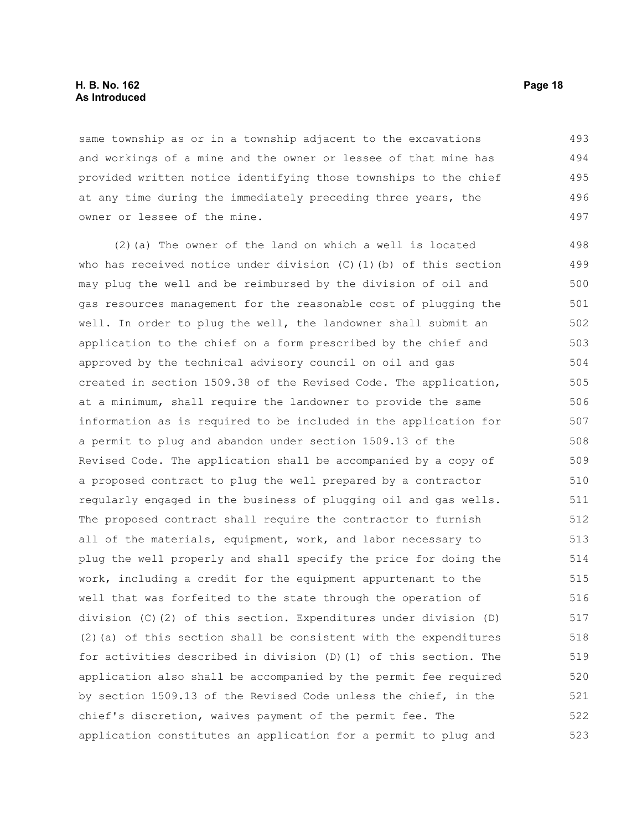#### **H. B. No. 162 Page 18 As Introduced**

same township as or in a township adjacent to the excavations and workings of a mine and the owner or lessee of that mine has provided written notice identifying those townships to the chief at any time during the immediately preceding three years, the owner or lessee of the mine. 493 494 495 496 497

(2)(a) The owner of the land on which a well is located who has received notice under division  $(C)$  (1)(b) of this section may plug the well and be reimbursed by the division of oil and gas resources management for the reasonable cost of plugging the well. In order to plug the well, the landowner shall submit an application to the chief on a form prescribed by the chief and approved by the technical advisory council on oil and gas created in section 1509.38 of the Revised Code. The application, at a minimum, shall require the landowner to provide the same information as is required to be included in the application for a permit to plug and abandon under section 1509.13 of the Revised Code. The application shall be accompanied by a copy of a proposed contract to plug the well prepared by a contractor regularly engaged in the business of plugging oil and gas wells. The proposed contract shall require the contractor to furnish all of the materials, equipment, work, and labor necessary to plug the well properly and shall specify the price for doing the work, including a credit for the equipment appurtenant to the well that was forfeited to the state through the operation of division (C)(2) of this section. Expenditures under division (D)  $(2)$  (a) of this section shall be consistent with the expenditures for activities described in division (D)(1) of this section. The application also shall be accompanied by the permit fee required by section 1509.13 of the Revised Code unless the chief, in the chief's discretion, waives payment of the permit fee. The application constitutes an application for a permit to plug and 498 499 500 501 502 503 504 505 506 507 508 509 510 511 512 513 514 515 516 517 518 519 520 521 522 523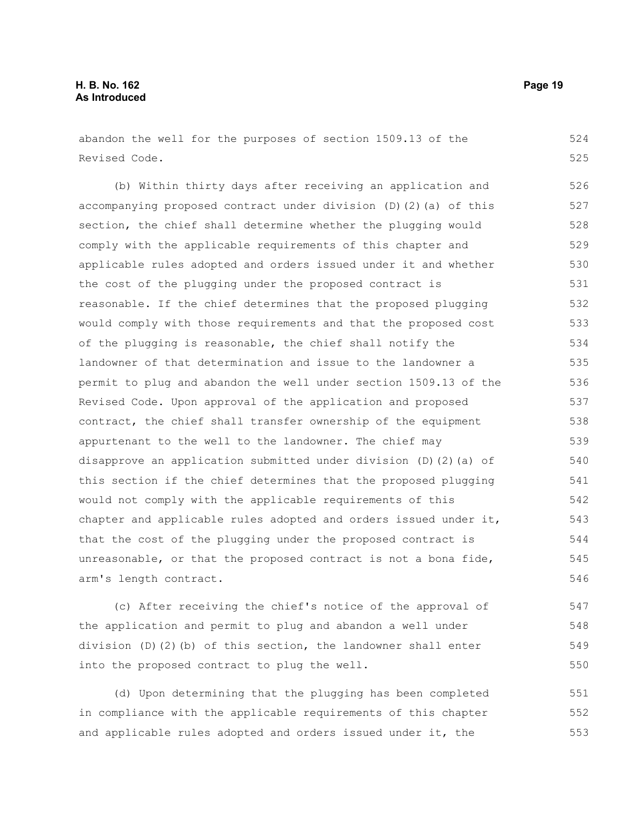# **H. B. No. 162 Page 19 As Introduced**

abandon the well for the purposes of section 1509.13 of the Revised Code. 524 525

(b) Within thirty days after receiving an application and accompanying proposed contract under division (D)(2)(a) of this section, the chief shall determine whether the plugging would comply with the applicable requirements of this chapter and applicable rules adopted and orders issued under it and whether the cost of the plugging under the proposed contract is reasonable. If the chief determines that the proposed plugging would comply with those requirements and that the proposed cost of the plugging is reasonable, the chief shall notify the landowner of that determination and issue to the landowner a permit to plug and abandon the well under section 1509.13 of the Revised Code. Upon approval of the application and proposed contract, the chief shall transfer ownership of the equipment appurtenant to the well to the landowner. The chief may disapprove an application submitted under division (D)(2)(a) of this section if the chief determines that the proposed plugging would not comply with the applicable requirements of this chapter and applicable rules adopted and orders issued under it, that the cost of the plugging under the proposed contract is unreasonable, or that the proposed contract is not a bona fide, arm's length contract. 526 527 528 529 530 531 532 533 534 535 536 537 538 539 540 541 542 543 544 545 546

(c) After receiving the chief's notice of the approval of the application and permit to plug and abandon a well under division (D)(2)(b) of this section, the landowner shall enter into the proposed contract to plug the well. 547 548 549 550

(d) Upon determining that the plugging has been completed in compliance with the applicable requirements of this chapter and applicable rules adopted and orders issued under it, the 551 552 553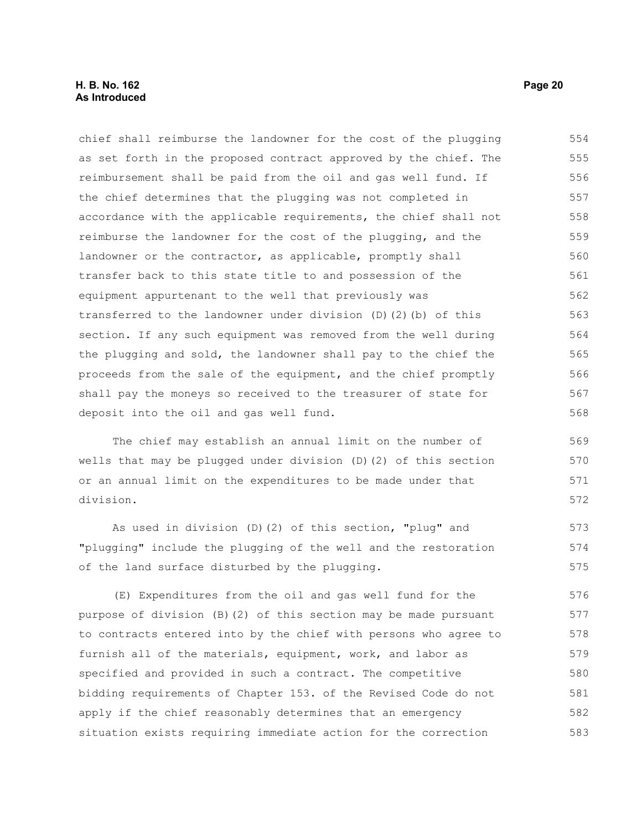# **H. B. No. 162 Page 20 As Introduced**

chief shall reimburse the landowner for the cost of the plugging as set forth in the proposed contract approved by the chief. The reimbursement shall be paid from the oil and gas well fund. If the chief determines that the plugging was not completed in accordance with the applicable requirements, the chief shall not reimburse the landowner for the cost of the plugging, and the landowner or the contractor, as applicable, promptly shall transfer back to this state title to and possession of the equipment appurtenant to the well that previously was transferred to the landowner under division  $(D)(2)(b)$  of this section. If any such equipment was removed from the well during the plugging and sold, the landowner shall pay to the chief the proceeds from the sale of the equipment, and the chief promptly shall pay the moneys so received to the treasurer of state for deposit into the oil and gas well fund. 554 555 556 557 558 559 560 561 562 563 564 565 566 567 568

The chief may establish an annual limit on the number of wells that may be plugged under division (D)(2) of this section or an annual limit on the expenditures to be made under that division.

As used in division (D)(2) of this section, "plug" and "plugging" include the plugging of the well and the restoration of the land surface disturbed by the plugging. 573 574 575

(E) Expenditures from the oil and gas well fund for the purpose of division (B)(2) of this section may be made pursuant to contracts entered into by the chief with persons who agree to furnish all of the materials, equipment, work, and labor as specified and provided in such a contract. The competitive bidding requirements of Chapter 153. of the Revised Code do not apply if the chief reasonably determines that an emergency situation exists requiring immediate action for the correction 576 577 578 579 580 581 582 583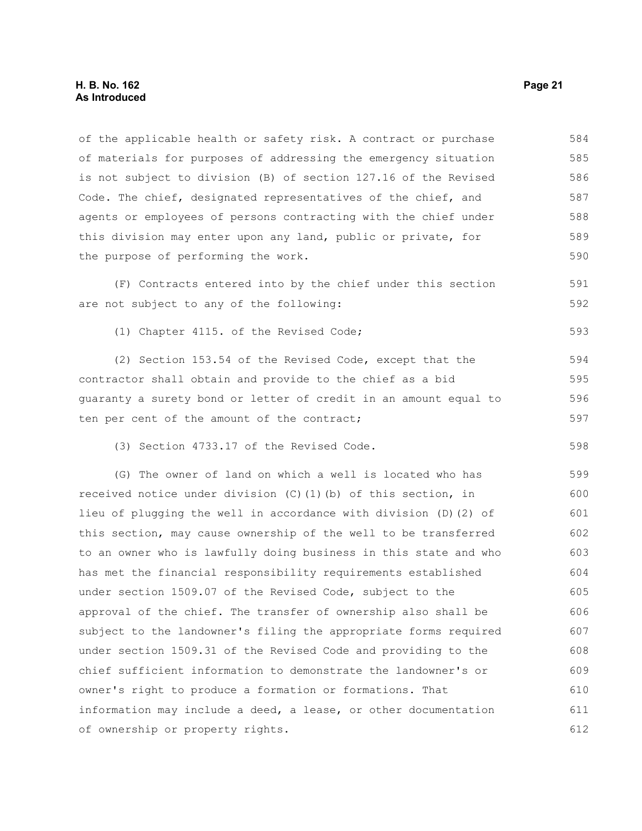#### **H. B. No. 162 Page 21 As Introduced**

of the applicable health or safety risk. A contract or purchase of materials for purposes of addressing the emergency situation is not subject to division (B) of section 127.16 of the Revised Code. The chief, designated representatives of the chief, and agents or employees of persons contracting with the chief under this division may enter upon any land, public or private, for the purpose of performing the work. 584 585 586 587 588 589 590

(F) Contracts entered into by the chief under this section are not subject to any of the following: 591 592

(1) Chapter 4115. of the Revised Code;

(2) Section 153.54 of the Revised Code, except that the contractor shall obtain and provide to the chief as a bid guaranty a surety bond or letter of credit in an amount equal to ten per cent of the amount of the contract; 594 595 596 597

(3) Section 4733.17 of the Revised Code.

(G) The owner of land on which a well is located who has received notice under division (C)(1)(b) of this section, in lieu of plugging the well in accordance with division (D)(2) of this section, may cause ownership of the well to be transferred to an owner who is lawfully doing business in this state and who has met the financial responsibility requirements established under section 1509.07 of the Revised Code, subject to the approval of the chief. The transfer of ownership also shall be subject to the landowner's filing the appropriate forms required under section 1509.31 of the Revised Code and providing to the chief sufficient information to demonstrate the landowner's or owner's right to produce a formation or formations. That information may include a deed, a lease, or other documentation of ownership or property rights. 599 600 601 602 603 604 605 606 607 608 609 610 611 612

593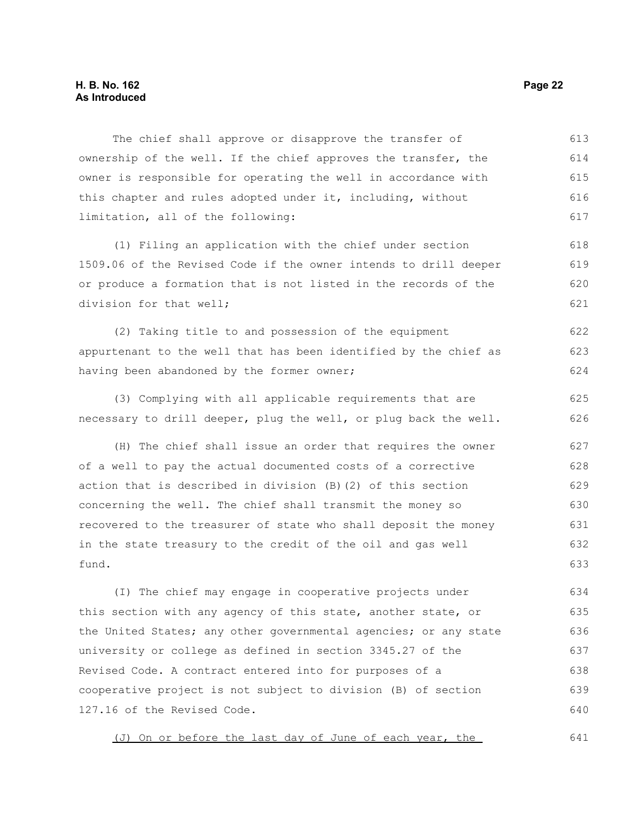The chief shall approve or disapprove the transfer of ownership of the well. If the chief approves the transfer, the owner is responsible for operating the well in accordance with this chapter and rules adopted under it, including, without limitation, all of the following: 613 614 615 616 617

(1) Filing an application with the chief under section 1509.06 of the Revised Code if the owner intends to drill deeper or produce a formation that is not listed in the records of the division for that well; 618 619 620 621

(2) Taking title to and possession of the equipment appurtenant to the well that has been identified by the chief as having been abandoned by the former owner; 622 623 624

(3) Complying with all applicable requirements that are necessary to drill deeper, plug the well, or plug back the well. 625 626

(H) The chief shall issue an order that requires the owner of a well to pay the actual documented costs of a corrective action that is described in division (B)(2) of this section concerning the well. The chief shall transmit the money so recovered to the treasurer of state who shall deposit the money in the state treasury to the credit of the oil and gas well fund. 627 628 629 630 631 632 633

(I) The chief may engage in cooperative projects under this section with any agency of this state, another state, or the United States; any other governmental agencies; or any state university or college as defined in section 3345.27 of the Revised Code. A contract entered into for purposes of a cooperative project is not subject to division (B) of section 127.16 of the Revised Code. 634 635 636 637 638 639 640

(J) On or before the last day of June of each year, the 641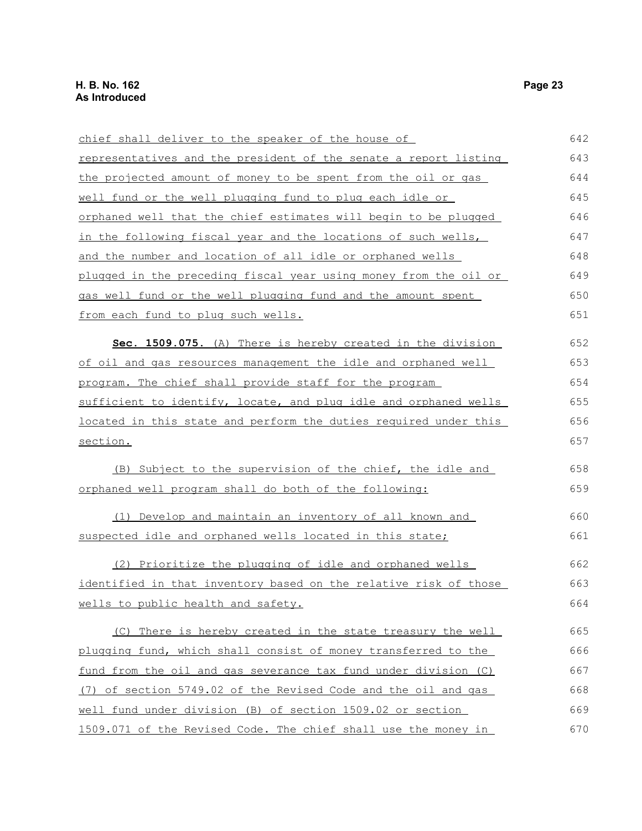| chief shall deliver to the speaker of the house of                      | 642 |
|-------------------------------------------------------------------------|-----|
| representatives and the president of the senate a report listing        | 643 |
| the projected amount of money to be spent from the oil or gas           | 644 |
| well fund or the well plugging fund to plug each idle or                | 645 |
| <u>orphaned well that the chief estimates will begin to be plugged</u>  | 646 |
| in the following fiscal year and the locations of such wells,           | 647 |
| and the number and location of all idle or orphaned wells               | 648 |
| plugged in the preceding fiscal year using money from the oil or        | 649 |
| gas well fund or the well plugging fund and the amount spent            | 650 |
| from each fund to plug such wells.                                      | 651 |
| Sec. 1509.075. (A) There is hereby created in the division              | 652 |
| of oil and gas resources management the idle and orphaned well          | 653 |
| program. The chief shall provide staff for the program                  | 654 |
| sufficient to identify, locate, and plug idle and orphaned wells        | 655 |
| located in this state and perform the duties required under this        | 656 |
| section.                                                                | 657 |
| (B) Subject to the supervision of the chief, the idle and               | 658 |
| orphaned well program shall do both of the following:                   | 659 |
| (1) Develop and maintain an inventory of all known and                  | 660 |
| suspected idle and orphaned wells located in this state;                | 661 |
| (2) Prioritize the plugging of idle and orphaned wells                  | 662 |
| <u>identified in that inventory based on the relative risk of those</u> | 663 |
| wells to public health and safety.                                      | 664 |
| (C) There is hereby created in the state treasury the well              | 665 |
| plugging fund, which shall consist of money transferred to the          | 666 |
| fund from the oil and gas severance tax fund under division (C)         | 667 |
| (7) of section 5749.02 of the Revised Code and the oil and gas          | 668 |
| well fund under division (B) of section 1509.02 or section              | 669 |
| 1509.071 of the Revised Code. The chief shall use the money in          | 670 |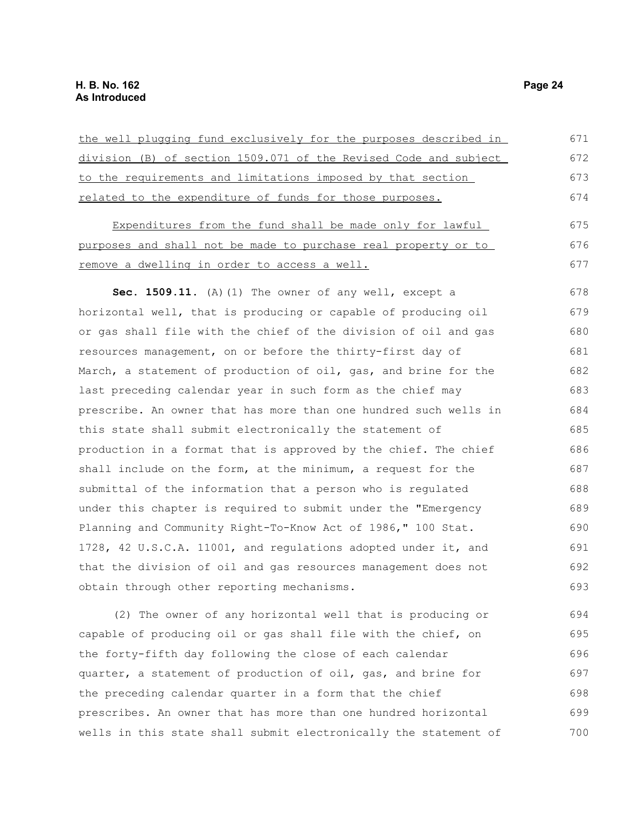| the well plugging fund exclusively for the purposes described in | 671 |
|------------------------------------------------------------------|-----|
| division (B) of section 1509.071 of the Revised Code and subject | 672 |
| to the requirements and limitations imposed by that section      | 673 |
| related to the expenditure of funds for those purposes.          | 674 |
| Expenditures from the fund shall be made only for lawful         | 675 |
| purposes and shall not be made to purchase real property or to   | 676 |
| remove a dwelling in order to access a well.                     | 677 |
| Sec. 1509.11. (A) (1) The owner of any well, except a            | 678 |
| horizontal well, that is producing or capable of producing oil   | 679 |
| or gas shall file with the chief of the division of oil and gas  | 680 |
| resources management, on or before the thirty-first day of       | 681 |
| March, a statement of production of oil, gas, and brine for the  | 682 |
| last preceding calendar year in such form as the chief may       | 683 |
| prescribe. An owner that has more than one hundred such wells in | 684 |
| this state shall submit electronically the statement of          | 685 |
| production in a format that is approved by the chief. The chief  | 686 |
| shall include on the form, at the minimum, a request for the     | 687 |
| submittal of the information that a person who is regulated      | 688 |
| under this chapter is required to submit under the "Emergency    | 689 |
| Planning and Community Right-To-Know Act of 1986," 100 Stat.     | 690 |
| 1728, 42 U.S.C.A. 11001, and regulations adopted under it, and   | 691 |
| that the division of oil and gas resources management does not   | 692 |
| obtain through other reporting mechanisms.                       | 693 |
| (2) The owner of any horizontal well that is producing or        | 694 |
| capable of producing oil or gas shall file with the chief, on    | 695 |
| the forty-fifth day following the close of each calendar         | 696 |
| quarter, a statement of production of oil, gas, and brine for    | 697 |
| the preceding calendar quarter in a form that the chief          | 698 |

the preceding calendar quarter in a form that the chief prescribes. An owner that has more than one hundred horizontal wells in this state shall submit electronically the statement of 698 699 700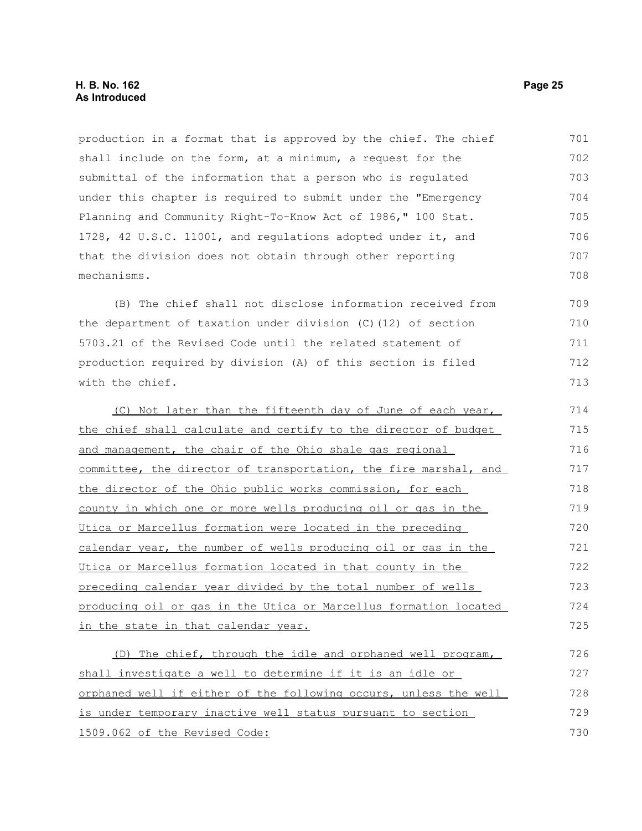production in a format that is approved by the chief. The chief shall include on the form, at a minimum, a request for the submittal of the information that a person who is regulated under this chapter is required to submit under the "Emergency Planning and Community Right-To-Know Act of 1986," 100 Stat. 1728, 42 U.S.C. 11001, and regulations adopted under it, and that the division does not obtain through other reporting mechanisms. 701 702 703 704 705 706 707 708

(B) The chief shall not disclose information received from the department of taxation under division (C)(12) of section 5703.21 of the Revised Code until the related statement of production required by division (A) of this section is filed with the chief. 709 710 711 712 713

(C) Not later than the fifteenth day of June of each year, the chief shall calculate and certify to the director of budget and management, the chair of the Ohio shale gas regional committee, the director of transportation, the fire marshal, and the director of the Ohio public works commission, for each county in which one or more wells producing oil or gas in the Utica or Marcellus formation were located in the preceding calendar year, the number of wells producing oil or gas in the Utica or Marcellus formation located in that county in the preceding calendar year divided by the total number of wells producing oil or gas in the Utica or Marcellus formation located in the state in that calendar year. 714 715 716 717 718 719 720 721 722 723 724 725

(D) The chief, through the idle and orphaned well program, shall investigate a well to determine if it is an idle or orphaned well if either of the following occurs, unless the well is under temporary inactive well status pursuant to section 1509.062 of the Revised Code: 726 727 728 729 730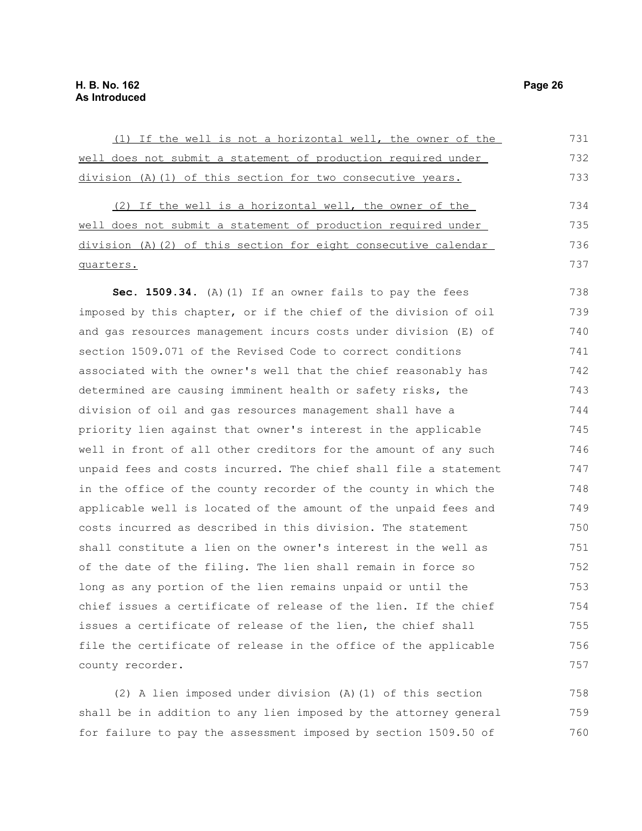(1) If the well is not a horizontal well, the owner of the well does not submit a statement of production required under division (A)(1) of this section for two consecutive years. (2) If the well is a horizontal well, the owner of the well does not submit a statement of production required under division (A)(2) of this section for eight consecutive calendar quarters. **Sec. 1509.34.** (A)(1) If an owner fails to pay the fees imposed by this chapter, or if the chief of the division of oil and gas resources management incurs costs under division (E) of section 1509.071 of the Revised Code to correct conditions associated with the owner's well that the chief reasonably has determined are causing imminent health or safety risks, the division of oil and gas resources management shall have a priority lien against that owner's interest in the applicable well in front of all other creditors for the amount of any such unpaid fees and costs incurred. The chief shall file a statement in the office of the county recorder of the county in which the applicable well is located of the amount of the unpaid fees and costs incurred as described in this division. The statement shall constitute a lien on the owner's interest in the well as of the date of the filing. The lien shall remain in force so long as any portion of the lien remains unpaid or until the chief issues a certificate of release of the lien. If the chief issues a certificate of release of the lien, the chief shall file the certificate of release in the office of the applicable county recorder. 731 732 733 734 735 736 737 738 739 740 741 742 743 744 745 746 747 748 749 750 751 752 753 754 755 756 757

(2) A lien imposed under division (A)(1) of this section shall be in addition to any lien imposed by the attorney general for failure to pay the assessment imposed by section 1509.50 of 758 759 760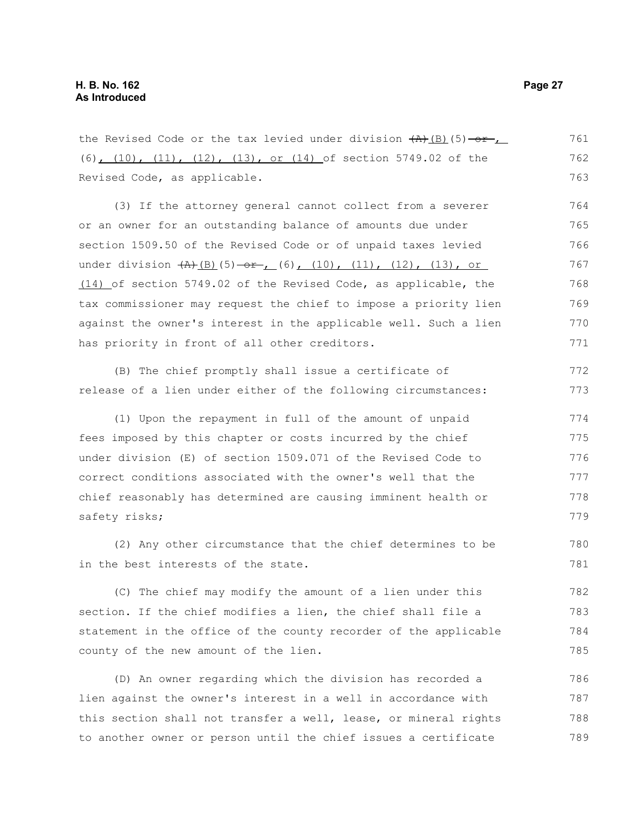the Revised Code or the tax levied under division  $(A)$   $(B)$   $(5)$   $-0$  $+$   $+$ (6), (10), (11), (12), (13), or (14) of section 5749.02 of the Revised Code, as applicable. 761 762 763

(3) If the attorney general cannot collect from a severer or an owner for an outstanding balance of amounts due under section 1509.50 of the Revised Code or of unpaid taxes levied under division  $\frac{1}{(b)}(5) - 1$  (6),  $(10)$ ,  $(11)$ ,  $(12)$ ,  $(13)$ , or (14) of section 5749.02 of the Revised Code, as applicable, the tax commissioner may request the chief to impose a priority lien against the owner's interest in the applicable well. Such a lien has priority in front of all other creditors. 764 765 766 767 768 769 770 771

(B) The chief promptly shall issue a certificate of release of a lien under either of the following circumstances: 772 773

(1) Upon the repayment in full of the amount of unpaid fees imposed by this chapter or costs incurred by the chief under division (E) of section 1509.071 of the Revised Code to correct conditions associated with the owner's well that the chief reasonably has determined are causing imminent health or safety risks; 774 775 776 777 778 779

(2) Any other circumstance that the chief determines to be in the best interests of the state. 780 781

(C) The chief may modify the amount of a lien under this section. If the chief modifies a lien, the chief shall file a statement in the office of the county recorder of the applicable county of the new amount of the lien. 782 783 784 785

(D) An owner regarding which the division has recorded a lien against the owner's interest in a well in accordance with this section shall not transfer a well, lease, or mineral rights to another owner or person until the chief issues a certificate 786 787 788 789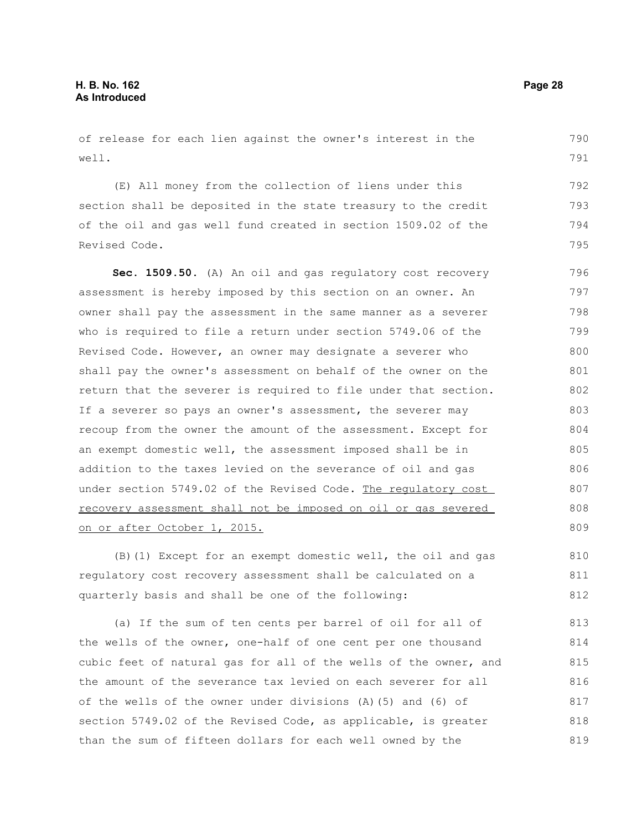of release for each lien against the owner's interest in the well.

(E) All money from the collection of liens under this section shall be deposited in the state treasury to the credit of the oil and gas well fund created in section 1509.02 of the Revised Code. 792 793 794 795

**Sec. 1509.50.** (A) An oil and gas regulatory cost recovery assessment is hereby imposed by this section on an owner. An owner shall pay the assessment in the same manner as a severer who is required to file a return under section 5749.06 of the Revised Code. However, an owner may designate a severer who shall pay the owner's assessment on behalf of the owner on the return that the severer is required to file under that section. If a severer so pays an owner's assessment, the severer may recoup from the owner the amount of the assessment. Except for an exempt domestic well, the assessment imposed shall be in addition to the taxes levied on the severance of oil and gas under section 5749.02 of the Revised Code. The regulatory cost recovery assessment shall not be imposed on oil or gas severed on or after October 1, 2015. 796 797 798 799 800 801 802 803 804 805 806 807 808 809

(B)(1) Except for an exempt domestic well, the oil and gas regulatory cost recovery assessment shall be calculated on a quarterly basis and shall be one of the following: 810 811 812

(a) If the sum of ten cents per barrel of oil for all of the wells of the owner, one-half of one cent per one thousand cubic feet of natural gas for all of the wells of the owner, and the amount of the severance tax levied on each severer for all of the wells of the owner under divisions (A)(5) and (6) of section 5749.02 of the Revised Code, as applicable, is greater than the sum of fifteen dollars for each well owned by the 813 814 815 816 817 818 819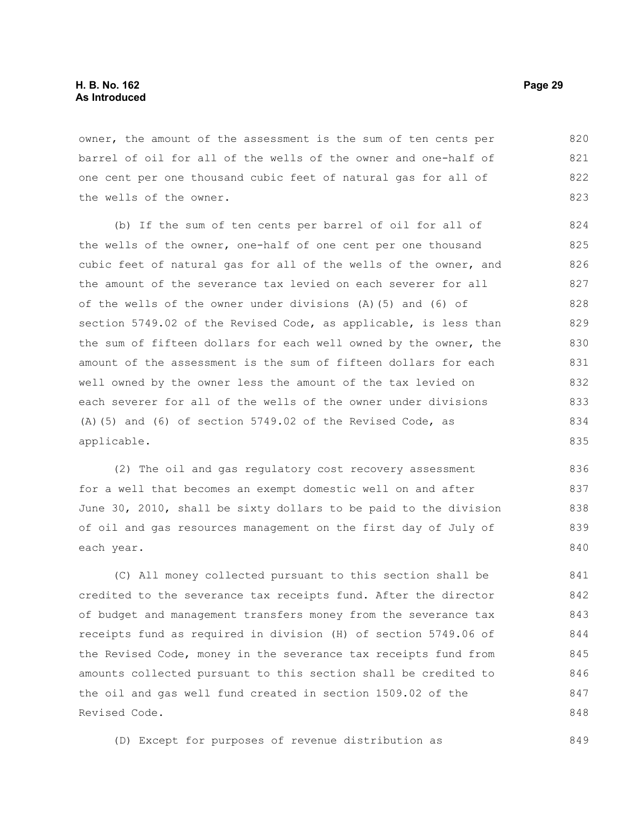owner, the amount of the assessment is the sum of ten cents per barrel of oil for all of the wells of the owner and one-half of one cent per one thousand cubic feet of natural gas for all of the wells of the owner. 820 821 822 823

(b) If the sum of ten cents per barrel of oil for all of the wells of the owner, one-half of one cent per one thousand cubic feet of natural gas for all of the wells of the owner, and the amount of the severance tax levied on each severer for all of the wells of the owner under divisions (A)(5) and (6) of section 5749.02 of the Revised Code, as applicable, is less than the sum of fifteen dollars for each well owned by the owner, the amount of the assessment is the sum of fifteen dollars for each well owned by the owner less the amount of the tax levied on each severer for all of the wells of the owner under divisions (A)(5) and (6) of section 5749.02 of the Revised Code, as applicable. 824 825 826 827 828 829 830 831 832 833 834 835

(2) The oil and gas regulatory cost recovery assessment for a well that becomes an exempt domestic well on and after June 30, 2010, shall be sixty dollars to be paid to the division of oil and gas resources management on the first day of July of each year.

(C) All money collected pursuant to this section shall be credited to the severance tax receipts fund. After the director of budget and management transfers money from the severance tax receipts fund as required in division (H) of section 5749.06 of the Revised Code, money in the severance tax receipts fund from amounts collected pursuant to this section shall be credited to the oil and gas well fund created in section 1509.02 of the Revised Code. 841 842 843 844 845 846 847 848

(D) Except for purposes of revenue distribution as

849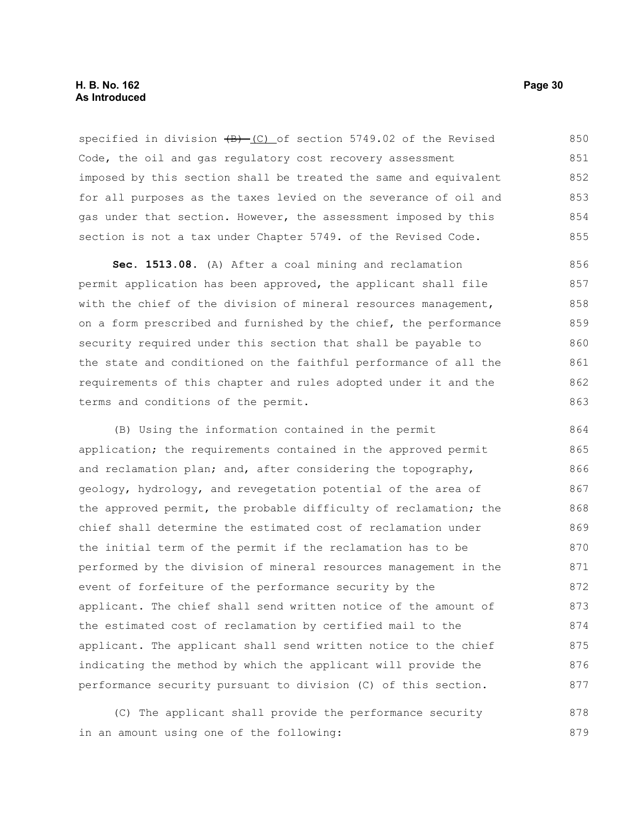# **H. B. No. 162 Page 30 As Introduced**

specified in division  $(B)$  (C) of section 5749.02 of the Revised Code, the oil and gas regulatory cost recovery assessment imposed by this section shall be treated the same and equivalent for all purposes as the taxes levied on the severance of oil and gas under that section. However, the assessment imposed by this section is not a tax under Chapter 5749. of the Revised Code. 850 851 852 853 854 855

**Sec. 1513.08.** (A) After a coal mining and reclamation permit application has been approved, the applicant shall file with the chief of the division of mineral resources management, on a form prescribed and furnished by the chief, the performance security required under this section that shall be payable to the state and conditioned on the faithful performance of all the requirements of this chapter and rules adopted under it and the terms and conditions of the permit. 856 857 858 859 860 861 862 863

(B) Using the information contained in the permit application; the requirements contained in the approved permit and reclamation plan; and, after considering the topography, geology, hydrology, and revegetation potential of the area of the approved permit, the probable difficulty of reclamation; the chief shall determine the estimated cost of reclamation under the initial term of the permit if the reclamation has to be performed by the division of mineral resources management in the event of forfeiture of the performance security by the applicant. The chief shall send written notice of the amount of the estimated cost of reclamation by certified mail to the applicant. The applicant shall send written notice to the chief indicating the method by which the applicant will provide the performance security pursuant to division (C) of this section. 864 865 866 867 868 869 870 871 872 873 874 875 876 877

(C) The applicant shall provide the performance security in an amount using one of the following: 878 879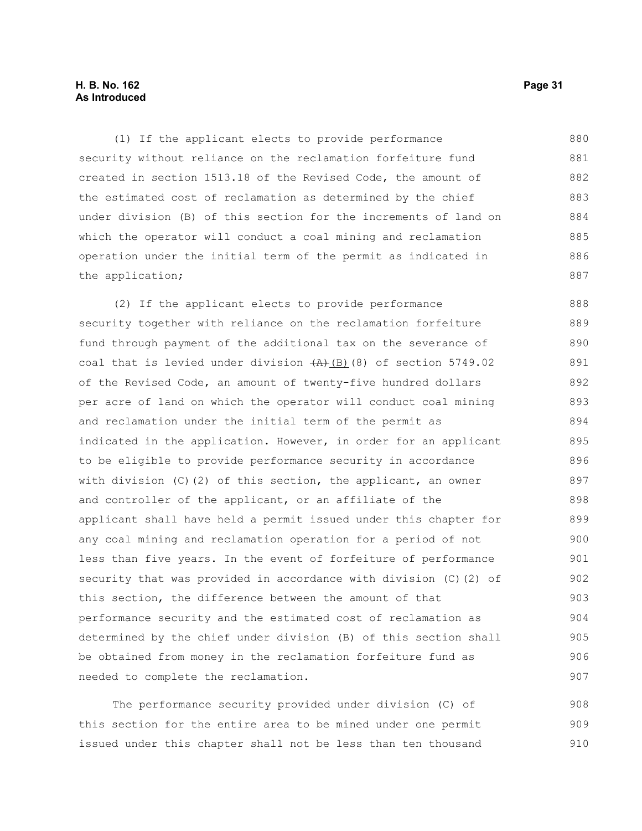# **H. B. No. 162 Page 31 As Introduced**

(1) If the applicant elects to provide performance security without reliance on the reclamation forfeiture fund created in section 1513.18 of the Revised Code, the amount of the estimated cost of reclamation as determined by the chief under division (B) of this section for the increments of land on which the operator will conduct a coal mining and reclamation operation under the initial term of the permit as indicated in the application; 880 881 882 883 884 885 886 887

(2) If the applicant elects to provide performance security together with reliance on the reclamation forfeiture fund through payment of the additional tax on the severance of coal that is levied under division  $\frac{(A)}{(B)}(8)$  of section 5749.02 of the Revised Code, an amount of twenty-five hundred dollars per acre of land on which the operator will conduct coal mining and reclamation under the initial term of the permit as indicated in the application. However, in order for an applicant to be eligible to provide performance security in accordance with division (C)(2) of this section, the applicant, an owner and controller of the applicant, or an affiliate of the applicant shall have held a permit issued under this chapter for any coal mining and reclamation operation for a period of not less than five years. In the event of forfeiture of performance security that was provided in accordance with division (C)(2) of this section, the difference between the amount of that performance security and the estimated cost of reclamation as determined by the chief under division (B) of this section shall be obtained from money in the reclamation forfeiture fund as needed to complete the reclamation. 888 889 890 891 892 893 894 895 896 897 898 899 900 901 902 903 904 905 906 907

The performance security provided under division (C) of this section for the entire area to be mined under one permit issued under this chapter shall not be less than ten thousand 908 909 910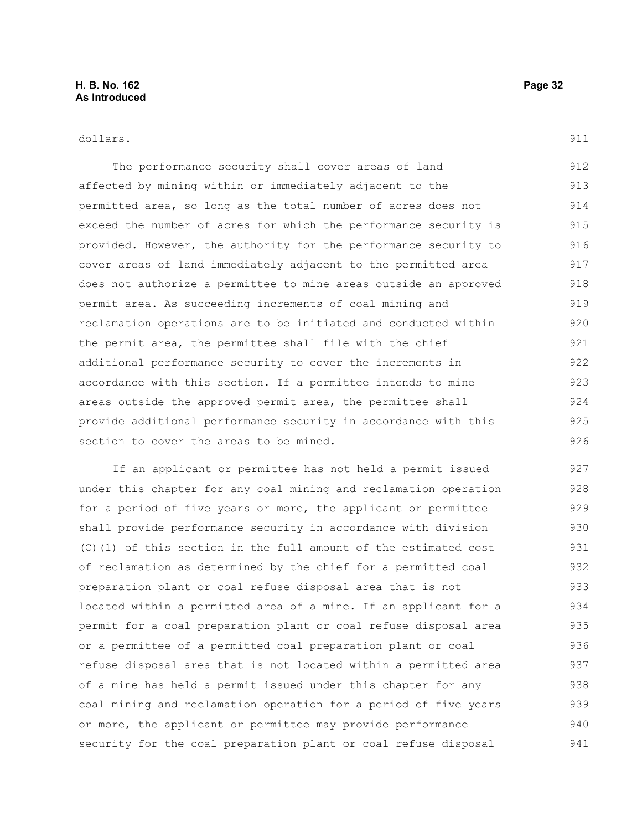#### dollars.

911

The performance security shall cover areas of land affected by mining within or immediately adjacent to the permitted area, so long as the total number of acres does not exceed the number of acres for which the performance security is provided. However, the authority for the performance security to cover areas of land immediately adjacent to the permitted area does not authorize a permittee to mine areas outside an approved permit area. As succeeding increments of coal mining and reclamation operations are to be initiated and conducted within the permit area, the permittee shall file with the chief additional performance security to cover the increments in accordance with this section. If a permittee intends to mine areas outside the approved permit area, the permittee shall provide additional performance security in accordance with this section to cover the areas to be mined. 912 913 914 915 916 917 918 919 920 921 922 923 924 925 926

If an applicant or permittee has not held a permit issued under this chapter for any coal mining and reclamation operation for a period of five years or more, the applicant or permittee shall provide performance security in accordance with division (C)(1) of this section in the full amount of the estimated cost of reclamation as determined by the chief for a permitted coal preparation plant or coal refuse disposal area that is not located within a permitted area of a mine. If an applicant for a permit for a coal preparation plant or coal refuse disposal area or a permittee of a permitted coal preparation plant or coal refuse disposal area that is not located within a permitted area of a mine has held a permit issued under this chapter for any coal mining and reclamation operation for a period of five years or more, the applicant or permittee may provide performance security for the coal preparation plant or coal refuse disposal 927 928 929 930 931 932 933 934 935 936 937 938 939 940 941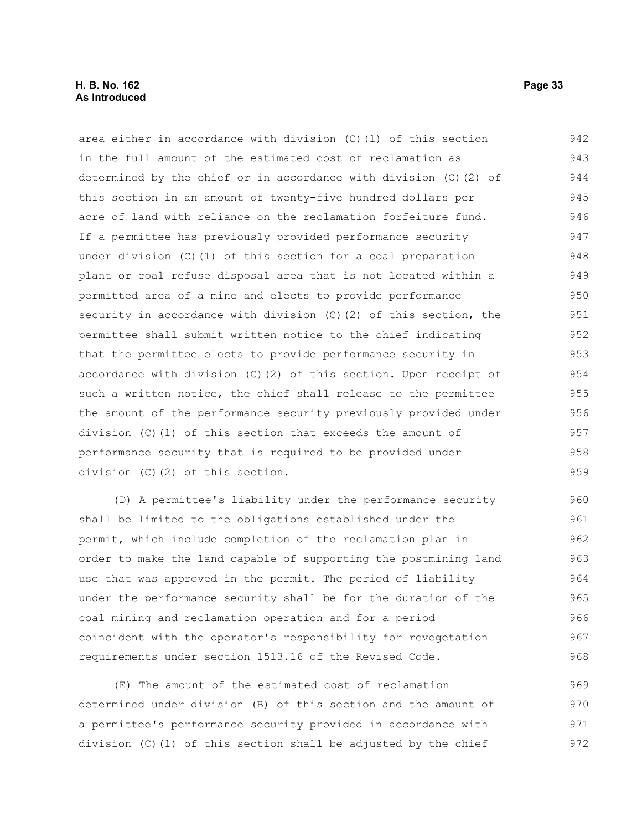# **H. B. No. 162 Page 33 As Introduced**

area either in accordance with division (C)(1) of this section in the full amount of the estimated cost of reclamation as determined by the chief or in accordance with division (C)(2) of this section in an amount of twenty-five hundred dollars per acre of land with reliance on the reclamation forfeiture fund. If a permittee has previously provided performance security under division (C)(1) of this section for a coal preparation plant or coal refuse disposal area that is not located within a permitted area of a mine and elects to provide performance security in accordance with division (C)(2) of this section, the permittee shall submit written notice to the chief indicating that the permittee elects to provide performance security in accordance with division  $(C)$  (2) of this section. Upon receipt of such a written notice, the chief shall release to the permittee the amount of the performance security previously provided under division (C)(1) of this section that exceeds the amount of performance security that is required to be provided under division (C)(2) of this section. 942 943 944 945 946 947 948 949 950 951 952 953 954 955 956 957 958 959

(D) A permittee's liability under the performance security shall be limited to the obligations established under the permit, which include completion of the reclamation plan in order to make the land capable of supporting the postmining land use that was approved in the permit. The period of liability under the performance security shall be for the duration of the coal mining and reclamation operation and for a period coincident with the operator's responsibility for revegetation requirements under section 1513.16 of the Revised Code. 960 961 962 963 964 965 966 967 968

(E) The amount of the estimated cost of reclamation determined under division (B) of this section and the amount of a permittee's performance security provided in accordance with division (C)(1) of this section shall be adjusted by the chief 969 970 971 972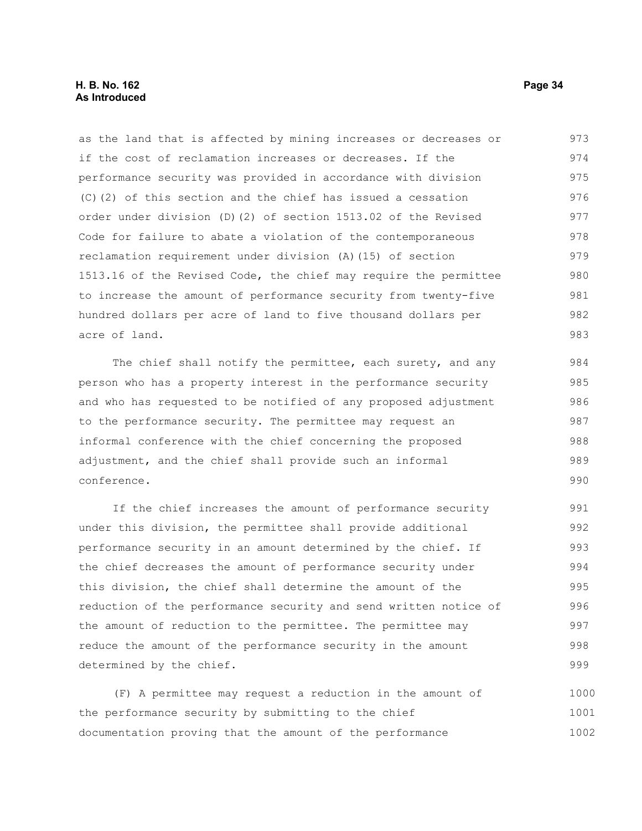# **H. B. No. 162 Page 34 As Introduced**

as the land that is affected by mining increases or decreases or if the cost of reclamation increases or decreases. If the performance security was provided in accordance with division (C)(2) of this section and the chief has issued a cessation order under division (D)(2) of section 1513.02 of the Revised Code for failure to abate a violation of the contemporaneous reclamation requirement under division (A)(15) of section 1513.16 of the Revised Code, the chief may require the permittee to increase the amount of performance security from twenty-five hundred dollars per acre of land to five thousand dollars per acre of land. 973 974 975 976 977 978 979 980 981 982 983

The chief shall notify the permittee, each surety, and any person who has a property interest in the performance security and who has requested to be notified of any proposed adjustment to the performance security. The permittee may request an informal conference with the chief concerning the proposed adjustment, and the chief shall provide such an informal conference. 984 985 986 987 988 989 990

If the chief increases the amount of performance security under this division, the permittee shall provide additional performance security in an amount determined by the chief. If the chief decreases the amount of performance security under this division, the chief shall determine the amount of the reduction of the performance security and send written notice of the amount of reduction to the permittee. The permittee may reduce the amount of the performance security in the amount determined by the chief. 991 992 993 994 995 996 997 998 999

(F) A permittee may request a reduction in the amount of the performance security by submitting to the chief documentation proving that the amount of the performance 1000 1001 1002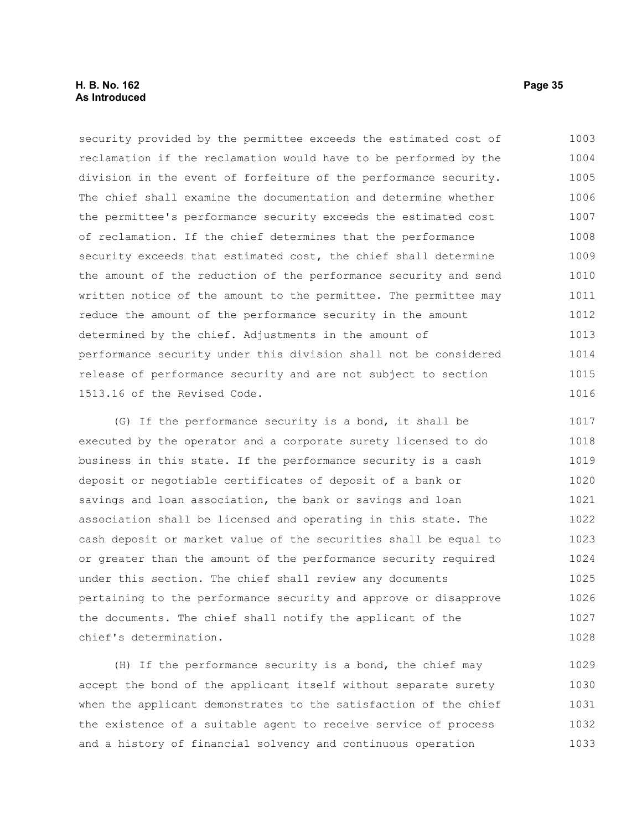# **H. B. No. 162 Page 35 As Introduced**

security provided by the permittee exceeds the estimated cost of reclamation if the reclamation would have to be performed by the division in the event of forfeiture of the performance security. The chief shall examine the documentation and determine whether the permittee's performance security exceeds the estimated cost of reclamation. If the chief determines that the performance security exceeds that estimated cost, the chief shall determine the amount of the reduction of the performance security and send written notice of the amount to the permittee. The permittee may reduce the amount of the performance security in the amount determined by the chief. Adjustments in the amount of performance security under this division shall not be considered release of performance security and are not subject to section 1513.16 of the Revised Code. 1003 1004 1005 1006 1007 1008 1009 1010 1011 1012 1013 1014 1015 1016

(G) If the performance security is a bond, it shall be executed by the operator and a corporate surety licensed to do business in this state. If the performance security is a cash deposit or negotiable certificates of deposit of a bank or savings and loan association, the bank or savings and loan association shall be licensed and operating in this state. The cash deposit or market value of the securities shall be equal to or greater than the amount of the performance security required under this section. The chief shall review any documents pertaining to the performance security and approve or disapprove the documents. The chief shall notify the applicant of the chief's determination. 1017 1018 1019 1020 1021 1022 1023 1024 1025 1026 1027 1028

(H) If the performance security is a bond, the chief may accept the bond of the applicant itself without separate surety when the applicant demonstrates to the satisfaction of the chief the existence of a suitable agent to receive service of process and a history of financial solvency and continuous operation 1029 1030 1031 1032 1033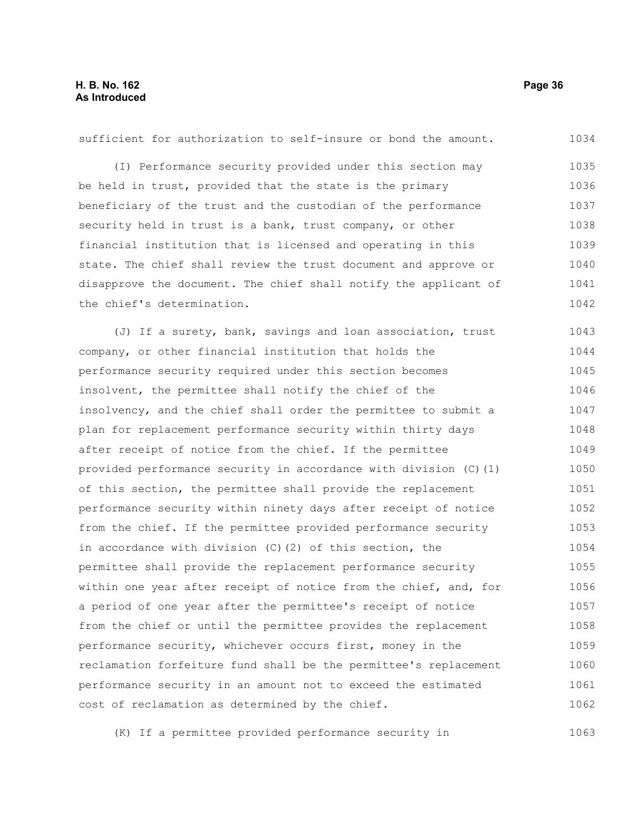(I) Performance security provided under this section may be held in trust, provided that the state is the primary beneficiary of the trust and the custodian of the performance security held in trust is a bank, trust company, or other financial institution that is licensed and operating in this state. The chief shall review the trust document and approve or disapprove the document. The chief shall notify the applicant of the chief's determination. (J) If a surety, bank, savings and loan association, trust company, or other financial institution that holds the performance security required under this section becomes insolvent, the permittee shall notify the chief of the insolvency, and the chief shall order the permittee to submit a plan for replacement performance security within thirty days after receipt of notice from the chief. If the permittee provided performance security in accordance with division (C)(1) of this section, the permittee shall provide the replacement performance security within ninety days after receipt of notice from the chief. If the permittee provided performance security in accordance with division (C)(2) of this section, the permittee shall provide the replacement performance security within one year after receipt of notice from the chief, and, for a period of one year after the permittee's receipt of notice from the chief or until the permittee provides the replacement performance security, whichever occurs first, money in the reclamation forfeiture fund shall be the permittee's replacement performance security in an amount not to exceed the estimated cost of reclamation as determined by the chief. 1035 1036 1037 1038 1039 1040 1041 1042 1043 1044 1045 1046 1047 1048 1049 1050 1051 1052 1053 1054 1055 1056 1057 1058 1059 1060 1061 1062

sufficient for authorization to self-insure or bond the amount.

(K) If a permittee provided performance security in 1063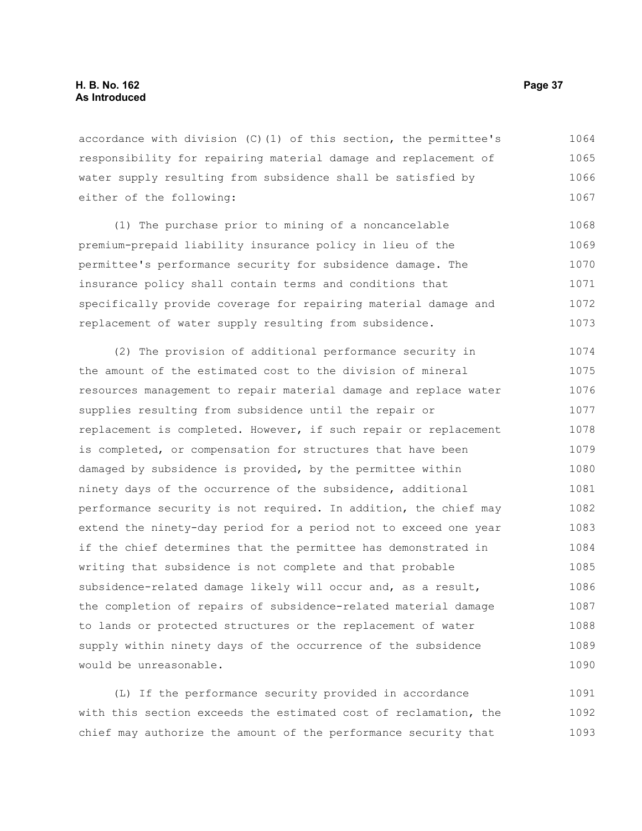accordance with division (C)(1) of this section, the permittee's responsibility for repairing material damage and replacement of water supply resulting from subsidence shall be satisfied by either of the following: 1064 1065 1066 1067

(1) The purchase prior to mining of a noncancelable premium-prepaid liability insurance policy in lieu of the permittee's performance security for subsidence damage. The insurance policy shall contain terms and conditions that specifically provide coverage for repairing material damage and replacement of water supply resulting from subsidence. 1068 1069 1070 1071 1072 1073

(2) The provision of additional performance security in the amount of the estimated cost to the division of mineral resources management to repair material damage and replace water supplies resulting from subsidence until the repair or replacement is completed. However, if such repair or replacement is completed, or compensation for structures that have been damaged by subsidence is provided, by the permittee within ninety days of the occurrence of the subsidence, additional performance security is not required. In addition, the chief may extend the ninety-day period for a period not to exceed one year if the chief determines that the permittee has demonstrated in writing that subsidence is not complete and that probable subsidence-related damage likely will occur and, as a result, the completion of repairs of subsidence-related material damage to lands or protected structures or the replacement of water supply within ninety days of the occurrence of the subsidence would be unreasonable. 1074 1075 1076 1077 1078 1079 1080 1081 1082 1083 1084 1085 1086 1087 1088 1089 1090

(L) If the performance security provided in accordance with this section exceeds the estimated cost of reclamation, the chief may authorize the amount of the performance security that 1091 1092 1093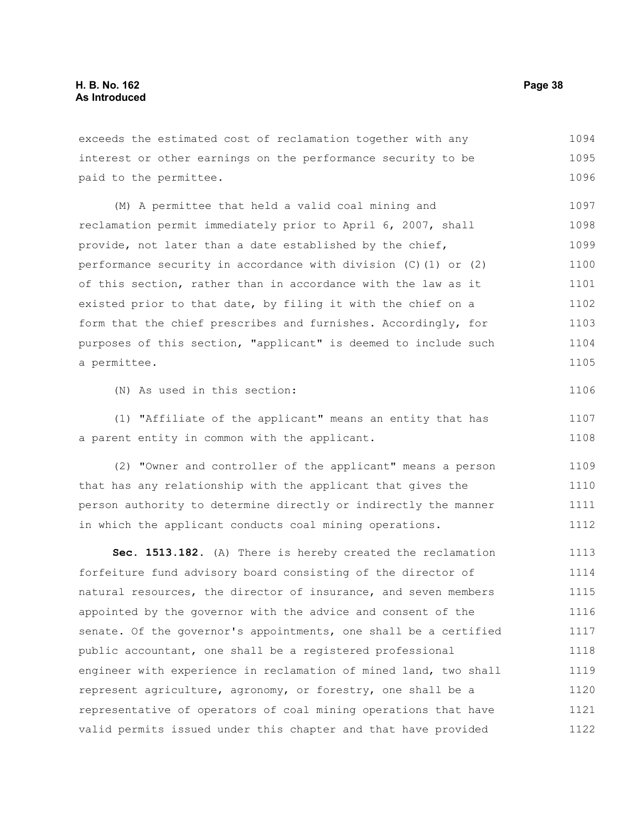1094

#### interest or other earnings on the performance security to be paid to the permittee. (M) A permittee that held a valid coal mining and reclamation permit immediately prior to April 6, 2007, shall provide, not later than a date established by the chief, performance security in accordance with division (C)(1) or (2) of this section, rather than in accordance with the law as it existed prior to that date, by filing it with the chief on a form that the chief prescribes and furnishes. Accordingly, for purposes of this section, "applicant" is deemed to include such a permittee. (N) As used in this section: (1) "Affiliate of the applicant" means an entity that has a parent entity in common with the applicant. (2) "Owner and controller of the applicant" means a person that has any relationship with the applicant that gives the person authority to determine directly or indirectly the manner in which the applicant conducts coal mining operations. **Sec. 1513.182.** (A) There is hereby created the reclamation forfeiture fund advisory board consisting of the director of natural resources, the director of insurance, and seven members appointed by the governor with the advice and consent of the senate. Of the governor's appointments, one shall be a certified public accountant, one shall be a registered professional engineer with experience in reclamation of mined land, two shall represent agriculture, agronomy, or forestry, one shall be a representative of operators of coal mining operations that have valid permits issued under this chapter and that have provided 1095 1096 1097 1098 1099 1100 1101 1102 1103 1104 1105 1106 1107 1108 1109 1110 1111 1112 1113 1114 1115 1116 1117 1118 1119 1120 1121 1122

exceeds the estimated cost of reclamation together with any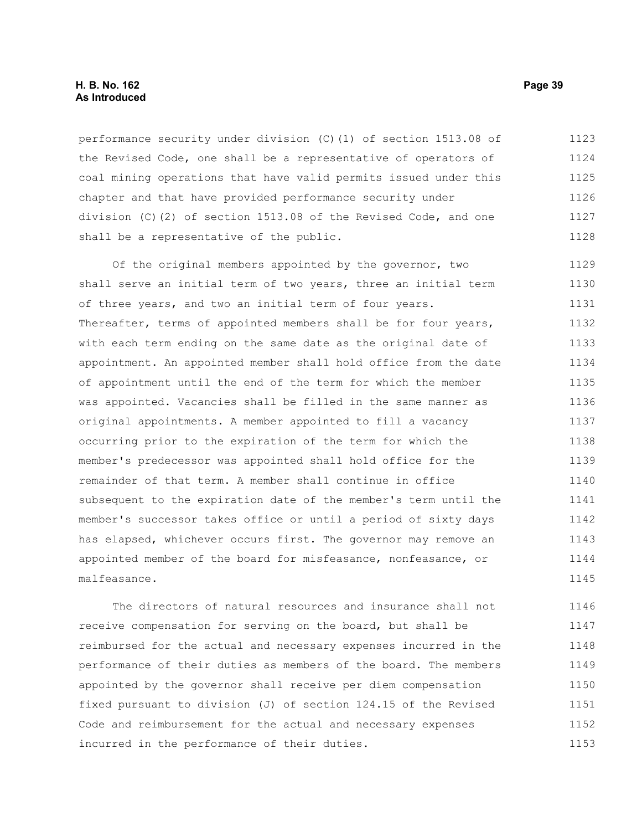## **H. B. No. 162 Page 39 As Introduced**

performance security under division (C)(1) of section 1513.08 of the Revised Code, one shall be a representative of operators of coal mining operations that have valid permits issued under this chapter and that have provided performance security under division (C)(2) of section 1513.08 of the Revised Code, and one shall be a representative of the public. 1123 1124 1125 1126 1127 1128

Of the original members appointed by the governor, two shall serve an initial term of two years, three an initial term of three years, and two an initial term of four years. Thereafter, terms of appointed members shall be for four years, with each term ending on the same date as the original date of appointment. An appointed member shall hold office from the date of appointment until the end of the term for which the member was appointed. Vacancies shall be filled in the same manner as original appointments. A member appointed to fill a vacancy occurring prior to the expiration of the term for which the member's predecessor was appointed shall hold office for the remainder of that term. A member shall continue in office subsequent to the expiration date of the member's term until the member's successor takes office or until a period of sixty days has elapsed, whichever occurs first. The governor may remove an appointed member of the board for misfeasance, nonfeasance, or malfeasance. 1129 1130 1131 1132 1133 1134 1135 1136 1137 1138 1139 1140 1141 1142 1143 1144 1145

The directors of natural resources and insurance shall not receive compensation for serving on the board, but shall be reimbursed for the actual and necessary expenses incurred in the performance of their duties as members of the board. The members appointed by the governor shall receive per diem compensation fixed pursuant to division (J) of section 124.15 of the Revised Code and reimbursement for the actual and necessary expenses incurred in the performance of their duties. 1146 1147 1148 1149 1150 1151 1152 1153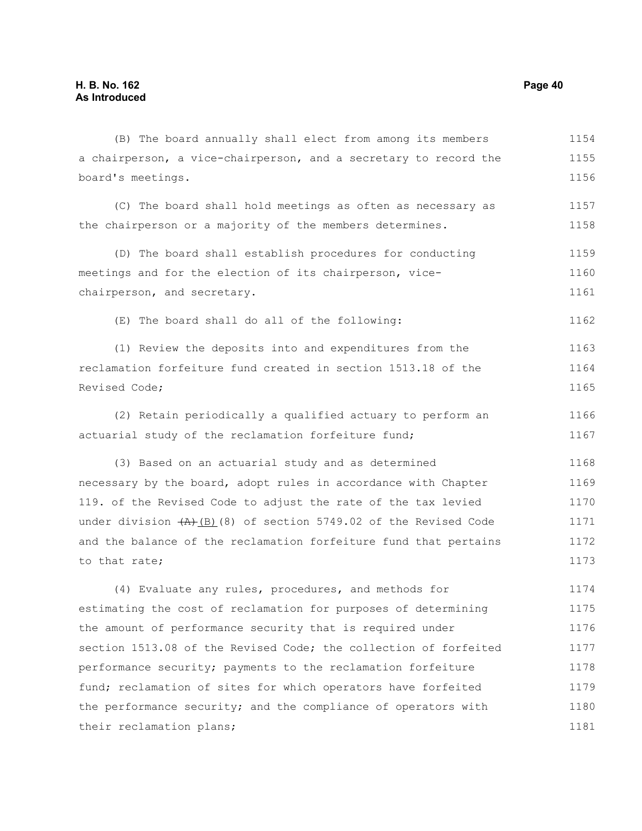a chairperson, a vice-chairperson, and a secretary to record the board's meetings. (C) The board shall hold meetings as often as necessary as the chairperson or a majority of the members determines. (D) The board shall establish procedures for conducting meetings and for the election of its chairperson, vicechairperson, and secretary. (E) The board shall do all of the following: (1) Review the deposits into and expenditures from the reclamation forfeiture fund created in section 1513.18 of the Revised Code; (2) Retain periodically a qualified actuary to perform an actuarial study of the reclamation forfeiture fund; (3) Based on an actuarial study and as determined necessary by the board, adopt rules in accordance with Chapter 119. of the Revised Code to adjust the rate of the tax levied under division  $(A)$ (B)(8) of section 5749.02 of the Revised Code and the balance of the reclamation forfeiture fund that pertains to that rate; (4) Evaluate any rules, procedures, and methods for estimating the cost of reclamation for purposes of determining the amount of performance security that is required under section 1513.08 of the Revised Code; the collection of forfeited performance security; payments to the reclamation forfeiture fund; reclamation of sites for which operators have forfeited 1155 1156 1157 1158 1159 1160 1161 1162 1163 1164 1165 1166 1167 1168 1169 1170 1171 1172 1173 1174 1175 1176 1177 1178 1179

the performance security; and the compliance of operators with

their reclamation plans;

(B) The board annually shall elect from among its members

1154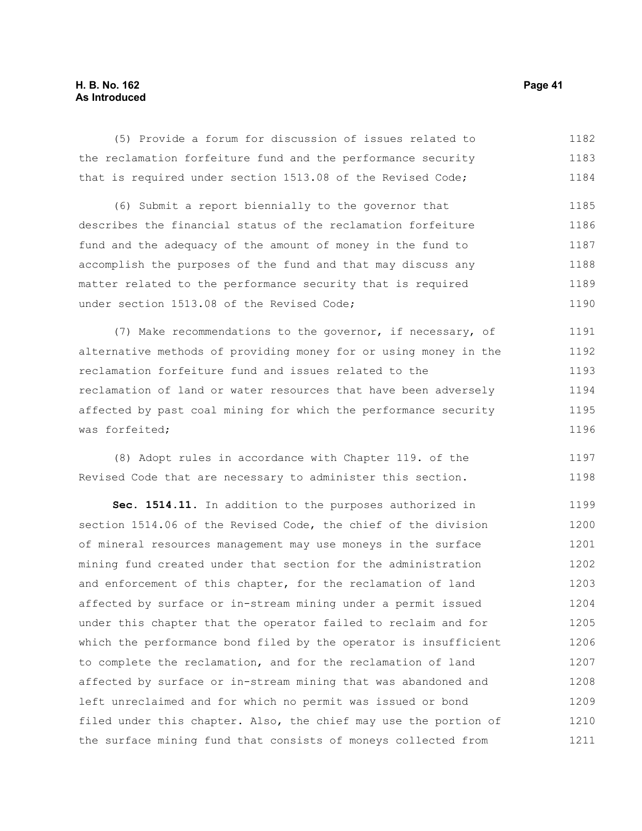# **H. B. No. 162 Page 41 As Introduced**

(5) Provide a forum for discussion of issues related to the reclamation forfeiture fund and the performance security that is required under section 1513.08 of the Revised Code; 1182 1183 1184

(6) Submit a report biennially to the governor that describes the financial status of the reclamation forfeiture fund and the adequacy of the amount of money in the fund to accomplish the purposes of the fund and that may discuss any matter related to the performance security that is required under section 1513.08 of the Revised Code; 1185 1186 1187 1188 1189 1190

(7) Make recommendations to the governor, if necessary, of alternative methods of providing money for or using money in the reclamation forfeiture fund and issues related to the reclamation of land or water resources that have been adversely affected by past coal mining for which the performance security was forfeited; 1191 1192 1193 1194 1195 1196

(8) Adopt rules in accordance with Chapter 119. of the Revised Code that are necessary to administer this section. 1197 1198

**Sec. 1514.11.** In addition to the purposes authorized in section 1514.06 of the Revised Code, the chief of the division of mineral resources management may use moneys in the surface mining fund created under that section for the administration and enforcement of this chapter, for the reclamation of land affected by surface or in-stream mining under a permit issued under this chapter that the operator failed to reclaim and for which the performance bond filed by the operator is insufficient to complete the reclamation, and for the reclamation of land affected by surface or in-stream mining that was abandoned and left unreclaimed and for which no permit was issued or bond filed under this chapter. Also, the chief may use the portion of the surface mining fund that consists of moneys collected from 1199 1200 1201 1202 1203 1204 1205 1206 1207 1208 1209 1210 1211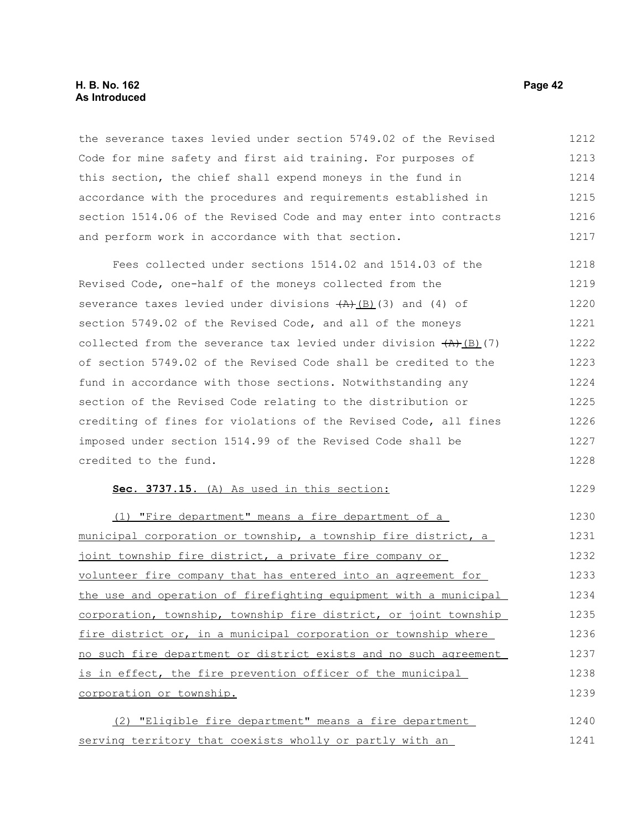# **H. B. No. 162 Page 42 As Introduced**

the severance taxes levied under section 5749.02 of the Revised Code for mine safety and first aid training. For purposes of this section, the chief shall expend moneys in the fund in accordance with the procedures and requirements established in section 1514.06 of the Revised Code and may enter into contracts and perform work in accordance with that section. 1212 1213 1214 1215 1216 1217

Fees collected under sections 1514.02 and 1514.03 of the Revised Code, one-half of the moneys collected from the severance taxes levied under divisions  $(A)$  (B)(3) and (4) of section 5749.02 of the Revised Code, and all of the moneys collected from the severance tax levied under division  $(A)$ (B)(7) of section 5749.02 of the Revised Code shall be credited to the fund in accordance with those sections. Notwithstanding any section of the Revised Code relating to the distribution or crediting of fines for violations of the Revised Code, all fines imposed under section 1514.99 of the Revised Code shall be credited to the fund. 1218 1219 1220 1221 1222 1223 1224 1225 1226 1227 1228

#### **Sec. 3737.15.** (A) As used in this section:

(1) "Fire department" means a fire department of a municipal corporation or township, a township fire district, a joint township fire district, a private fire company or volunteer fire company that has entered into an agreement for the use and operation of firefighting equipment with a municipal corporation, township, township fire district, or joint township fire district or, in a municipal corporation or township where no such fire department or district exists and no such agreement is in effect, the fire prevention officer of the municipal corporation or township. 1230 1231 1232 1233 1234 1235 1236 1237 1238 1239

(2) "Eligible fire department" means a fire department serving territory that coexists wholly or partly with an 1240 1241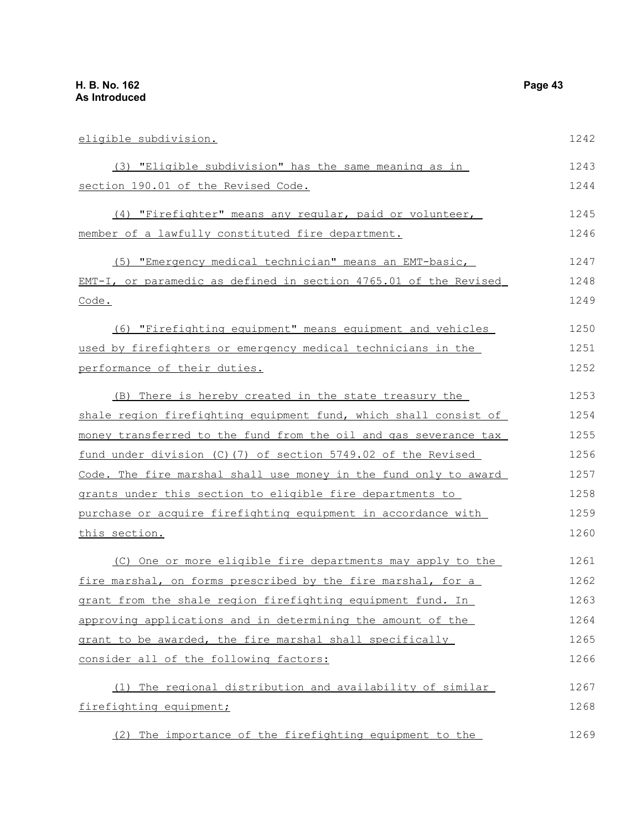eligible subdivision. (3) "Eligible subdivision" has the same meaning as in section 190.01 of the Revised Code. (4) "Firefighter" means any regular, paid or volunteer, member of a lawfully constituted fire department. (5) "Emergency medical technician" means an EMT-basic, EMT-I, or paramedic as defined in section 4765.01 of the Revised Code. (6) "Firefighting equipment" means equipment and vehicles used by firefighters or emergency medical technicians in the performance of their duties. (B) There is hereby created in the state treasury the shale region firefighting equipment fund, which shall consist of money transferred to the fund from the oil and gas severance tax fund under division (C)(7) of section 5749.02 of the Revised Code. The fire marshal shall use money in the fund only to award grants under this section to eligible fire departments to purchase or acquire firefighting equipment in accordance with this section. (C) One or more eligible fire departments may apply to the fire marshal, on forms prescribed by the fire marshal, for a grant from the shale region firefighting equipment fund. In approving applications and in determining the amount of the grant to be awarded, the fire marshal shall specifically consider all of the following factors: (1) The regional distribution and availability of similar firefighting equipment; 1242 1243 1244 1245 1246 1247 1248 1249 1250 1251 1252 1253 1254 1255 1256 1257 1258 1259 1260 1261 1262 1263 1264 1265 1266 1267 1268

(2) The importance of the firefighting equipment to the 1269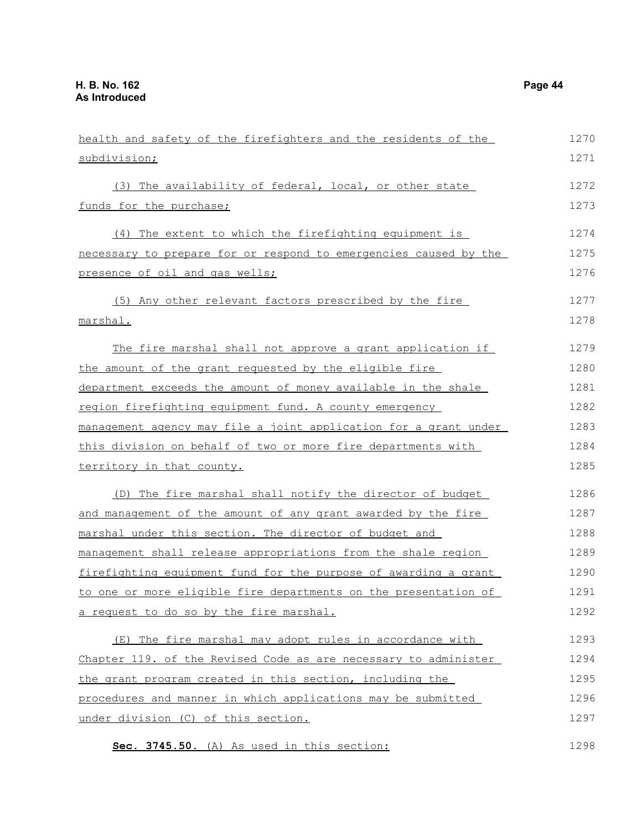| health and safety of the firefighters and the residents of the   | 1270 |
|------------------------------------------------------------------|------|
| subdivision;                                                     | 1271 |
| (3) The availability of federal, local, or other state           | 1272 |
| funds for the purchase;                                          | 1273 |
| (4) The extent to which the firefighting equipment is            | 1274 |
| necessary to prepare for or respond to emergencies caused by the | 1275 |
| presence of oil and gas wells;                                   | 1276 |
| (5) Any other relevant factors prescribed by the fire            | 1277 |
| marshal.                                                         | 1278 |
| The fire marshal shall not approve a grant application if        | 1279 |
| the amount of the grant requested by the eligible fire           | 1280 |
| department exceeds the amount of money available in the shale    | 1281 |
| region firefighting equipment fund. A county emergency           | 1282 |
| management agency may file a joint application for a grant under | 1283 |
| this division on behalf of two or more fire departments with     | 1284 |
| territory in that county.                                        | 1285 |
| (D) The fire marshal shall notify the director of budget         | 1286 |
| and management of the amount of any grant awarded by the fire    | 1287 |
| marshal under this section. The director of budget and           | 1288 |
| management shall release appropriations from the shale region    | 1289 |
| firefighting equipment fund for the purpose of awarding a grant  | 1290 |
| to one or more eligible fire departments on the presentation of  | 1291 |
| a request to do so by the fire marshal.                          | 1292 |
| (E) The fire marshal may adopt rules in accordance with          | 1293 |
| Chapter 119. of the Revised Code as are necessary to administer  | 1294 |
| the grant program created in this section, including the         | 1295 |
| procedures and manner in which applications may be submitted     | 1296 |
| under division (C) of this section.                              | 1297 |

 **Sec. 3745.50.** (A) As used in this section: 1298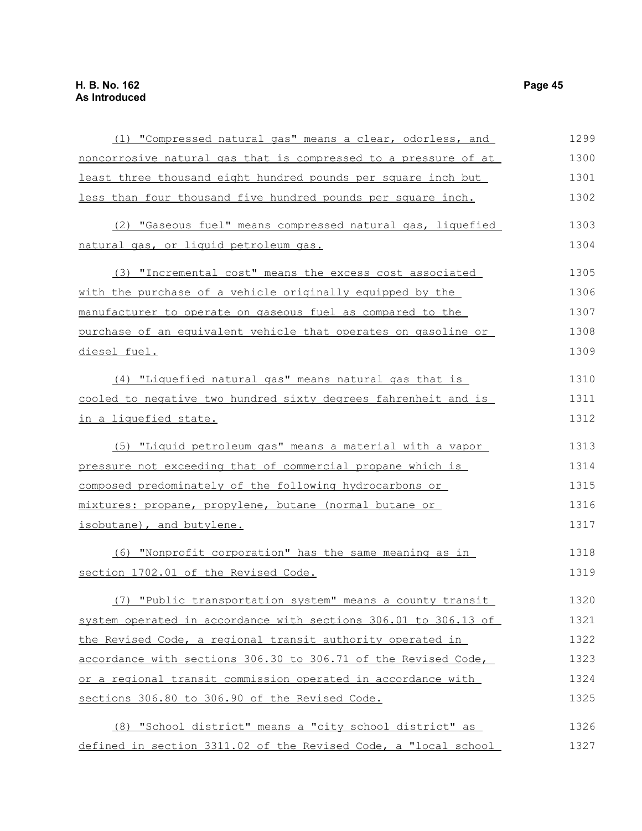|                                                                 | 1299 |
|-----------------------------------------------------------------|------|
| (1) "Compressed natural gas" means a clear, odorless, and       |      |
| noncorrosive natural gas that is compressed to a pressure of at | 1300 |
| least three thousand eight hundred pounds per square inch but   | 1301 |
| less than four thousand five hundred pounds per square inch.    | 1302 |
| (2) "Gaseous fuel" means compressed natural gas, liquefied      | 1303 |
| natural gas, or liquid petroleum gas.                           | 1304 |
| (3) "Incremental cost" means the excess cost associated         | 1305 |
| with the purchase of a vehicle originally equipped by the       | 1306 |
| manufacturer to operate on gaseous fuel as compared to the      | 1307 |
| purchase of an equivalent vehicle that operates on gasoline or  | 1308 |
| diesel fuel.                                                    | 1309 |
| (4) "Liquefied natural gas" means natural gas that is           | 1310 |
| cooled to negative two hundred sixty degrees fahrenheit and is  | 1311 |
| <u>in a liquefied state.</u>                                    | 1312 |
| (5) "Liquid petroleum gas" means a material with a vapor        | 1313 |
| pressure not exceeding that of commercial propane which is      | 1314 |
| composed predominately of the following hydrocarbons or         | 1315 |
| mixtures: propane, propylene, butane (normal butane or          | 1316 |
| isobutane), and butylene.                                       | 1317 |
| (6) "Nonprofit corporation" has the same meaning as in          | 1318 |
| section 1702.01 of the Revised Code.                            | 1319 |
| (7) "Public transportation system" means a county transit       | 1320 |
| system operated in accordance with sections 306.01 to 306.13 of | 1321 |
| the Revised Code, a regional transit authority operated in      | 1322 |
| accordance with sections 306.30 to 306.71 of the Revised Code,  | 1323 |
| or a regional transit commission operated in accordance with    | 1324 |
| sections 306.80 to 306.90 of the Revised Code.                  | 1325 |
| (8) "School district" means a "city school district" as         | 1326 |
| defined in section 3311.02 of the Revised Code, a "local school | 1327 |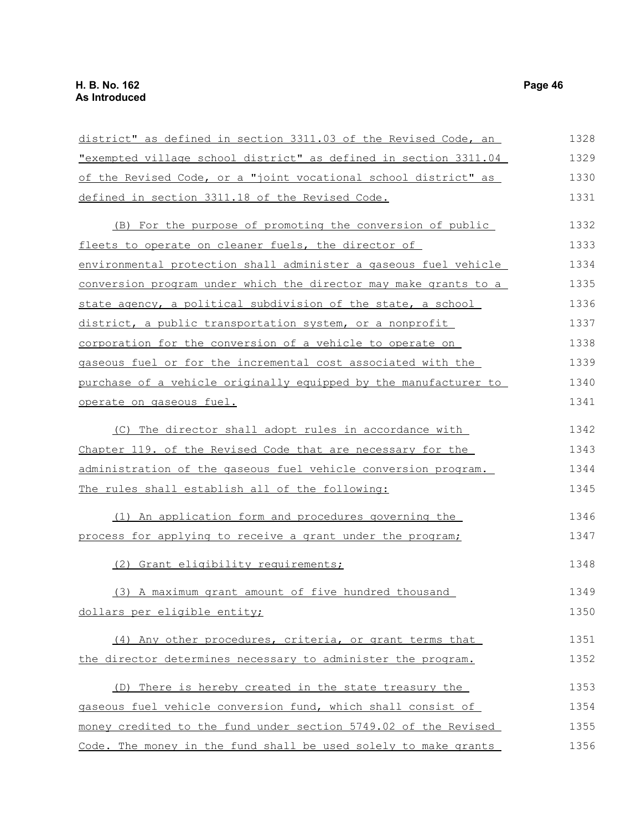| district" as defined in section 3311.03 of the Revised Code, an  | 1328 |
|------------------------------------------------------------------|------|
| "exempted village school district" as defined in section 3311.04 | 1329 |
| of the Revised Code, or a "joint vocational school district" as  | 1330 |
| defined in section 3311.18 of the Revised Code.                  | 1331 |
| (B) For the purpose of promoting the conversion of public        | 1332 |
| fleets to operate on cleaner fuels, the director of              | 1333 |
| environmental protection shall administer a gaseous fuel vehicle | 1334 |
| conversion program under which the director may make grants to a | 1335 |
| state agency, a political subdivision of the state, a school     | 1336 |
| district, a public transportation system, or a nonprofit         | 1337 |
| corporation for the conversion of a vehicle to operate on        | 1338 |
| gaseous fuel or for the incremental cost associated with the     | 1339 |
| purchase of a vehicle originally equipped by the manufacturer to | 1340 |
| operate on gaseous fuel.                                         | 1341 |
| (C) The director shall adopt rules in accordance with            | 1342 |
| Chapter 119. of the Revised Code that are necessary for the      | 1343 |
| administration of the gaseous fuel vehicle conversion program.   | 1344 |
| The rules shall establish all of the following:                  | 1345 |
| (1) An application form and procedures governing the             | 1346 |
| process for applying to receive a grant under the program;       | 1347 |
| (2) Grant eligibility requirements;                              | 1348 |
| (3) A maximum grant amount of five hundred thousand              | 1349 |
| dollars per eligible entity;                                     | 1350 |
| (4) Any other procedures, criteria, or grant terms that          | 1351 |
| the director determines necessary to administer the program.     | 1352 |
| (D) There is hereby created in the state treasury the            | 1353 |
| gaseous fuel vehicle conversion fund, which shall consist of     | 1354 |
| money credited to the fund under section 5749.02 of the Revised  | 1355 |
| Code. The money in the fund shall be used solely to make grants  | 1356 |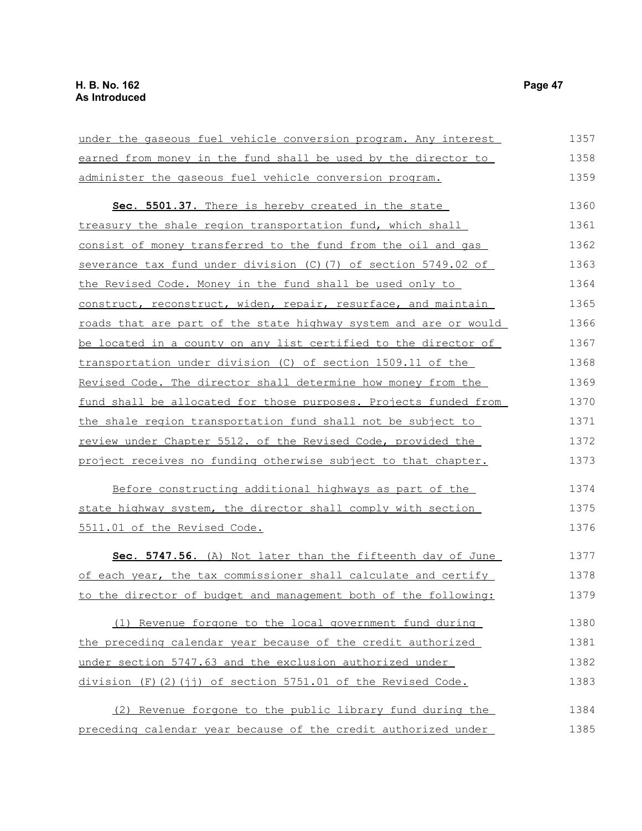| under the gaseous fuel vehicle conversion program. Any interest  | 1357 |
|------------------------------------------------------------------|------|
| earned from money in the fund shall be used by the director to   | 1358 |
| administer the gaseous fuel vehicle conversion program.          | 1359 |
| Sec. 5501.37. There is hereby created in the state               | 1360 |
| treasury the shale region transportation fund, which shall       | 1361 |
| consist of money transferred to the fund from the oil and gas    | 1362 |
| severance tax fund under division (C) (7) of section 5749.02 of  | 1363 |
| <u>the Revised Code. Money in the fund shall be used only to</u> | 1364 |
| construct, reconstruct, widen, repair, resurface, and maintain   | 1365 |
| roads that are part of the state highway system and are or would | 1366 |
| be located in a county on any list certified to the director of  | 1367 |
| transportation under division (C) of section 1509.11 of the      | 1368 |
| Revised Code. The director shall determine how money from the    | 1369 |
| fund shall be allocated for those purposes. Projects funded from | 1370 |
| the shale region transportation fund shall not be subject to     | 1371 |
| review under Chapter 5512. of the Revised Code, provided the     | 1372 |
| project receives no funding otherwise subject to that chapter.   | 1373 |
| Before constructing additional highways as part of the           | 1374 |
| state highway system, the director shall comply with section     | 1375 |
| 5511.01 of the Revised Code.                                     | 1376 |
| Sec. 5747.56. (A) Not later than the fifteenth day of June       | 1377 |
| of each year, the tax commissioner shall calculate and certify   | 1378 |
| to the director of budget and management both of the following:  | 1379 |
| (1) Revenue forgone to the local government fund during          | 1380 |
| the preceding calendar year because of the credit authorized     | 1381 |
| under section 5747.63 and the exclusion authorized under         | 1382 |
| division (F)(2)(jj) of section 5751.01 of the Revised Code.      | 1383 |
| (2) Revenue forgone to the public library fund during the        | 1384 |
| preceding calendar year because of the credit authorized under   | 1385 |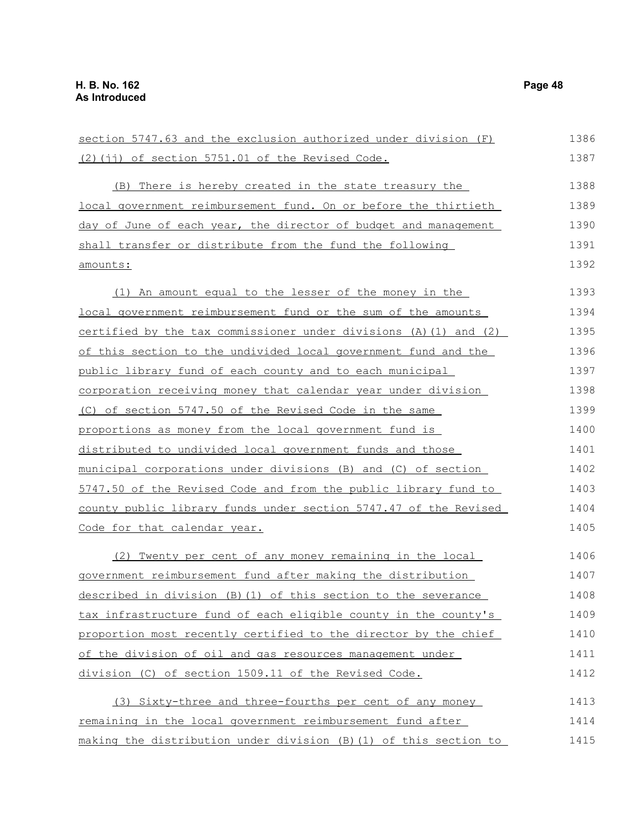$(2)$ (jj) of section 5751.01 of the Revised Code. (B) There is hereby created in the state treasury the local government reimbursement fund. On or before the thirtieth day of June of each year, the director of budget and management shall transfer or distribute from the fund the following amounts: (1) An amount equal to the lesser of the money in the local government reimbursement fund or the sum of the amounts certified by the tax commissioner under divisions (A)(1) and (2) of this section to the undivided local government fund and the public library fund of each county and to each municipal corporation receiving money that calendar year under division (C) of section 5747.50 of the Revised Code in the same proportions as money from the local government fund is distributed to undivided local government funds and those municipal corporations under divisions (B) and (C) of section 5747.50 of the Revised Code and from the public library fund to county public library funds under section 5747.47 of the Revised Code for that calendar year. (2) Twenty per cent of any money remaining in the local government reimbursement fund after making the distribution described in division (B)(1) of this section to the severance tax infrastructure fund of each eligible county in the county's proportion most recently certified to the director by the chief of the division of oil and gas resources management under division (C) of section 1509.11 of the Revised Code. (3) Sixty-three and three-fourths per cent of any money remaining in the local government reimbursement fund after 1387 1388 1389 1390 1391 1392 1393 1394 1395 1396 1397 1398 1399 1400 1401 1402 1403 1404 1405 1406 1407 1408 1409 1410 1411 1412 1413 1414

section 5747.63 and the exclusion authorized under division (F)

making the distribution under division (B)(1) of this section to 1415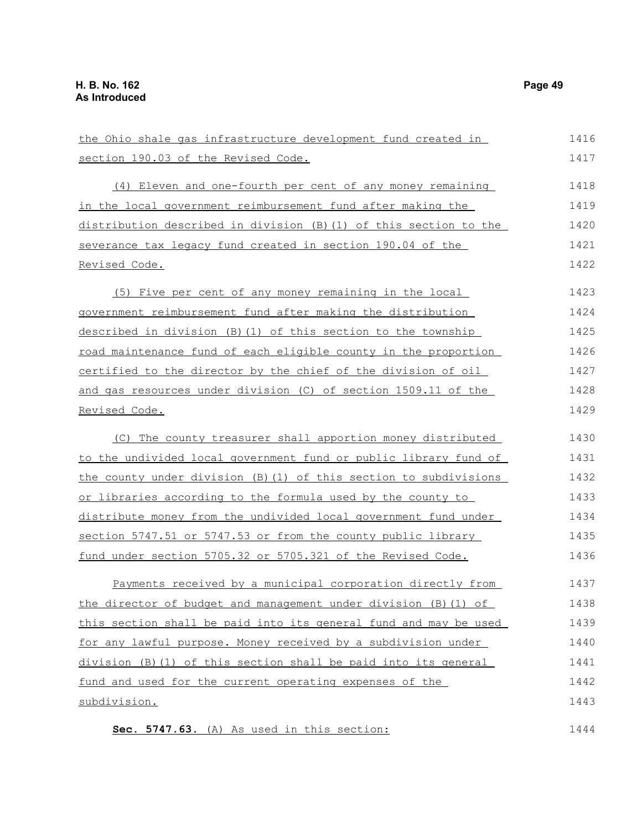Revised Code.

Revised Code.

section 190.03 of the Revised Code. (4) Eleven and one-fourth per cent of any money remaining in the local government reimbursement fund after making the distribution described in division (B)(1) of this section to the severance tax legacy fund created in section 190.04 of the (5) Five per cent of any money remaining in the local government reimbursement fund after making the distribution described in division (B)(1) of this section to the township road maintenance fund of each eligible county in the proportion certified to the director by the chief of the division of oil and gas resources under division (C) of section 1509.11 of the (C) The county treasurer shall apportion money distributed to the undivided local government fund or public library fund of 1417 1418 1419 1420 1421 1422 1423 1424 1425 1426 1427 1428 1429 1430 1431

the county under division (B)(1) of this section to subdivisions or libraries according to the formula used by the county to distribute money from the undivided local government fund under section 5747.51 or 5747.53 or from the county public library fund under section 5705.32 or 5705.321 of the Revised Code. 1432 1433 1434 1435 1436

the Ohio shale gas infrastructure development fund created in

Payments received by a municipal corporation directly from the director of budget and management under division (B)(1) of this section shall be paid into its general fund and may be used for any lawful purpose. Money received by a subdivision under division (B)(1) of this section shall be paid into its general fund and used for the current operating expenses of the subdivision. 1437 1438 1439 1440 1441 1442 1443

 **Sec. 5747.63.** (A) As used in this section: 1444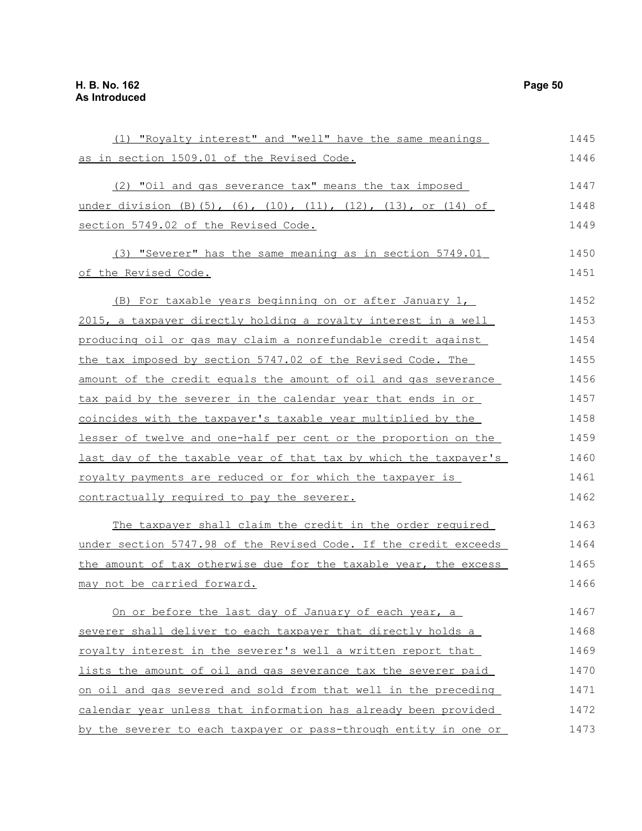(1) "Royalty interest" and "well" have the same meanings as in section 1509.01 of the Revised Code. (2) "Oil and gas severance tax" means the tax imposed under division (B)(5), (6), (10), (11), (12), (13), or (14) of section 5749.02 of the Revised Code. (3) "Severer" has the same meaning as in section 5749.01 of the Revised Code. (B) For taxable years beginning on or after January 1, 2015, a taxpayer directly holding a royalty interest in a well producing oil or gas may claim a nonrefundable credit against the tax imposed by section 5747.02 of the Revised Code. The amount of the credit equals the amount of oil and gas severance tax paid by the severer in the calendar year that ends in or coincides with the taxpayer's taxable year multiplied by the lesser of twelve and one-half per cent or the proportion on the last day of the taxable year of that tax by which the taxpayer's royalty payments are reduced or for which the taxpayer is contractually required to pay the severer. The taxpayer shall claim the credit in the order required under section 5747.98 of the Revised Code. If the credit exceeds the amount of tax otherwise due for the taxable year, the excess may not be carried forward. On or before the last day of January of each year, a severer shall deliver to each taxpayer that directly holds a royalty interest in the severer's well a written report that lists the amount of oil and gas severance tax the severer paid on oil and gas severed and sold from that well in the preceding calendar year unless that information has already been provided by the severer to each taxpayer or pass-through entity in one or 1445 1446 1447 1448 1449 1450 1451 1452 1453 1454 1455 1456 1457 1458 1459 1460 1461 1462 1463 1464 1465 1466 1467 1468 1469 1470 1471 1472 1473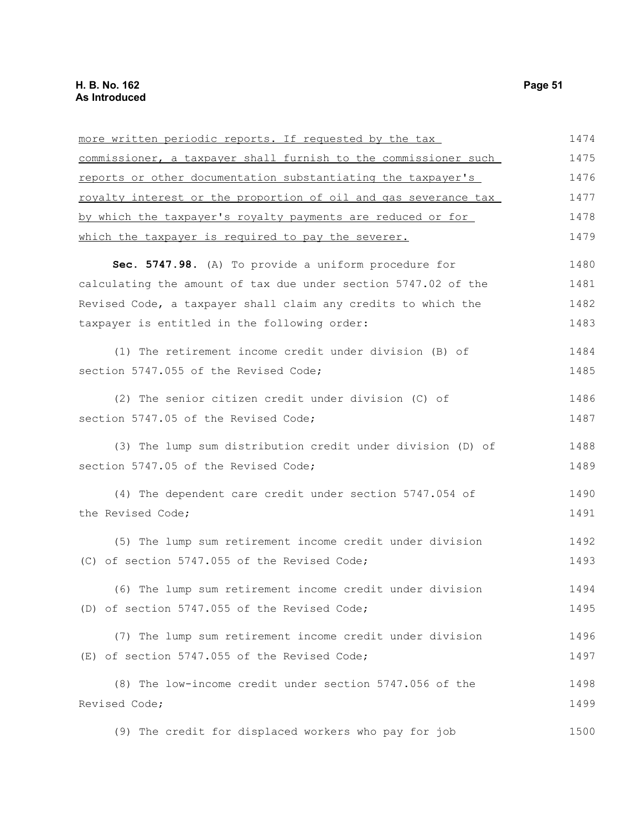| more written periodic reports. If requested by the tax          | 1474 |
|-----------------------------------------------------------------|------|
| commissioner, a taxpayer shall furnish to the commissioner such | 1475 |
| reports or other documentation substantiating the taxpayer's    | 1476 |
| royalty interest or the proportion of oil and gas severance tax | 1477 |
| by which the taxpayer's royalty payments are reduced or for     | 1478 |
| which the taxpayer is required to pay the severer.              | 1479 |
| Sec. 5747.98. (A) To provide a uniform procedure for            | 1480 |
| calculating the amount of tax due under section 5747.02 of the  | 1481 |
| Revised Code, a taxpayer shall claim any credits to which the   | 1482 |
| taxpayer is entitled in the following order:                    | 1483 |
| (1) The retirement income credit under division (B) of          | 1484 |
| section 5747.055 of the Revised Code;                           | 1485 |
| (2) The senior citizen credit under division (C) of             | 1486 |
| section 5747.05 of the Revised Code;                            | 1487 |
| (3) The lump sum distribution credit under division (D) of      | 1488 |
| section 5747.05 of the Revised Code;                            | 1489 |
| (4) The dependent care credit under section 5747.054 of         | 1490 |
| the Revised Code;                                               | 1491 |
| (5) The lump sum retirement income credit under division        | 1492 |
| (C) of section 5747.055 of the Revised Code;                    | 1493 |
| (6) The lump sum retirement income credit under division        | 1494 |
| (D) of section 5747.055 of the Revised Code;                    | 1495 |
| (7) The lump sum retirement income credit under division        | 1496 |
| (E) of section 5747.055 of the Revised Code;                    | 1497 |
| (8) The low-income credit under section 5747.056 of the         | 1498 |
| Revised Code;                                                   | 1499 |
| (9) The credit for displaced workers who pay for job            | 1500 |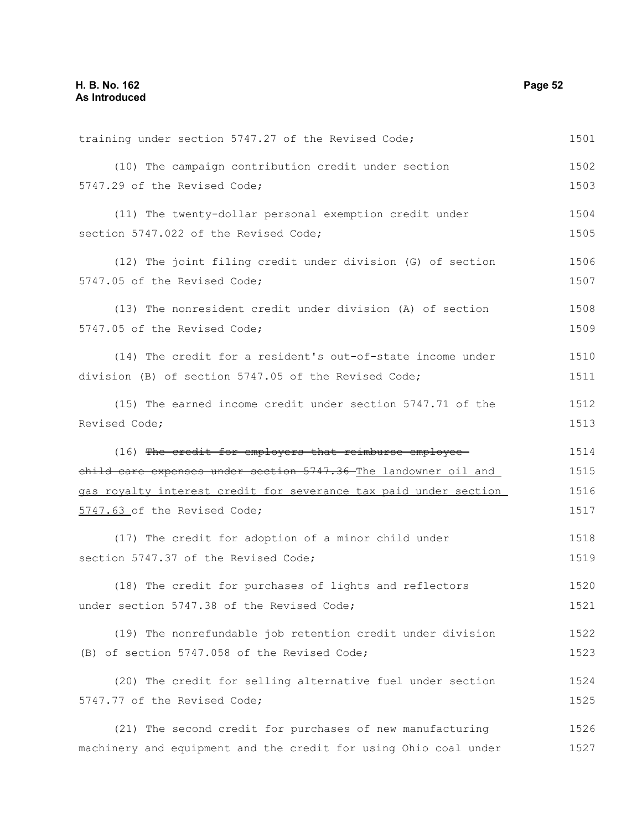training under section 5747.27 of the Revised Code; (10) The campaign contribution credit under section 5747.29 of the Revised Code; (11) The twenty-dollar personal exemption credit under section 5747.022 of the Revised Code; (12) The joint filing credit under division (G) of section 5747.05 of the Revised Code; (13) The nonresident credit under division (A) of section 5747.05 of the Revised Code; (14) The credit for a resident's out-of-state income under division (B) of section 5747.05 of the Revised Code; (15) The earned income credit under section 5747.71 of the Revised Code; (16) The credit for employers that reimburse employeechild care expenses under section 5747.36 The landowner oil and gas royalty interest credit for severance tax paid under section 5747.63 of the Revised Code; (17) The credit for adoption of a minor child under section 5747.37 of the Revised Code: (18) The credit for purchases of lights and reflectors under section 5747.38 of the Revised Code; (19) The nonrefundable job retention credit under division (B) of section 5747.058 of the Revised Code; (20) The credit for selling alternative fuel under section 5747.77 of the Revised Code; (21) The second credit for purchases of new manufacturing machinery and equipment and the credit for using Ohio coal under 1501 1502 1503 1504 1505 1506 1507 1508 1509 1510 1511 1512 1513 1514 1515 1516 1517 1518 1519 1520 1521 1522 1523 1524 1525 1526 1527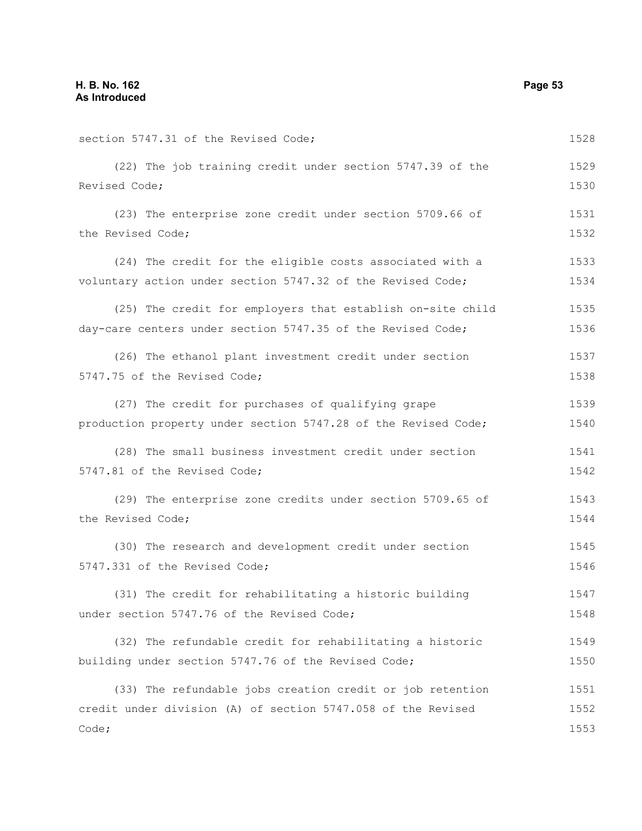| section 5747.31 of the Revised Code;                           | 1528 |
|----------------------------------------------------------------|------|
| (22) The job training credit under section 5747.39 of the      | 1529 |
| Revised Code;                                                  | 1530 |
| (23) The enterprise zone credit under section 5709.66 of       | 1531 |
| the Revised Code;                                              | 1532 |
| (24) The credit for the eligible costs associated with a       | 1533 |
| voluntary action under section 5747.32 of the Revised Code;    | 1534 |
| (25) The credit for employers that establish on-site child     | 1535 |
| day-care centers under section 5747.35 of the Revised Code;    | 1536 |
| (26) The ethanol plant investment credit under section         | 1537 |
| 5747.75 of the Revised Code;                                   | 1538 |
| (27) The credit for purchases of qualifying grape              | 1539 |
| production property under section 5747.28 of the Revised Code; | 1540 |
| (28) The small business investment credit under section        | 1541 |
| 5747.81 of the Revised Code;                                   | 1542 |
| (29) The enterprise zone credits under section 5709.65 of      | 1543 |
| the Revised Code;                                              | 1544 |
| (30) The research and development credit under section         | 1545 |
| 5747.331 of the Revised Code;                                  | 1546 |
| (31) The credit for rehabilitating a historic building         | 1547 |
| under section 5747.76 of the Revised Code;                     | 1548 |
| (32) The refundable credit for rehabilitating a historic       | 1549 |
| building under section 5747.76 of the Revised Code;            | 1550 |
| (33) The refundable jobs creation credit or job retention      | 1551 |
| credit under division (A) of section 5747.058 of the Revised   | 1552 |
| Code;                                                          | 1553 |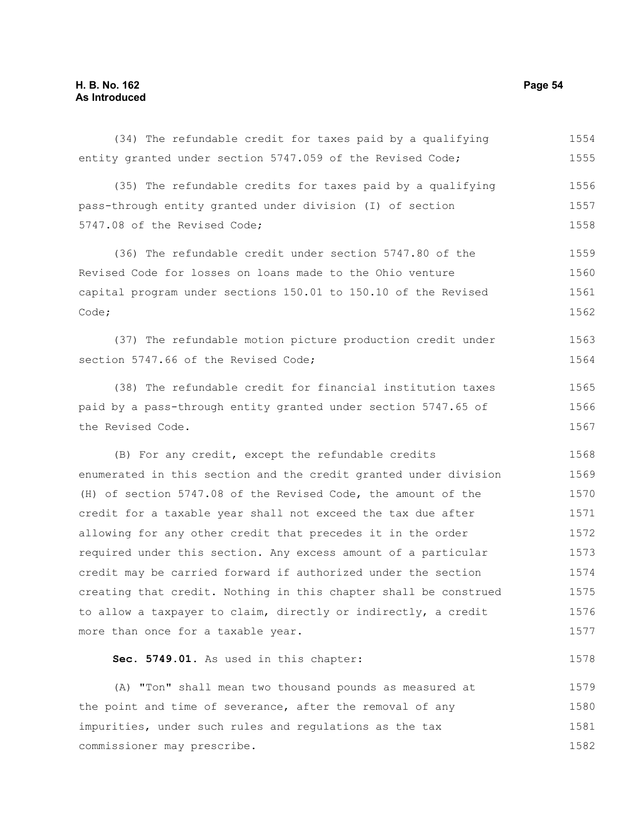(34) The refundable credit for taxes paid by a qualifying entity granted under section 5747.059 of the Revised Code; (35) The refundable credits for taxes paid by a qualifying pass-through entity granted under division (I) of section 5747.08 of the Revised Code; (36) The refundable credit under section 5747.80 of the Revised Code for losses on loans made to the Ohio venture capital program under sections 150.01 to 150.10 of the Revised Code; (37) The refundable motion picture production credit under section 5747.66 of the Revised Code; (38) The refundable credit for financial institution taxes paid by a pass-through entity granted under section 5747.65 of the Revised Code. (B) For any credit, except the refundable credits enumerated in this section and the credit granted under division (H) of section 5747.08 of the Revised Code, the amount of the credit for a taxable year shall not exceed the tax due after allowing for any other credit that precedes it in the order required under this section. Any excess amount of a particular credit may be carried forward if authorized under the section creating that credit. Nothing in this chapter shall be construed to allow a taxpayer to claim, directly or indirectly, a credit more than once for a taxable year. **Sec. 5749.01.** As used in this chapter: (A) "Ton" shall mean two thousand pounds as measured at the point and time of severance, after the removal of any impurities, under such rules and regulations as the tax commissioner may prescribe. 1554 1555 1556 1557 1558 1559 1560 1561 1562 1563 1564 1565 1566 1567 1568 1569 1570 1571 1572 1573 1574 1575 1576 1577 1578 1579 1580 1581 1582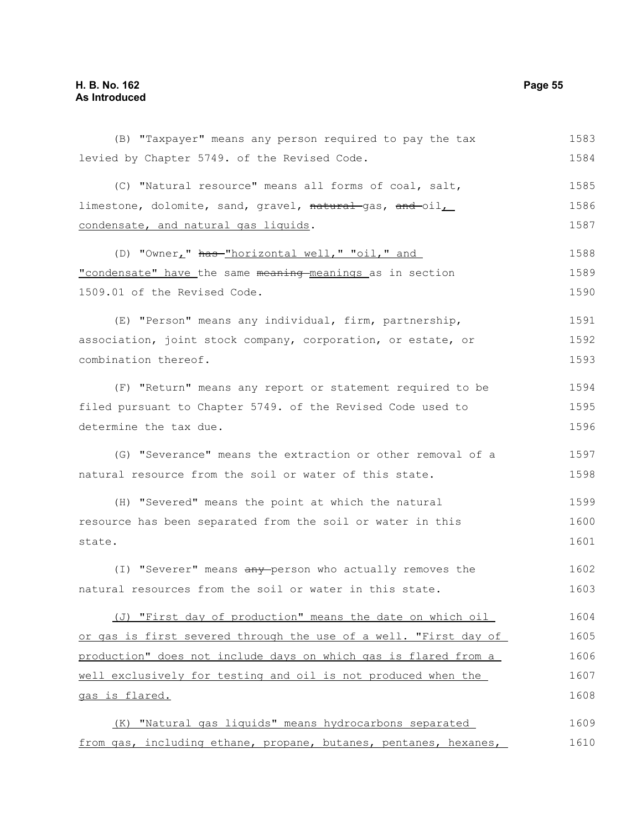# **H. B. No. 162 Page 55 As Introduced**

(B) "Taxpayer" means any person required to pay the tax levied by Chapter 5749. of the Revised Code. (C) "Natural resource" means all forms of coal, salt, limestone, dolomite, sand, gravel, natural gas, and oil condensate, and natural gas liquids. (D) "Owner," has-"horizontal well," "oil," and "condensate" have the same meaning meanings as in section 1509.01 of the Revised Code. (E) "Person" means any individual, firm, partnership, association, joint stock company, corporation, or estate, or combination thereof. (F) "Return" means any report or statement required to be filed pursuant to Chapter 5749. of the Revised Code used to determine the tax due. (G) "Severance" means the extraction or other removal of a natural resource from the soil or water of this state. (H) "Severed" means the point at which the natural resource has been separated from the soil or water in this state. (I) "Severer" means any person who actually removes the natural resources from the soil or water in this state. (J) "First day of production" means the date on which oil or gas is first severed through the use of a well. "First day of production" does not include days on which gas is flared from a well exclusively for testing and oil is not produced when the gas is flared. (K) "Natural gas liquids" means hydrocarbons separated from gas, including ethane, propane, butanes, pentanes, hexanes, 1583 1584 1585 1586 1587 1588 1589 1590 1591 1592 1593 1594 1595 1596 1597 1598 1599 1600 1601 1602 1603 1604 1605 1606 1607 1608 1609 1610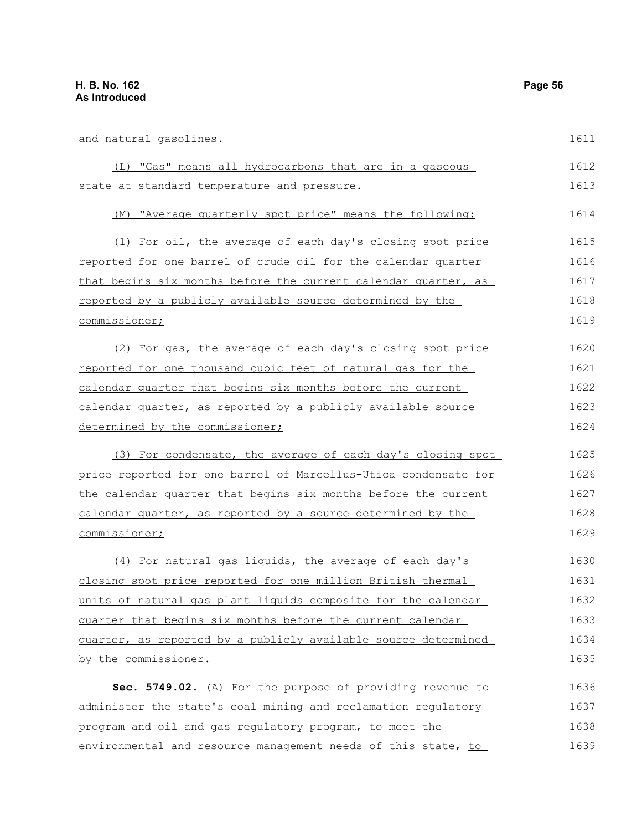| and natural gasolines.                                          | 1611 |
|-----------------------------------------------------------------|------|
| (L) "Gas" means all hydrocarbons that are in a gaseous          | 1612 |
| state at standard temperature and pressure.                     | 1613 |
| (M) "Average quarterly spot price" means the following:         | 1614 |
| (1) For oil, the average of each day's closing spot price       | 1615 |
| reported for one barrel of crude oil for the calendar quarter   | 1616 |
| that begins six months before the current calendar quarter, as  | 1617 |
| reported by a publicly available source determined by the       | 1618 |
| commissioner;                                                   | 1619 |
| (2) For gas, the average of each day's closing spot price       | 1620 |
| reported for one thousand cubic feet of natural gas for the     | 1621 |
| calendar quarter that begins six months before the current      | 1622 |
| calendar quarter, as reported by a publicly available source    | 1623 |
| determined by the commissioner;                                 | 1624 |
| (3) For condensate, the average of each day's closing spot      | 1625 |
| price reported for one barrel of Marcellus-Utica condensate for | 1626 |
| the calendar quarter that begins six months before the current  | 1627 |
| calendar quarter, as reported by a source determined by the     | 1628 |
| commissioner;                                                   | 1629 |
| (4) For natural gas liquids, the average of each day's          | 1630 |
| closing spot price reported for one million British thermal     | 1631 |
| units of natural gas plant liquids composite for the calendar   | 1632 |
| quarter that begins six months before the current calendar      | 1633 |
| guarter, as reported by a publicly available source determined  | 1634 |
| by the commissioner.                                            | 1635 |
| Sec. 5749.02. (A) For the purpose of providing revenue to       | 1636 |
| administer the state's coal mining and reclamation regulatory   | 1637 |
| program_and_oil_and_gas_regulatory_program, to meet the         | 1638 |
| environmental and resource management needs of this state, to   | 1639 |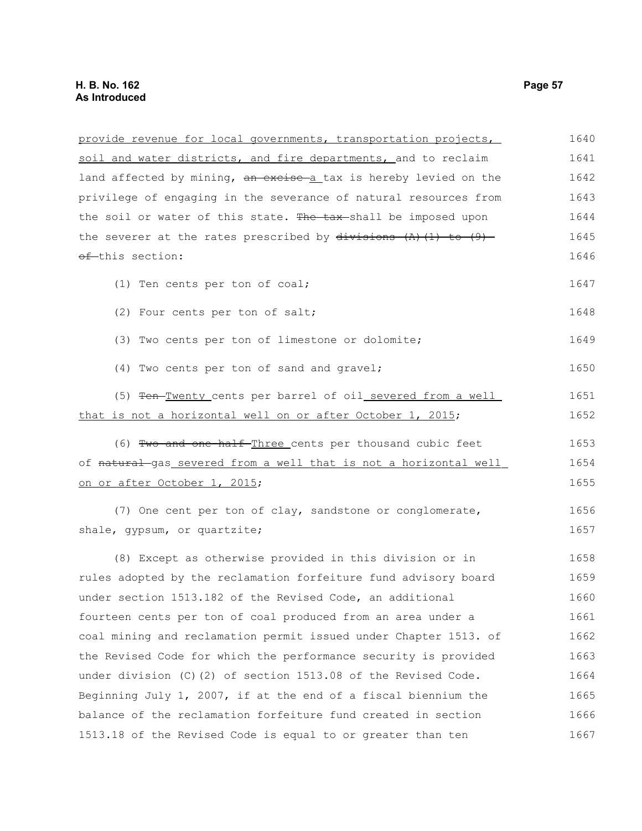| provide revenue for local governments, transportation projects,           | 1640 |
|---------------------------------------------------------------------------|------|
| soil and water districts, and fire departments, and to reclaim            | 1641 |
| land affected by mining, an excise a tax is hereby levied on the          | 1642 |
| privilege of engaging in the severance of natural resources from          | 1643 |
| the soil or water of this state. The tax-shall be imposed upon            | 1644 |
| the severer at the rates prescribed by $\frac{divisions}{(1)}$ (1) to (9) | 1645 |
| of this section:                                                          | 1646 |
| (1) Ten cents per ton of coal;                                            | 1647 |
| (2) Four cents per ton of salt;                                           | 1648 |
| (3) Two cents per ton of limestone or dolomite;                           | 1649 |
| (4) Two cents per ton of sand and gravel;                                 | 1650 |
| (5) Ten-Twenty cents per barrel of oil severed from a well                | 1651 |
| that is not a horizontal well on or after October 1, 2015;                | 1652 |
| (6) Two and one-half-Three cents per thousand cubic feet                  | 1653 |
| of natural gas severed from a well that is not a horizontal well          | 1654 |
| on or after October 1, 2015;                                              | 1655 |
| (7) One cent per ton of clay, sandstone or conglomerate,                  | 1656 |
| shale, gypsum, or quartzite;                                              | 1657 |
| (8) Except as otherwise provided in this division or in                   | 1658 |
| rules adopted by the reclamation forfeiture fund advisory board           | 1659 |
| under section 1513.182 of the Revised Code, an additional                 | 1660 |
| fourteen cents per ton of coal produced from an area under a              | 1661 |
| coal mining and reclamation permit issued under Chapter 1513. of          | 1662 |
| the Revised Code for which the performance security is provided           | 1663 |
| under division (C)(2) of section 1513.08 of the Revised Code.             | 1664 |
| Beginning July 1, 2007, if at the end of a fiscal biennium the            | 1665 |
| balance of the reclamation forfeiture fund created in section             | 1666 |
| 1513.18 of the Revised Code is equal to or greater than ten               | 1667 |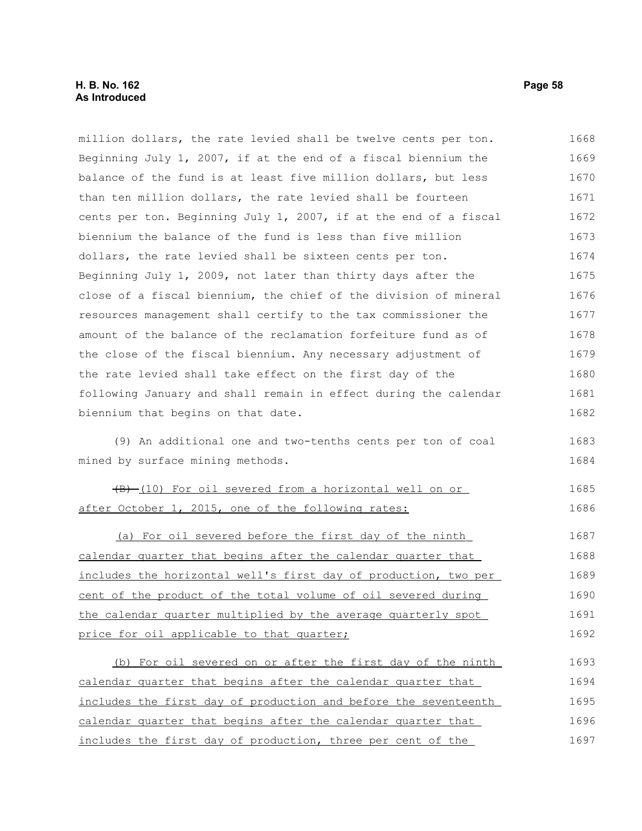# **H. B. No. 162 Page 58 As Introduced**

million dollars, the rate levied shall be twelve cents per ton. Beginning July 1, 2007, if at the end of a fiscal biennium the balance of the fund is at least five million dollars, but less than ten million dollars, the rate levied shall be fourteen cents per ton. Beginning July 1, 2007, if at the end of a fiscal biennium the balance of the fund is less than five million dollars, the rate levied shall be sixteen cents per ton. Beginning July 1, 2009, not later than thirty days after the close of a fiscal biennium, the chief of the division of mineral resources management shall certify to the tax commissioner the amount of the balance of the reclamation forfeiture fund as of the close of the fiscal biennium. Any necessary adjustment of the rate levied shall take effect on the first day of the following January and shall remain in effect during the calendar biennium that begins on that date. (9) An additional one and two-tenths cents per ton of coal mined by surface mining methods. (B) (10) For oil severed from a horizontal well on or after October 1, 2015, one of the following rates: (a) For oil severed before the first day of the ninth calendar quarter that begins after the calendar quarter that includes the horizontal well's first day of production, two per cent of the product of the total volume of oil severed during the calendar quarter multiplied by the average quarterly spot price for oil applicable to that quarter; (b) For oil severed on or after the first day of the ninth calendar quarter that begins after the calendar quarter that includes the first day of production and before the seventeenth calendar quarter that begins after the calendar quarter that includes the first day of production, three per cent of the 1668 1669 1670 1671 1672 1673 1674 1675 1676 1677 1678 1679 1680 1681 1682 1683 1684 1685 1686 1687 1688 1689 1690 1691 1692 1693 1694 1695 1696 1697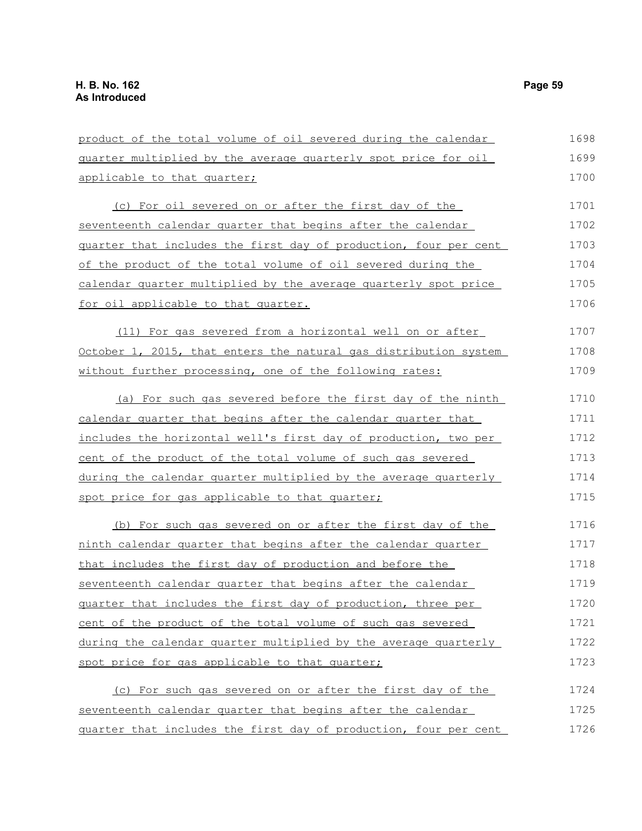product of the total volume of oil severed during the calendar quarter multiplied by the average quarterly spot price for oil applicable to that quarter; (c) For oil severed on or after the first day of the seventeenth calendar quarter that begins after the calendar quarter that includes the first day of production, four per cent of the product of the total volume of oil severed during the calendar quarter multiplied by the average quarterly spot price for oil applicable to that quarter. (11) For gas severed from a horizontal well on or after October 1, 2015, that enters the natural gas distribution system without further processing, one of the following rates: (a) For such gas severed before the first day of the ninth calendar quarter that begins after the calendar quarter that includes the horizontal well's first day of production, two per cent of the product of the total volume of such gas severed during the calendar quarter multiplied by the average quarterly spot price for gas applicable to that quarter; (b) For such gas severed on or after the first day of the ninth calendar quarter that begins after the calendar quarter that includes the first day of production and before the seventeenth calendar quarter that begins after the calendar quarter that includes the first day of production, three per cent of the product of the total volume of such gas severed during the calendar quarter multiplied by the average quarterly spot price for gas applicable to that quarter; (c) For such gas severed on or after the first day of the seventeenth calendar quarter that begins after the calendar quarter that includes the first day of production, four per cent 1698 1699 1700 1701 1702 1703 1704 1705 1706 1707 1708 1709 1710 1711 1712 1713 1714 1715 1716 1717 1718 1719 1720 1721 1722 1723 1724 1725 1726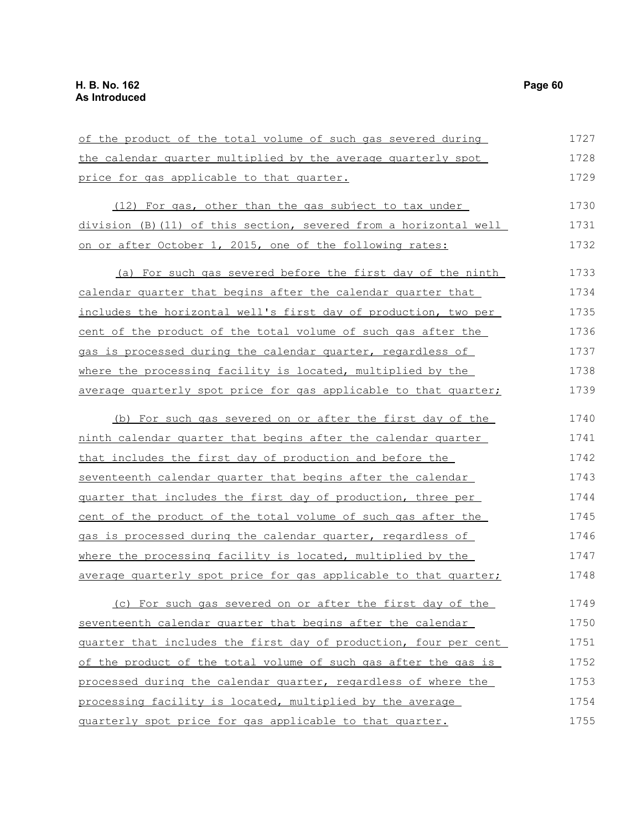the calendar quarter multiplied by the average quarterly spot price for gas applicable to that quarter. (12) For gas, other than the gas subject to tax under division (B)(11) of this section, severed from a horizontal well on or after October 1, 2015, one of the following rates: (a) For such gas severed before the first day of the ninth calendar quarter that begins after the calendar quarter that includes the horizontal well's first day of production, two per cent of the product of the total volume of such gas after the gas is processed during the calendar quarter, regardless of where the processing facility is located, multiplied by the average quarterly spot price for gas applicable to that quarter; (b) For such gas severed on or after the first day of the ninth calendar quarter that begins after the calendar quarter that includes the first day of production and before the seventeenth calendar quarter that begins after the calendar quarter that includes the first day of production, three per cent of the product of the total volume of such gas after the gas is processed during the calendar quarter, regardless of where the processing facility is located, multiplied by the average quarterly spot price for gas applicable to that quarter; (c) For such gas severed on or after the first day of the seventeenth calendar quarter that begins after the calendar quarter that includes the first day of production, four per cent of the product of the total volume of such gas after the gas is processed during the calendar quarter, regardless of where the processing facility is located, multiplied by the average 1728 1729 1730 1731 1732 1733 1734 1735 1736 1737 1738 1739 1740 1741 1742 1743 1744 1745 1746 1747 1748 1749 1750 1751 1752 1753 1754

quarterly spot price for gas applicable to that quarter.

of the product of the total volume of such gas severed during

1727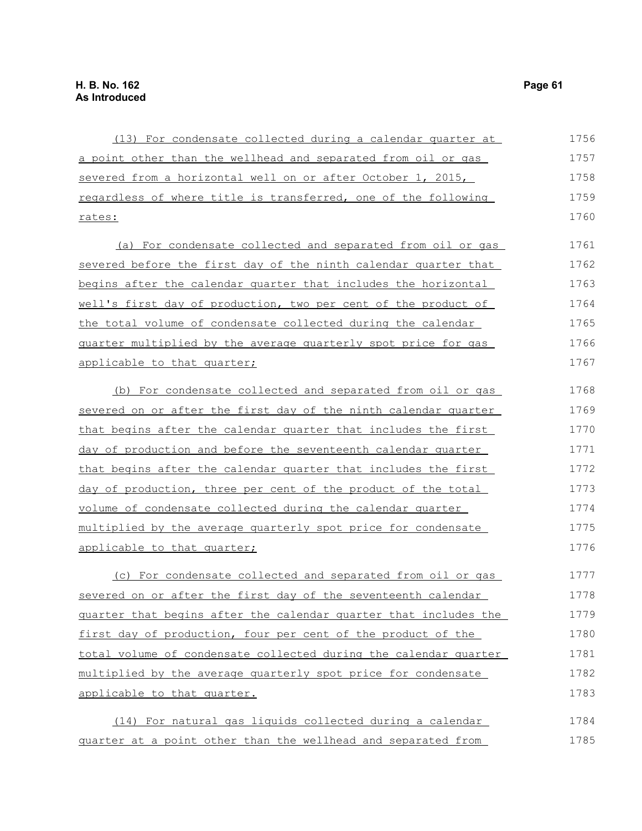| (13) For condensate collected during a calendar quarter at            | 1756 |
|-----------------------------------------------------------------------|------|
| a point other than the wellhead and separated from oil or gas         | 1757 |
| severed from a horizontal well on or after October 1, 2015,           | 1758 |
| regardless of where title is transferred, one of the following        | 1759 |
| <u>rates:</u>                                                         | 1760 |
| (a) For condensate collected and separated from oil or gas            | 1761 |
| severed before the first day of the ninth calendar quarter that       | 1762 |
| begins after the calendar quarter that includes the horizontal        | 1763 |
| well's first day of production, two per cent of the product of        | 1764 |
| the total volume of condensate collected during the calendar          | 1765 |
| <u>quarter multiplied by the average quarterly spot price for gas</u> | 1766 |
| applicable to that quarter;                                           | 1767 |
| (b) For condensate collected and separated from oil or gas            | 1768 |
| severed on or after the first day of the ninth calendar quarter       | 1769 |
| that begins after the calendar quarter that includes the first        | 1770 |
| day of production and before the seventeenth calendar quarter         | 1771 |
| that begins after the calendar quarter that includes the first        | 1772 |
| day of production, three per cent of the product of the total         | 1773 |
| volume of condensate collected during the calendar quarter            | 1774 |
| multiplied by the average quarterly spot price for condensate         | 1775 |
| applicable to that quarter;                                           | 1776 |
| (c) For condensate collected and separated from oil or gas            | 1777 |
| severed on or after the first day of the seventeenth calendar         | 1778 |
| guarter that begins after the calendar quarter that includes the      | 1779 |
| first day of production, four per cent of the product of the          | 1780 |
| total volume of condensate collected during the calendar quarter      | 1781 |
| multiplied by the average quarterly spot price for condensate         | 1782 |
| applicable to that quarter.                                           | 1783 |
| (14) For natural gas liquids collected during a calendar              | 1784 |
| quarter at a point other than the wellhead and separated from         | 1785 |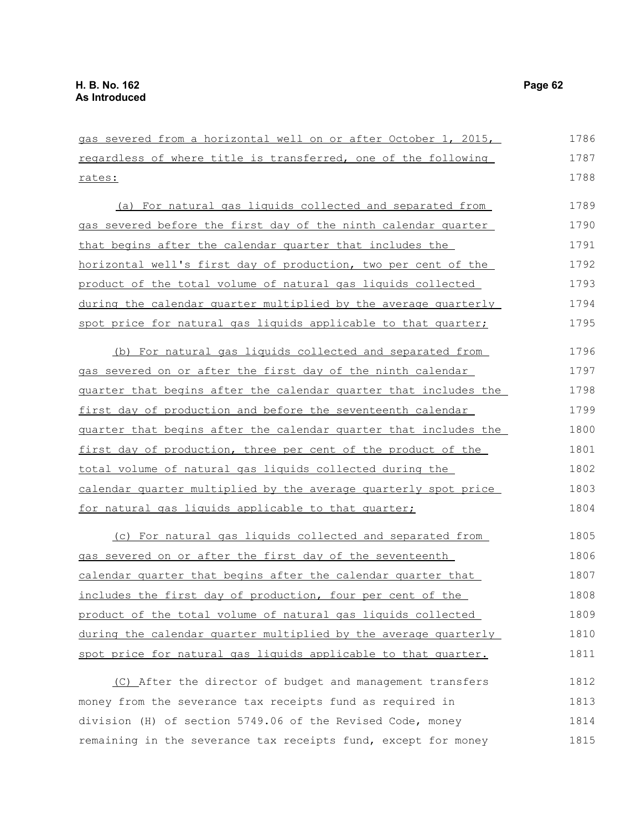gas severed from a horizontal well on or after October 1, 2015, regardless of where title is transferred, one of the following rates: (a) For natural gas liquids collected and separated from gas severed before the first day of the ninth calendar quarter that begins after the calendar quarter that includes the horizontal well's first day of production, two per cent of the product of the total volume of natural gas liquids collected during the calendar quarter multiplied by the average quarterly spot price for natural gas liquids applicable to that quarter; (b) For natural gas liquids collected and separated from gas severed on or after the first day of the ninth calendar quarter that begins after the calendar quarter that includes the first day of production and before the seventeenth calendar quarter that begins after the calendar quarter that includes the first day of production, three per cent of the product of the total volume of natural gas liquids collected during the calendar quarter multiplied by the average quarterly spot price for natural gas liquids applicable to that quarter; (c) For natural gas liquids collected and separated from gas severed on or after the first day of the seventeenth calendar quarter that begins after the calendar quarter that includes the first day of production, four per cent of the product of the total volume of natural gas liquids collected during the calendar quarter multiplied by the average quarterly spot price for natural gas liquids applicable to that quarter. (C) After the director of budget and management transfers money from the severance tax receipts fund as required in division (H) of section 5749.06 of the Revised Code, money 1786 1787 1788 1789 1790 1791 1792 1793 1794 1795 1796 1797 1798 1799 1800 1801 1802 1803 1804 1805 1806 1807 1808 1809 1810 1811 1812 1813 1814

remaining in the severance tax receipts fund, except for money 1815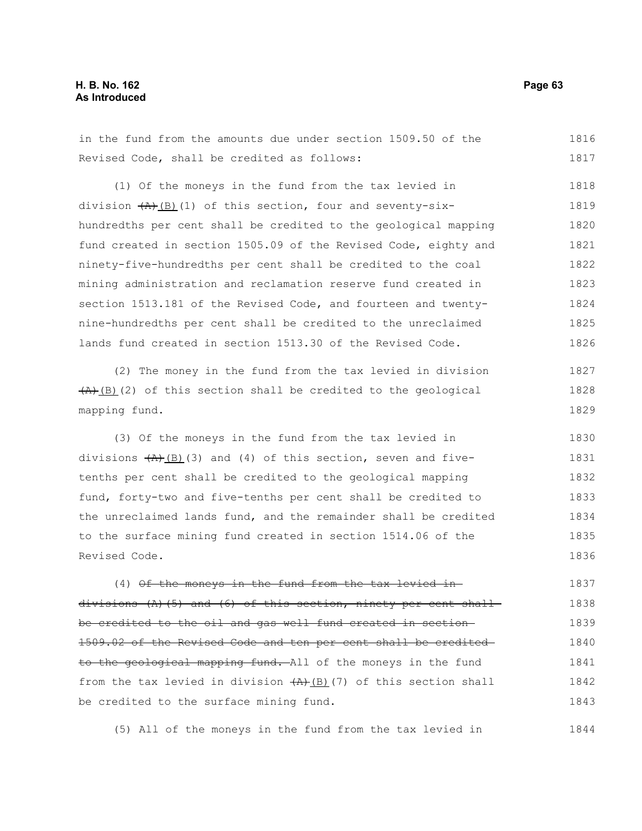# **H. B. No. 162 Page 63 As Introduced**

1816

1844

Revised Code, shall be credited as follows: (1) Of the moneys in the fund from the tax levied in division  $(A)$  (B)(1) of this section, four and seventy-sixhundredths per cent shall be credited to the geological mapping fund created in section 1505.09 of the Revised Code, eighty and ninety-five-hundredths per cent shall be credited to the coal mining administration and reclamation reserve fund created in section 1513.181 of the Revised Code, and fourteen and twentynine-hundredths per cent shall be credited to the unreclaimed lands fund created in section 1513.30 of the Revised Code. 1817 1818 1819 1820 1821 1822 1823 1824 1825 1826

in the fund from the amounts due under section 1509.50 of the

(2) The money in the fund from the tax levied in division  $\overline{(A)}$ (B)(2) of this section shall be credited to the geological mapping fund. 1827 1828 1829

(3) Of the moneys in the fund from the tax levied in divisions  $(A)$ (B)(3) and (4) of this section, seven and fivetenths per cent shall be credited to the geological mapping fund, forty-two and five-tenths per cent shall be credited to the unreclaimed lands fund, and the remainder shall be credited to the surface mining fund created in section 1514.06 of the Revised Code. 1830 1831 1832 1833 1834 1835 1836

(4) Of the moneys in the fund from the tax levied in divisions  $(A)$  (5) and (6) of this section, ninety per cent shall be credited to the oil and gas well fund created in section 1509.02 of the Revised Code and ten per cent shall be credited to the geological mapping fund. All of the moneys in the fund from the tax levied in division  $(A)$  (B)(7) of this section shall be credited to the surface mining fund. 1837 1838 1839 1840 1841 1842 1843

(5) All of the moneys in the fund from the tax levied in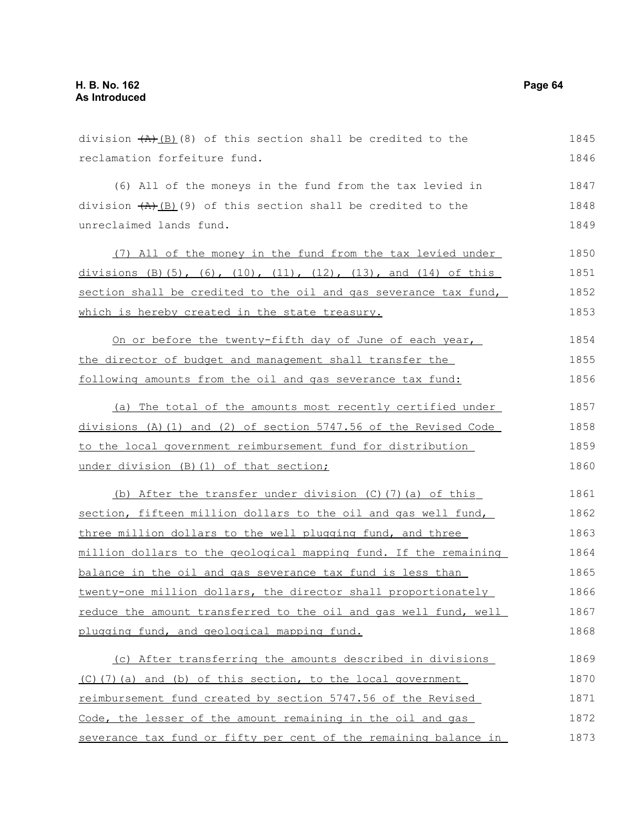| division $(A)$ $(B)$ (8) of this section shall be credited to the | 1845 |
|-------------------------------------------------------------------|------|
| reclamation forfeiture fund.                                      | 1846 |
| (6) All of the moneys in the fund from the tax levied in          | 1847 |
| division $(A)$ (B)(9) of this section shall be credited to the    | 1848 |
| unreclaimed lands fund.                                           | 1849 |
| (7) All of the money in the fund from the tax levied under        | 1850 |
| divisions (B)(5), (6), (10), (11), (12), (13), and (14) of this   | 1851 |
| section shall be credited to the oil and gas severance tax fund,  | 1852 |
| which is hereby created in the state treasury.                    | 1853 |
| On or before the twenty-fifth day of June of each year,           | 1854 |
| the director of budget and management shall transfer the          | 1855 |
| following amounts from the oil and gas severance tax fund:        | 1856 |
| (a) The total of the amounts most recently certified under        | 1857 |
| divisions (A)(1) and (2) of section 5747.56 of the Revised Code   | 1858 |
| to the local government reimbursement fund for distribution       | 1859 |
| under division (B) (1) of that section;                           | 1860 |
| (b) After the transfer under division (C) (7) (a) of this         | 1861 |
| section, fifteen million dollars to the oil and gas well fund,    | 1862 |
| three million dollars to the well plugging fund, and three        | 1863 |
| million dollars to the geological mapping fund. If the remaining  | 1864 |
| balance in the oil and gas severance tax fund is less than        | 1865 |
| twenty-one million dollars, the director shall proportionately    | 1866 |
| reduce the amount transferred to the oil and gas well fund, well  | 1867 |
| plugging fund, and geological mapping fund.                       | 1868 |
| (c) After transferring the amounts described in divisions         | 1869 |
| $(C)$ (7) (a) and (b) of this section, to the local government    | 1870 |
| reimbursement fund created by section 5747.56 of the Revised      | 1871 |
| Code, the lesser of the amount remaining in the oil and gas       | 1872 |
| severance tax fund or fifty per cent of the remaining balance in  | 1873 |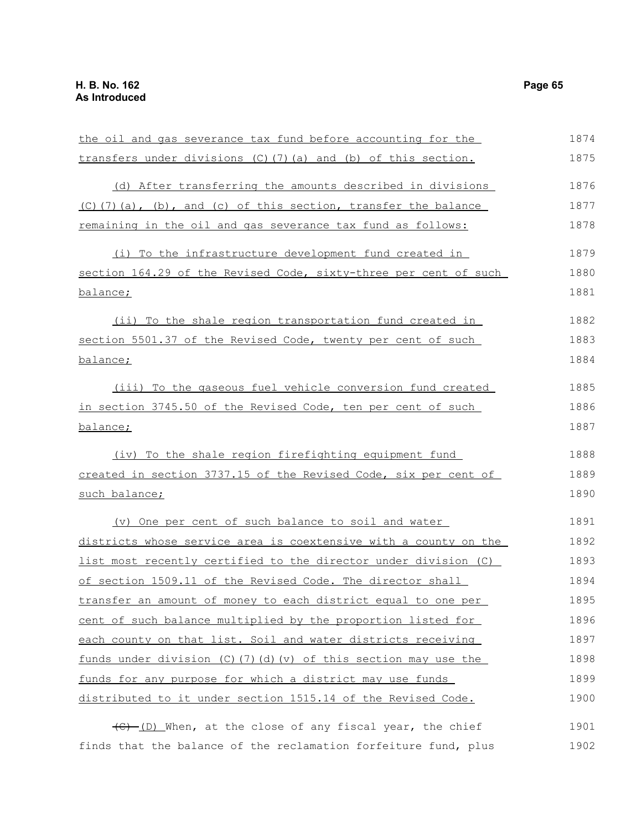the oil and gas severance tax fund before accounting for the transfers under divisions (C)(7)(a) and (b) of this section. (d) After transferring the amounts described in divisions  $(C)$ (7)(a), (b), and (c) of this section, transfer the balance remaining in the oil and gas severance tax fund as follows: (i) To the infrastructure development fund created in section 164.29 of the Revised Code, sixty-three per cent of such balance; (ii) To the shale region transportation fund created in section 5501.37 of the Revised Code, twenty per cent of such balance; (iii) To the gaseous fuel vehicle conversion fund created in section 3745.50 of the Revised Code, ten per cent of such balance; (iv) To the shale region firefighting equipment fund created in section 3737.15 of the Revised Code, six per cent of such balance; (v) One per cent of such balance to soil and water districts whose service area is coextensive with a county on the list most recently certified to the director under division (C) of section 1509.11 of the Revised Code. The director shall transfer an amount of money to each district equal to one per cent of such balance multiplied by the proportion listed for each county on that list. Soil and water districts receiving funds under division (C)(7) (d)(v) of this section may use the funds for any purpose for which a district may use funds distributed to it under section 1515.14 of the Revised Code. (C) (D) When, at the close of any fiscal year, the chief 1874 1875 1876 1877 1878 1879 1880 1881 1882 1883 1884 1885 1886 1887 1888 1889 1890 1891 1892 1893 1894 1895 1896 1897 1898 1899 1900 1901

finds that the balance of the reclamation forfeiture fund, plus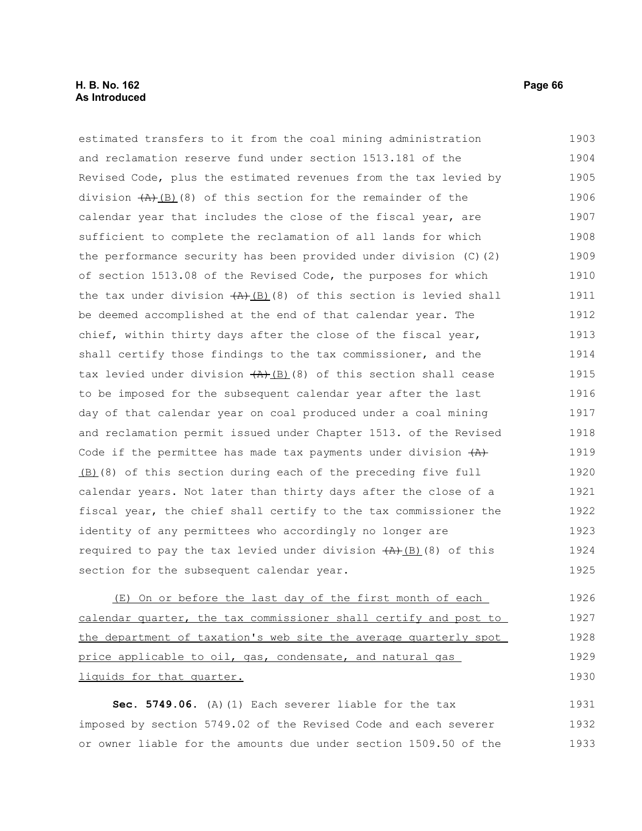# **H. B. No. 162 Page 66 As Introduced**

estimated transfers to it from the coal mining administration and reclamation reserve fund under section 1513.181 of the Revised Code, plus the estimated revenues from the tax levied by division  $(A)$ (B)(8) of this section for the remainder of the calendar year that includes the close of the fiscal year, are sufficient to complete the reclamation of all lands for which the performance security has been provided under division (C)(2) of section 1513.08 of the Revised Code, the purposes for which the tax under division  $(A)$ (B)(8) of this section is levied shall be deemed accomplished at the end of that calendar year. The chief, within thirty days after the close of the fiscal year, shall certify those findings to the tax commissioner, and the tax levied under division  $(A)$ (B)(8) of this section shall cease to be imposed for the subsequent calendar year after the last day of that calendar year on coal produced under a coal mining and reclamation permit issued under Chapter 1513. of the Revised Code if the permittee has made tax payments under division  $(A)$ (B)(8) of this section during each of the preceding five full calendar years. Not later than thirty days after the close of a fiscal year, the chief shall certify to the tax commissioner the identity of any permittees who accordingly no longer are required to pay the tax levied under division  $(A)$ (8) of this section for the subsequent calendar year. 1903 1904 1905 1906 1907 1908 1909 1910 1911 1912 1913 1914 1915 1916 1917 1918 1919 1920 1921 1922 1923 1924 1925

(E) On or before the last day of the first month of each calendar quarter, the tax commissioner shall certify and post to the department of taxation's web site the average quarterly spot price applicable to oil, gas, condensate, and natural gas liquids for that quarter. 1926 1927 1928 1929 1930

**Sec. 5749.06.** (A)(1) Each severer liable for the tax imposed by section 5749.02 of the Revised Code and each severer or owner liable for the amounts due under section 1509.50 of the 1931 1932 1933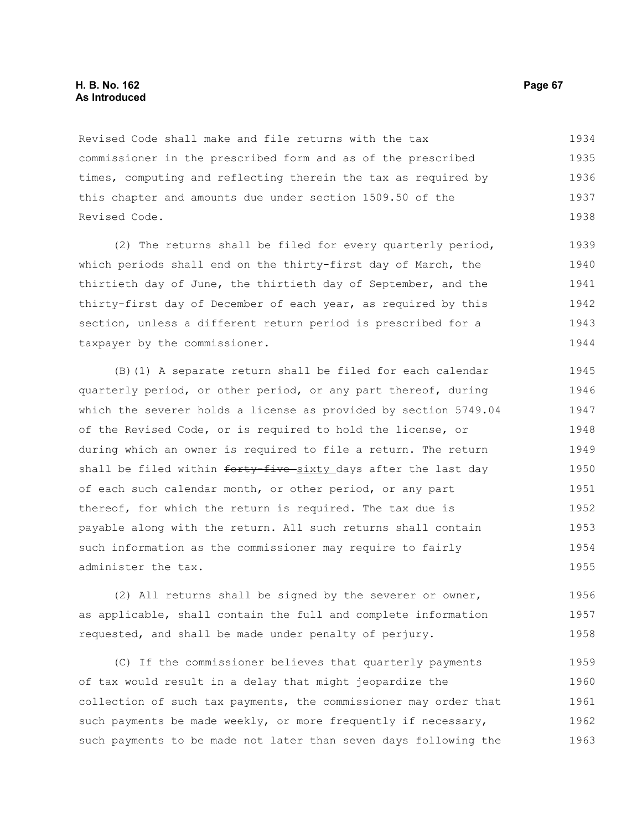# **H. B. No. 162 Page 67 As Introduced**

Revised Code shall make and file returns with the tax commissioner in the prescribed form and as of the prescribed times, computing and reflecting therein the tax as required by this chapter and amounts due under section 1509.50 of the Revised Code. 1934 1935 1936 1937 1938

(2) The returns shall be filed for every quarterly period, which periods shall end on the thirty-first day of March, the thirtieth day of June, the thirtieth day of September, and the thirty-first day of December of each year, as required by this section, unless a different return period is prescribed for a taxpayer by the commissioner. 1939 1940 1941 1942 1943 1944

(B)(1) A separate return shall be filed for each calendar quarterly period, or other period, or any part thereof, during which the severer holds a license as provided by section 5749.04 of the Revised Code, or is required to hold the license, or during which an owner is required to file a return. The return shall be filed within forty five sixty days after the last day of each such calendar month, or other period, or any part thereof, for which the return is required. The tax due is payable along with the return. All such returns shall contain such information as the commissioner may require to fairly administer the tax. 1945 1946 1947 1948 1949 1950 1951 1952 1953 1954 1955

(2) All returns shall be signed by the severer or owner, as applicable, shall contain the full and complete information requested, and shall be made under penalty of perjury. 1956 1957 1958

(C) If the commissioner believes that quarterly payments of tax would result in a delay that might jeopardize the collection of such tax payments, the commissioner may order that such payments be made weekly, or more frequently if necessary, such payments to be made not later than seven days following the 1959 1960 1961 1962 1963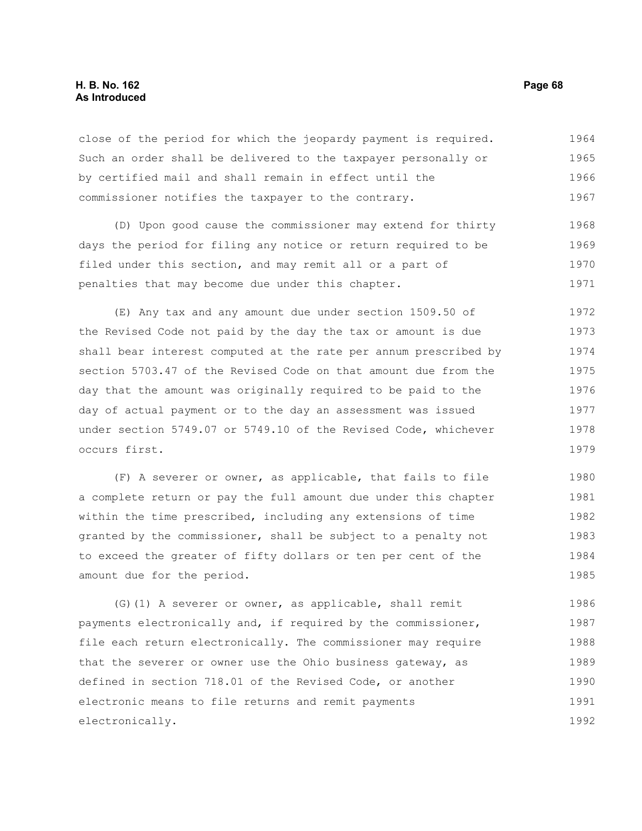# **H. B. No. 162 Page 68 As Introduced**

close of the period for which the jeopardy payment is required. Such an order shall be delivered to the taxpayer personally or by certified mail and shall remain in effect until the commissioner notifies the taxpayer to the contrary. 1964 1965 1966 1967

(D) Upon good cause the commissioner may extend for thirty days the period for filing any notice or return required to be filed under this section, and may remit all or a part of penalties that may become due under this chapter. 1968 1969 1970 1971

(E) Any tax and any amount due under section 1509.50 of the Revised Code not paid by the day the tax or amount is due shall bear interest computed at the rate per annum prescribed by section 5703.47 of the Revised Code on that amount due from the day that the amount was originally required to be paid to the day of actual payment or to the day an assessment was issued under section 5749.07 or 5749.10 of the Revised Code, whichever occurs first. 1972 1973 1974 1975 1976 1977 1978 1979

(F) A severer or owner, as applicable, that fails to file a complete return or pay the full amount due under this chapter within the time prescribed, including any extensions of time granted by the commissioner, shall be subject to a penalty not to exceed the greater of fifty dollars or ten per cent of the amount due for the period. 1980 1981 1982 1983 1984 1985

(G)(1) A severer or owner, as applicable, shall remit payments electronically and, if required by the commissioner, file each return electronically. The commissioner may require that the severer or owner use the Ohio business gateway, as defined in section 718.01 of the Revised Code, or another electronic means to file returns and remit payments electronically. 1986 1987 1988 1989 1990 1991 1992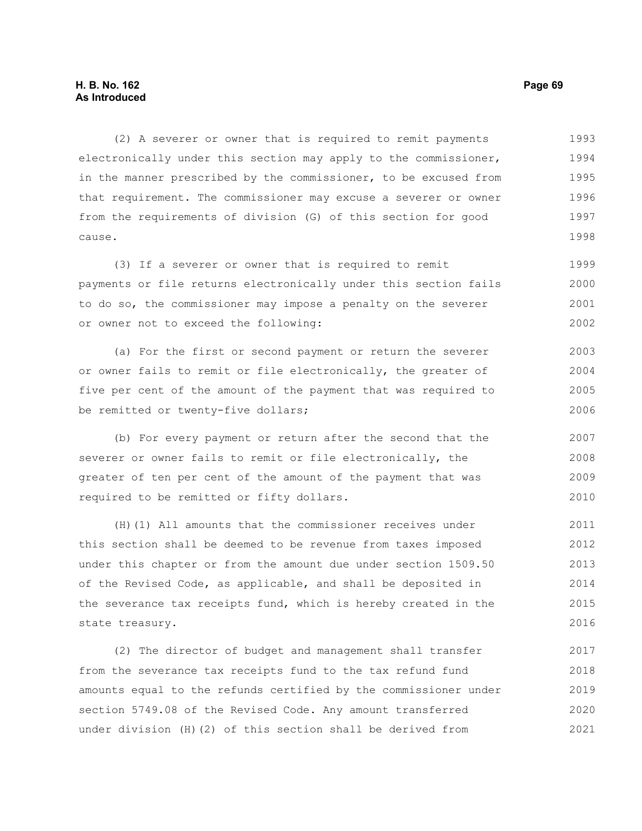# **H. B. No. 162 Page 69 As Introduced**

(2) A severer or owner that is required to remit payments electronically under this section may apply to the commissioner, in the manner prescribed by the commissioner, to be excused from that requirement. The commissioner may excuse a severer or owner from the requirements of division (G) of this section for good cause. 1993 1994 1995 1996 1997 1998

(3) If a severer or owner that is required to remit payments or file returns electronically under this section fails to do so, the commissioner may impose a penalty on the severer or owner not to exceed the following: 1999 2000 2001 2002

(a) For the first or second payment or return the severer or owner fails to remit or file electronically, the greater of five per cent of the amount of the payment that was required to be remitted or twenty-five dollars; 2003 2004 2005 2006

(b) For every payment or return after the second that the severer or owner fails to remit or file electronically, the greater of ten per cent of the amount of the payment that was required to be remitted or fifty dollars. 2007 2008 2009 2010

(H)(1) All amounts that the commissioner receives under this section shall be deemed to be revenue from taxes imposed under this chapter or from the amount due under section 1509.50 of the Revised Code, as applicable, and shall be deposited in the severance tax receipts fund, which is hereby created in the state treasury. 2011 2012 2013 2014 2015 2016

(2) The director of budget and management shall transfer from the severance tax receipts fund to the tax refund fund amounts equal to the refunds certified by the commissioner under section 5749.08 of the Revised Code. Any amount transferred under division (H)(2) of this section shall be derived from 2017 2018 2019 2020 2021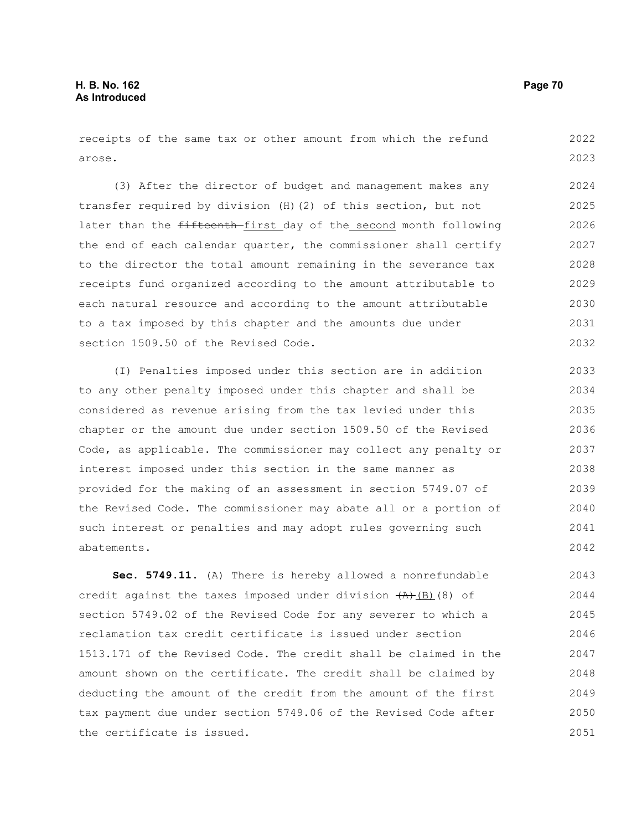receipts of the same tax or other amount from which the refund arose. 2022 2023

(3) After the director of budget and management makes any transfer required by division (H)(2) of this section, but not later than the fifteenth first day of the second month following the end of each calendar quarter, the commissioner shall certify to the director the total amount remaining in the severance tax receipts fund organized according to the amount attributable to each natural resource and according to the amount attributable to a tax imposed by this chapter and the amounts due under section 1509.50 of the Revised Code. 2024 2025 2026 2027 2028 2029 2030 2031 2032

(I) Penalties imposed under this section are in addition to any other penalty imposed under this chapter and shall be considered as revenue arising from the tax levied under this chapter or the amount due under section 1509.50 of the Revised Code, as applicable. The commissioner may collect any penalty or interest imposed under this section in the same manner as provided for the making of an assessment in section 5749.07 of the Revised Code. The commissioner may abate all or a portion of such interest or penalties and may adopt rules governing such abatements. 2033 2034 2035 2036 2037 2038 2039 2040 2041 2042

**Sec. 5749.11.** (A) There is hereby allowed a nonrefundable credit against the taxes imposed under division  $(A)$ (B)(8) of section 5749.02 of the Revised Code for any severer to which a reclamation tax credit certificate is issued under section 1513.171 of the Revised Code. The credit shall be claimed in the amount shown on the certificate. The credit shall be claimed by deducting the amount of the credit from the amount of the first tax payment due under section 5749.06 of the Revised Code after the certificate is issued. 2043 2044 2045 2046 2047 2048 2049 2050 2051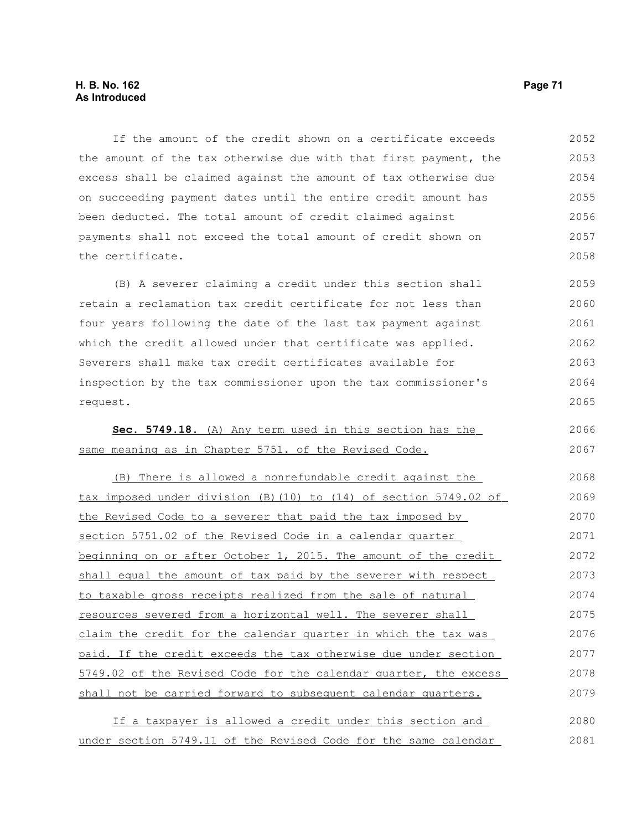If the amount of the credit shown on a certificate exceeds the amount of the tax otherwise due with that first payment, the excess shall be claimed against the amount of tax otherwise due on succeeding payment dates until the entire credit amount has been deducted. The total amount of credit claimed against payments shall not exceed the total amount of credit shown on the certificate. 2052 2053 2054 2055 2056 2057 2058

(B) A severer claiming a credit under this section shall retain a reclamation tax credit certificate for not less than four years following the date of the last tax payment against which the credit allowed under that certificate was applied. Severers shall make tax credit certificates available for inspection by the tax commissioner upon the tax commissioner's request. 2059 2060 2061 2062 2063 2064 2065

|  |  |  |  | Sec. 5749.18. (A) Any term used in this section has the |  | 2066 |
|--|--|--|--|---------------------------------------------------------|--|------|
|  |  |  |  |                                                         |  |      |
|  |  |  |  | same meaning as in Chapter 5751. of the Revised Code.   |  | 2067 |

| (B) There is allowed a nonrefundable credit against the           | 2068 |
|-------------------------------------------------------------------|------|
| tax imposed under division (B) (10) to (14) of section 5749.02 of | 2069 |
| the Revised Code to a severer that paid the tax imposed by        | 2070 |
| section 5751.02 of the Revised Code in a calendar quarter         | 2071 |
| beginning on or after October 1, 2015. The amount of the credit   | 2072 |
| shall equal the amount of tax paid by the severer with respect    | 2073 |
| to taxable gross receipts realized from the sale of natural       | 2074 |
| resources severed from a horizontal well. The severer shall       | 2075 |
| claim the credit for the calendar quarter in which the tax was    | 2076 |
| paid. If the credit exceeds the tax otherwise due under section   | 2077 |
| 5749.02 of the Revised Code for the calendar quarter, the excess  | 2078 |
| shall not be carried forward to subsequent calendar quarters.     | 2079 |
|                                                                   |      |

If a taxpayer is allowed a credit under this section and under section 5749.11 of the Revised Code for the same calendar 2080 2081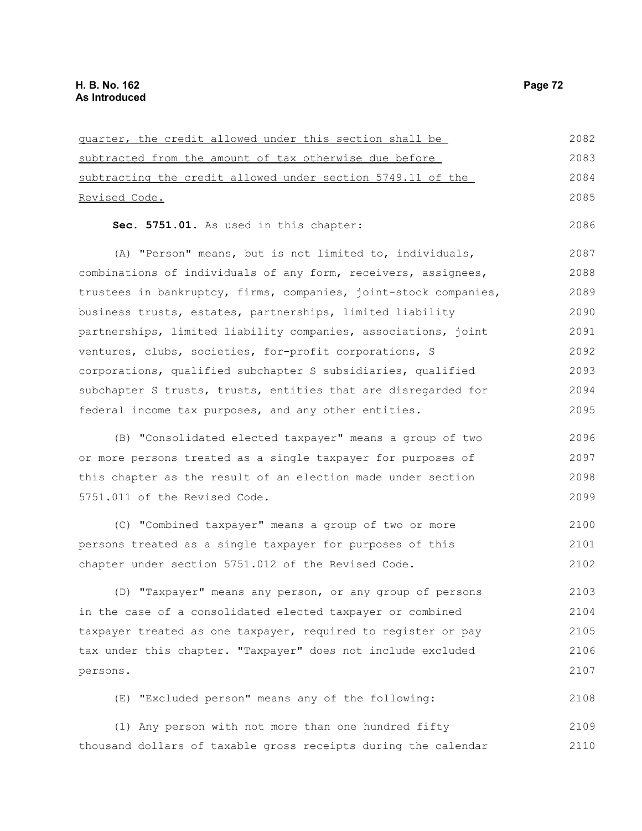| guarter, the credit allowed under this section shall be          | 2082 |
|------------------------------------------------------------------|------|
| subtracted from the amount of tax otherwise due before           | 2083 |
| subtracting the credit allowed under section 5749.11 of the      | 2084 |
| Revised Code.                                                    | 2085 |
| Sec. 5751.01. As used in this chapter:                           | 2086 |
| (A) "Person" means, but is not limited to, individuals,          | 2087 |
| combinations of individuals of any form, receivers, assignees,   | 2088 |
| trustees in bankruptcy, firms, companies, joint-stock companies, | 2089 |
| business trusts, estates, partnerships, limited liability        | 2090 |
| partnerships, limited liability companies, associations, joint   | 2091 |
| ventures, clubs, societies, for-profit corporations, S           | 2092 |
| corporations, qualified subchapter S subsidiaries, qualified     | 2093 |
| subchapter S trusts, trusts, entities that are disregarded for   | 2094 |
| federal income tax purposes, and any other entities.             | 2095 |
| (B) "Consolidated elected taxpayer" means a group of two         | 2096 |
| or more persons treated as a single taxpayer for purposes of     | 2097 |
| this chapter as the result of an election made under section     | 2098 |
| 5751.011 of the Revised Code.                                    | 2099 |
| (C) "Combined taxpayer" means a group of two or more             | 2100 |
| persons treated as a single taxpayer for purposes of this        | 2101 |
| chapter under section 5751.012 of the Revised Code.              | 2102 |
| (D) "Taxpayer" means any person, or any group of persons         | 2103 |
| in the case of a consolidated elected taxpayer or combined       | 2104 |
| taxpayer treated as one taxpayer, required to register or pay    | 2105 |
| tax under this chapter. "Taxpayer" does not include excluded     | 2106 |
| persons.                                                         | 2107 |
| (E) "Excluded person" means any of the following:                | 2108 |
| (1) Any person with not more than one hundred fifty              | 2109 |
| thousand dollars of taxable gross receipts during the calendar   | 2110 |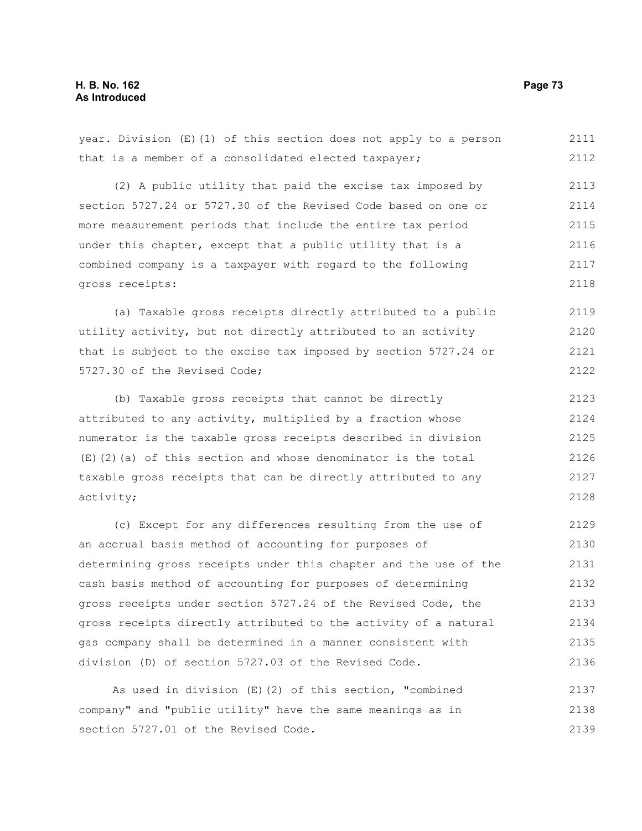year. Division (E)(1) of this section does not apply to a person that is a member of a consolidated elected taxpayer; (2) A public utility that paid the excise tax imposed by 2111 2112 2113

section 5727.24 or 5727.30 of the Revised Code based on one or more measurement periods that include the entire tax period under this chapter, except that a public utility that is a combined company is a taxpayer with regard to the following gross receipts: 2114 2115 2116 2117 2118

(a) Taxable gross receipts directly attributed to a public utility activity, but not directly attributed to an activity that is subject to the excise tax imposed by section 5727.24 or 5727.30 of the Revised Code; 2119 2120 2121 2122

(b) Taxable gross receipts that cannot be directly attributed to any activity, multiplied by a fraction whose numerator is the taxable gross receipts described in division  $(E)$ (2)(a) of this section and whose denominator is the total taxable gross receipts that can be directly attributed to any activity; 2123 2124 2125 2126 2127 2128

(c) Except for any differences resulting from the use of an accrual basis method of accounting for purposes of determining gross receipts under this chapter and the use of the cash basis method of accounting for purposes of determining gross receipts under section 5727.24 of the Revised Code, the gross receipts directly attributed to the activity of a natural gas company shall be determined in a manner consistent with division (D) of section 5727.03 of the Revised Code. 2129 2130 2131 2132 2133 2134 2135 2136

As used in division (E)(2) of this section, "combined company" and "public utility" have the same meanings as in section 5727.01 of the Revised Code. 2137 2138 2139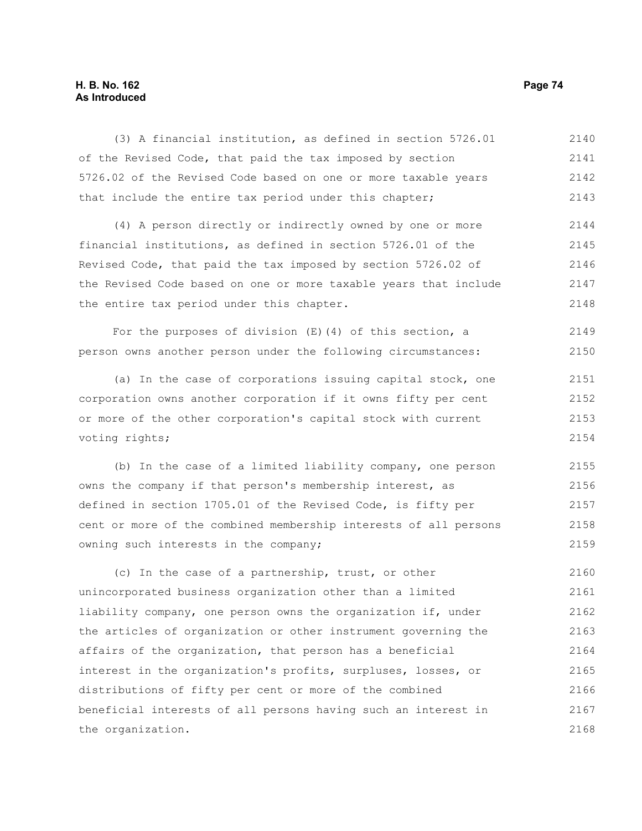# **H. B. No. 162 Page 74 As Introduced**

| (3) A financial institution, as defined in section 5726.01       | 2140 |
|------------------------------------------------------------------|------|
| of the Revised Code, that paid the tax imposed by section        | 2141 |
| 5726.02 of the Revised Code based on one or more taxable years   | 2142 |
| that include the entire tax period under this chapter;           | 2143 |
| (4) A person directly or indirectly owned by one or more         | 2144 |
| financial institutions, as defined in section 5726.01 of the     | 2145 |
| Revised Code, that paid the tax imposed by section 5726.02 of    | 2146 |
| the Revised Code based on one or more taxable years that include | 2147 |
| the entire tax period under this chapter.                        | 2148 |
| For the purposes of division $(E)$ (4) of this section, a        | 2149 |
| person owns another person under the following circumstances:    | 2150 |
| (a) In the case of corporations issuing capital stock, one       | 2151 |
| corporation owns another corporation if it owns fifty per cent   | 2152 |
| or more of the other corporation's capital stock with current    | 2153 |
| voting rights;                                                   | 2154 |
| (b) In the case of a limited liability company, one person       | 2155 |
| owns the company if that person's membership interest, as        | 2156 |
| defined in section 1705.01 of the Revised Code, is fifty per     | 2157 |
| cent or more of the combined membership interests of all persons | 2158 |
| owning such interests in the company;                            | 2159 |
| (c) In the case of a partnership, trust, or other                | 2160 |
| unincorporated business organization other than a limited        | 2161 |
| liability company, one person owns the organization if, under    | 2162 |
| the articles of organization or other instrument governing the   | 2163 |
| affairs of the organization, that person has a beneficial        | 2164 |
| interest in the organization's profits, surpluses, losses, or    | 2165 |
| distributions of fifty per cent or more of the combined          | 2166 |
| beneficial interests of all persons having such an interest in   | 2167 |
| the organization.                                                | 2168 |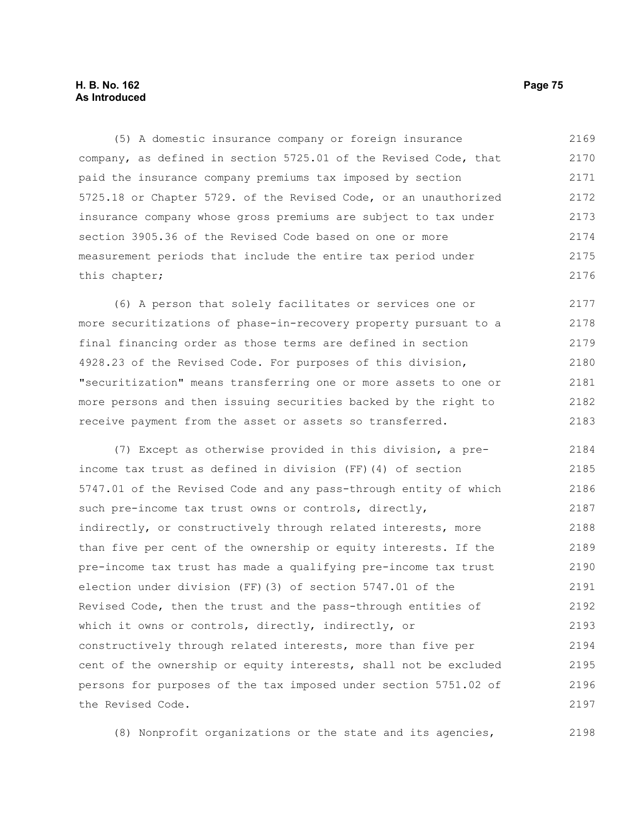# **H. B. No. 162 Page 75 As Introduced**

(5) A domestic insurance company or foreign insurance company, as defined in section 5725.01 of the Revised Code, that paid the insurance company premiums tax imposed by section 5725.18 or Chapter 5729. of the Revised Code, or an unauthorized insurance company whose gross premiums are subject to tax under section 3905.36 of the Revised Code based on one or more measurement periods that include the entire tax period under this chapter; 2169 2170 2171 2172 2173 2174 2175 2176

(6) A person that solely facilitates or services one or more securitizations of phase-in-recovery property pursuant to a final financing order as those terms are defined in section 4928.23 of the Revised Code. For purposes of this division, "securitization" means transferring one or more assets to one or more persons and then issuing securities backed by the right to receive payment from the asset or assets so transferred. 2177 2178 2179 2180 2181 2182 2183

(7) Except as otherwise provided in this division, a preincome tax trust as defined in division (FF)(4) of section 5747.01 of the Revised Code and any pass-through entity of which such pre-income tax trust owns or controls, directly, indirectly, or constructively through related interests, more than five per cent of the ownership or equity interests. If the pre-income tax trust has made a qualifying pre-income tax trust election under division (FF)(3) of section 5747.01 of the Revised Code, then the trust and the pass-through entities of which it owns or controls, directly, indirectly, or constructively through related interests, more than five per cent of the ownership or equity interests, shall not be excluded persons for purposes of the tax imposed under section 5751.02 of the Revised Code. 2184 2185 2186 2187 2188 2189 2190 2191 2192 2193 2194 2195 2196 2197

(8) Nonprofit organizations or the state and its agencies, 2198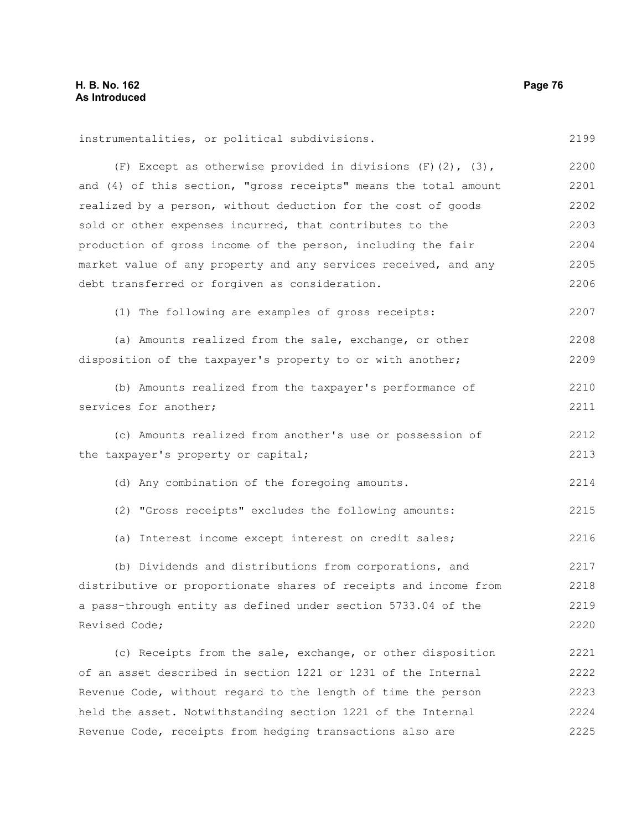| instrumentalities, or political subdivisions.                    | 2199 |
|------------------------------------------------------------------|------|
| (F) Except as otherwise provided in divisions $(F)$ (2), (3),    | 2200 |
| and (4) of this section, "gross receipts" means the total amount | 2201 |
| realized by a person, without deduction for the cost of goods    | 2202 |
| sold or other expenses incurred, that contributes to the         | 2203 |
| production of gross income of the person, including the fair     | 2204 |
| market value of any property and any services received, and any  | 2205 |
| debt transferred or forgiven as consideration.                   | 2206 |
| (1) The following are examples of gross receipts:                | 2207 |
| (a) Amounts realized from the sale, exchange, or other           | 2208 |
| disposition of the taxpayer's property to or with another;       | 2209 |
| (b) Amounts realized from the taxpayer's performance of          | 2210 |
| services for another;                                            | 2211 |
| (c) Amounts realized from another's use or possession of         | 2212 |
| the taxpayer's property or capital;                              | 2213 |
| (d) Any combination of the foregoing amounts.                    | 2214 |
| (2) "Gross receipts" excludes the following amounts:             | 2215 |
| (a) Interest income except interest on credit sales;             | 2216 |
| (b) Dividends and distributions from corporations, and           | 2217 |
| distributive or proportionate shares of receipts and income from | 2218 |
| a pass-through entity as defined under section 5733.04 of the    | 2219 |
| Revised Code;                                                    | 2220 |
| (c) Receipts from the sale, exchange, or other disposition       | 2221 |
| of an asset described in section 1221 or 1231 of the Internal    | 2222 |
| Revenue Code, without regard to the length of time the person    | 2223 |
| held the asset. Notwithstanding section 1221 of the Internal     | 2224 |
| Revenue Code, receipts from hedging transactions also are        | 2225 |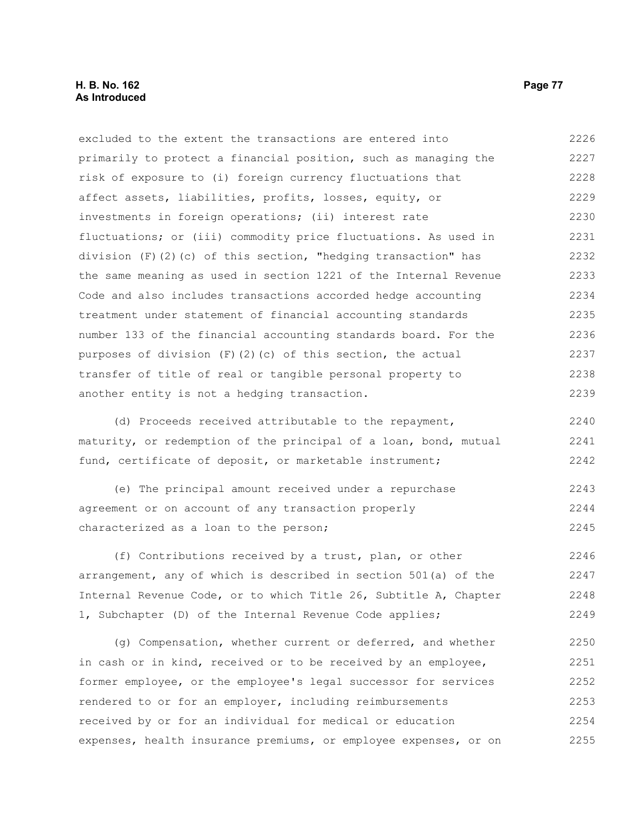excluded to the extent the transactions are entered into primarily to protect a financial position, such as managing the risk of exposure to (i) foreign currency fluctuations that affect assets, liabilities, profits, losses, equity, or investments in foreign operations; (ii) interest rate fluctuations; or (iii) commodity price fluctuations. As used in division (F)(2)(c) of this section, "hedging transaction" has the same meaning as used in section 1221 of the Internal Revenue Code and also includes transactions accorded hedge accounting treatment under statement of financial accounting standards number 133 of the financial accounting standards board. For the purposes of division (F)(2)(c) of this section, the actual transfer of title of real or tangible personal property to another entity is not a hedging transaction. 2226 2227 2228 2229 2230 2231 2232 2233 2234 2235 2236 2237 2238 2239

(d) Proceeds received attributable to the repayment, maturity, or redemption of the principal of a loan, bond, mutual fund, certificate of deposit, or marketable instrument; 2240 2241 2242

(e) The principal amount received under a repurchase agreement or on account of any transaction properly characterized as a loan to the person; 2243 2244 2245

(f) Contributions received by a trust, plan, or other arrangement, any of which is described in section 501(a) of the Internal Revenue Code, or to which Title 26, Subtitle A, Chapter 1, Subchapter (D) of the Internal Revenue Code applies; 2246 2247 2248 2249

(g) Compensation, whether current or deferred, and whether in cash or in kind, received or to be received by an employee, former employee, or the employee's legal successor for services rendered to or for an employer, including reimbursements received by or for an individual for medical or education expenses, health insurance premiums, or employee expenses, or on 2250 2251 2252 2253 2254 2255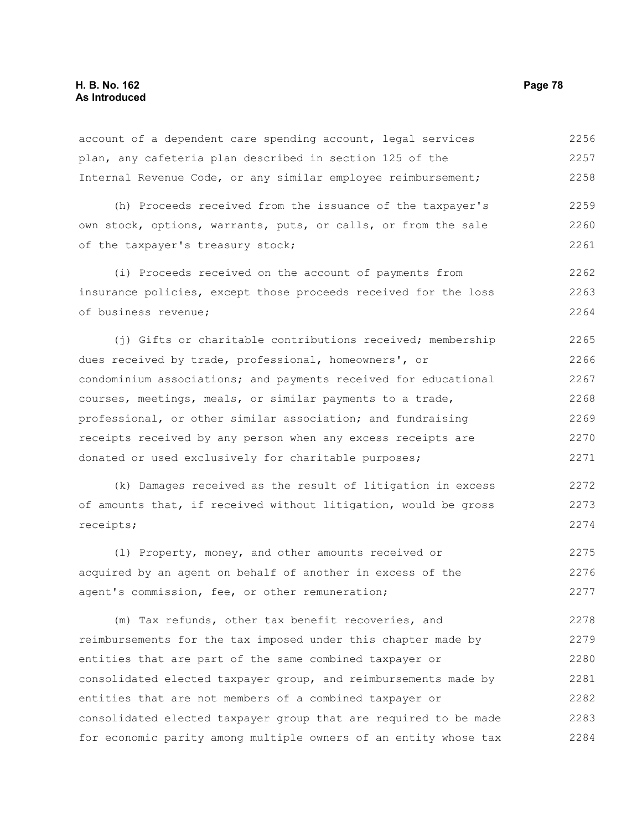account of a dependent care spending account, legal services plan, any cafeteria plan described in section 125 of the Internal Revenue Code, or any similar employee reimbursement; 2256 2257 2258

(h) Proceeds received from the issuance of the taxpayer's own stock, options, warrants, puts, or calls, or from the sale of the taxpayer's treasury stock; 2259 2260 2261

(i) Proceeds received on the account of payments from insurance policies, except those proceeds received for the loss of business revenue; 2262 2263 2264

(j) Gifts or charitable contributions received; membership dues received by trade, professional, homeowners', or condominium associations; and payments received for educational courses, meetings, meals, or similar payments to a trade, professional, or other similar association; and fundraising receipts received by any person when any excess receipts are donated or used exclusively for charitable purposes; 2265 2266 2267 2268 2269 2270 2271

(k) Damages received as the result of litigation in excess of amounts that, if received without litigation, would be gross receipts; 2272 2273 2274

(l) Property, money, and other amounts received or acquired by an agent on behalf of another in excess of the agent's commission, fee, or other remuneration; 2275 2276 2277

(m) Tax refunds, other tax benefit recoveries, and reimbursements for the tax imposed under this chapter made by entities that are part of the same combined taxpayer or consolidated elected taxpayer group, and reimbursements made by entities that are not members of a combined taxpayer or consolidated elected taxpayer group that are required to be made for economic parity among multiple owners of an entity whose tax 2278 2279 2280 2281 2282 2283 2284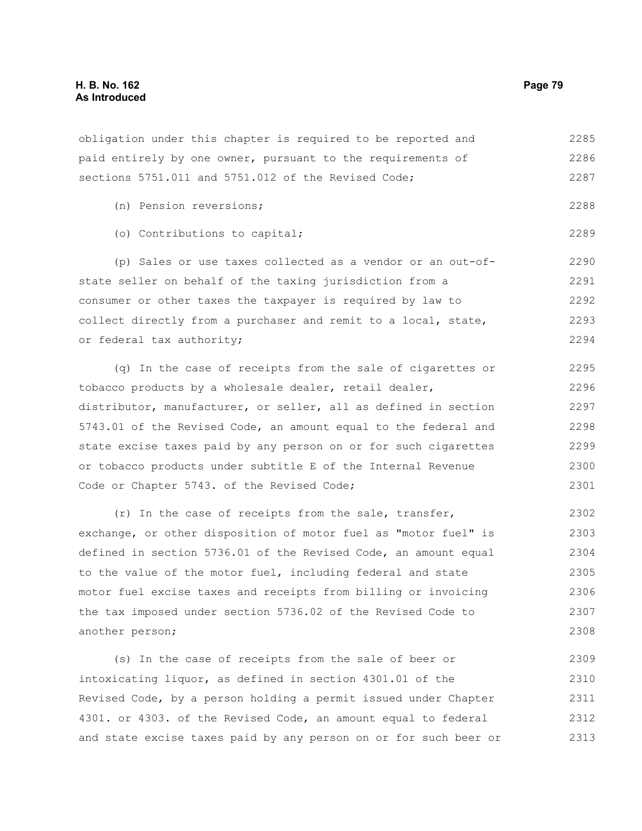obligation under this chapter is required to be reported and paid entirely by one owner, pursuant to the requirements of sections 5751.011 and 5751.012 of the Revised Code; 2285 2286 2287

- (n) Pension reversions;
- (o) Contributions to capital;

(p) Sales or use taxes collected as a vendor or an out-ofstate seller on behalf of the taxing jurisdiction from a consumer or other taxes the taxpayer is required by law to collect directly from a purchaser and remit to a local, state, or federal tax authority; 2290 2291 2292 2293 2294

(q) In the case of receipts from the sale of cigarettes or tobacco products by a wholesale dealer, retail dealer, distributor, manufacturer, or seller, all as defined in section 5743.01 of the Revised Code, an amount equal to the federal and state excise taxes paid by any person on or for such cigarettes or tobacco products under subtitle E of the Internal Revenue Code or Chapter 5743. of the Revised Code; 2295 2296 2297 2298 2299 2300 2301

(r) In the case of receipts from the sale, transfer, exchange, or other disposition of motor fuel as "motor fuel" is defined in section 5736.01 of the Revised Code, an amount equal to the value of the motor fuel, including federal and state motor fuel excise taxes and receipts from billing or invoicing the tax imposed under section 5736.02 of the Revised Code to another person; 2302 2303 2304 2305 2306 2307 2308

(s) In the case of receipts from the sale of beer or intoxicating liquor, as defined in section 4301.01 of the Revised Code, by a person holding a permit issued under Chapter 4301. or 4303. of the Revised Code, an amount equal to federal and state excise taxes paid by any person on or for such beer or 2309 2310 2311 2312 2313

2288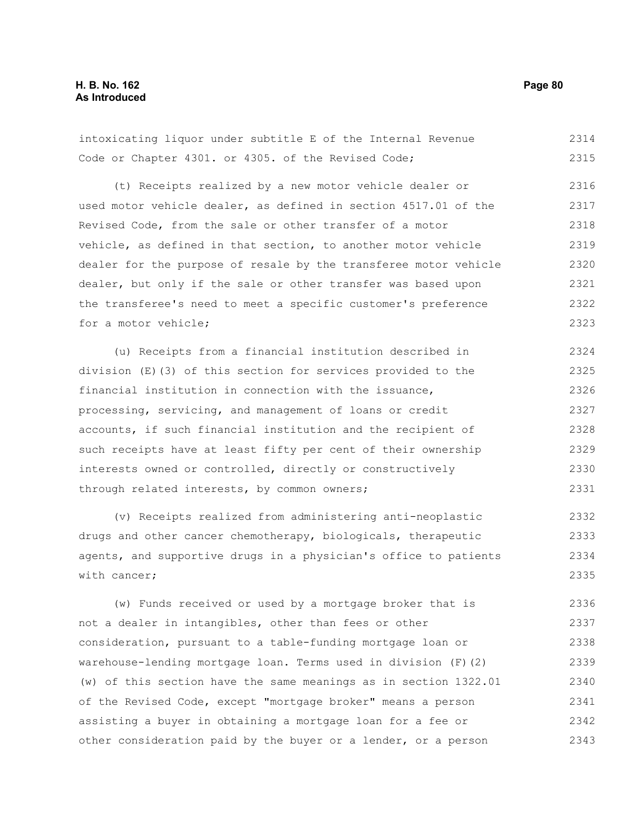| intoxicating liquor under subtitle E of the Internal Revenue    | 2314 |
|-----------------------------------------------------------------|------|
| Code or Chapter 4301. or 4305. of the Revised Code;             | 2315 |
| (t) Receipts realized by a new motor vehicle dealer or          | 2316 |
| used motor vehicle dealer, as defined in section 4517.01 of the | 2317 |

Revised Code, from the sale or other transfer of a motor vehicle, as defined in that section, to another motor vehicle dealer for the purpose of resale by the transferee motor vehicle dealer, but only if the sale or other transfer was based upon the transferee's need to meet a specific customer's preference for a motor vehicle; 2318 2319 2320 2321 2322 2323

(u) Receipts from a financial institution described in division (E)(3) of this section for services provided to the financial institution in connection with the issuance, processing, servicing, and management of loans or credit accounts, if such financial institution and the recipient of such receipts have at least fifty per cent of their ownership interests owned or controlled, directly or constructively through related interests, by common owners; 2324 2325 2326 2327 2328 2329 2330 2331

(v) Receipts realized from administering anti-neoplastic drugs and other cancer chemotherapy, biologicals, therapeutic agents, and supportive drugs in a physician's office to patients with cancer; 2332 2333 2334 2335

(w) Funds received or used by a mortgage broker that is not a dealer in intangibles, other than fees or other consideration, pursuant to a table-funding mortgage loan or warehouse-lending mortgage loan. Terms used in division (F)(2) (w) of this section have the same meanings as in section 1322.01 of the Revised Code, except "mortgage broker" means a person assisting a buyer in obtaining a mortgage loan for a fee or other consideration paid by the buyer or a lender, or a person 2336 2337 2338 2339 2340 2341 2342 2343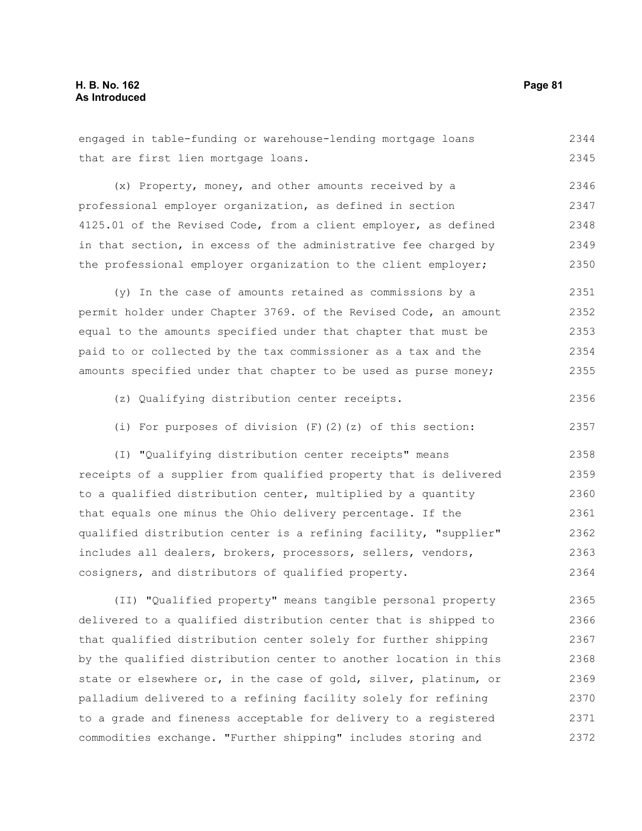2370

| engaged in table-funding or warehouse-lending mortgage loans     | 2344 |
|------------------------------------------------------------------|------|
| that are first lien mortgage loans.                              | 2345 |
| (x) Property, money, and other amounts received by a             | 2346 |
| professional employer organization, as defined in section        | 2347 |
| 4125.01 of the Revised Code, from a client employer, as defined  | 2348 |
| in that section, in excess of the administrative fee charged by  | 2349 |
| the professional employer organization to the client employer;   | 2350 |
| (y) In the case of amounts retained as commissions by a          | 2351 |
| permit holder under Chapter 3769. of the Revised Code, an amount | 2352 |
| equal to the amounts specified under that chapter that must be   | 2353 |
| paid to or collected by the tax commissioner as a tax and the    | 2354 |
| amounts specified under that chapter to be used as purse money;  | 2355 |
| (z) Qualifying distribution center receipts.                     | 2356 |
| (i) For purposes of division $(F)$ $(2)$ $(z)$ of this section:  | 2357 |
| (I) "Qualifying distribution center receipts" means              | 2358 |
| receipts of a supplier from qualified property that is delivered | 2359 |
| to a qualified distribution center, multiplied by a quantity     | 2360 |
| that equals one minus the Ohio delivery percentage. If the       | 2361 |
| qualified distribution center is a refining facility, "supplier" | 2362 |
| includes all dealers, brokers, processors, sellers, vendors,     | 2363 |
| cosigners, and distributors of qualified property.               | 2364 |
| (II) "Qualified property" means tangible personal property       | 2365 |
| delivered to a qualified distribution center that is shipped to  | 2366 |
| that qualified distribution center solely for further shipping   | 2367 |
| by the qualified distribution center to another location in this | 2368 |
| state or elsewhere or, in the case of gold, silver, platinum, or | 2369 |

to a grade and fineness acceptable for delivery to a registered commodities exchange. "Further shipping" includes storing and 2371 2372

palladium delivered to a refining facility solely for refining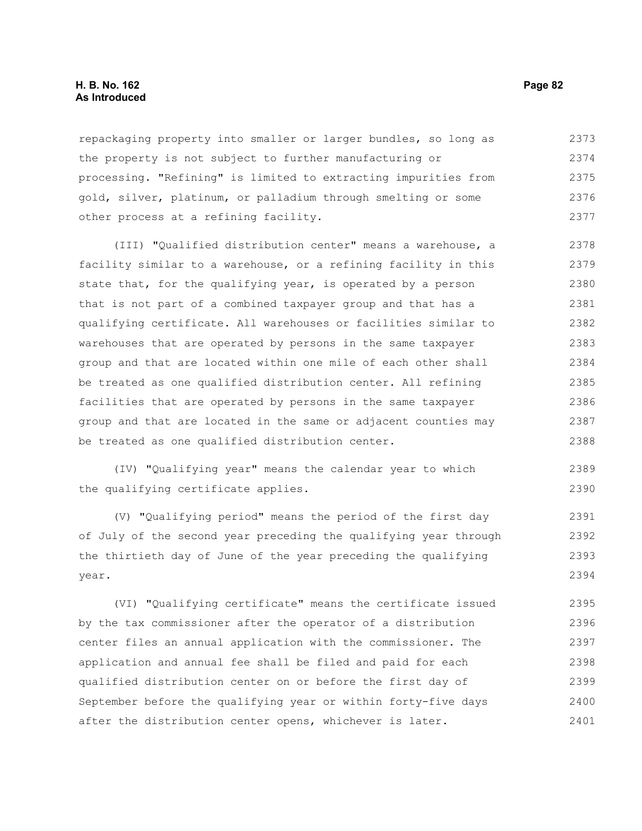#### **H. B. No. 162 Page 82 As Introduced**

repackaging property into smaller or larger bundles, so long as the property is not subject to further manufacturing or processing. "Refining" is limited to extracting impurities from gold, silver, platinum, or palladium through smelting or some other process at a refining facility. 2373 2374 2375 2376 2377

(III) "Qualified distribution center" means a warehouse, a facility similar to a warehouse, or a refining facility in this state that, for the qualifying year, is operated by a person that is not part of a combined taxpayer group and that has a qualifying certificate. All warehouses or facilities similar to warehouses that are operated by persons in the same taxpayer group and that are located within one mile of each other shall be treated as one qualified distribution center. All refining facilities that are operated by persons in the same taxpayer group and that are located in the same or adjacent counties may be treated as one qualified distribution center. 2378 2379 2380 2381 2382 2383 2384 2385 2386 2387 2388

(IV) "Qualifying year" means the calendar year to which the qualifying certificate applies. 2389 2390

(V) "Qualifying period" means the period of the first day of July of the second year preceding the qualifying year through the thirtieth day of June of the year preceding the qualifying year. 2391 2392 2393 2394

(VI) "Qualifying certificate" means the certificate issued by the tax commissioner after the operator of a distribution center files an annual application with the commissioner. The application and annual fee shall be filed and paid for each qualified distribution center on or before the first day of September before the qualifying year or within forty-five days after the distribution center opens, whichever is later. 2395 2396 2397 2398 2399 2400 2401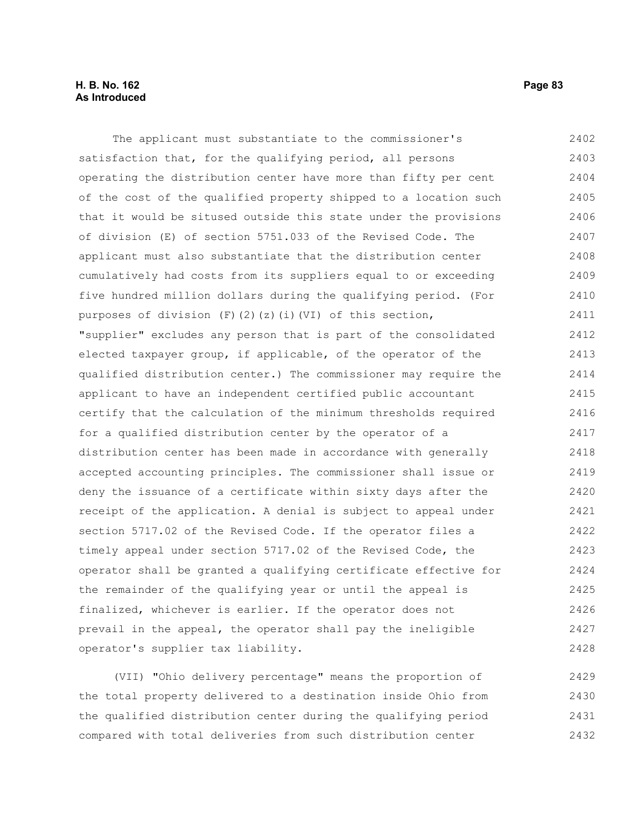The applicant must substantiate to the commissioner's satisfaction that, for the qualifying period, all persons operating the distribution center have more than fifty per cent of the cost of the qualified property shipped to a location such that it would be sitused outside this state under the provisions of division (E) of section 5751.033 of the Revised Code. The applicant must also substantiate that the distribution center cumulatively had costs from its suppliers equal to or exceeding five hundred million dollars during the qualifying period. (For purposes of division (F)(2)(z)(i)(VI) of this section, "supplier" excludes any person that is part of the consolidated elected taxpayer group, if applicable, of the operator of the qualified distribution center.) The commissioner may require the applicant to have an independent certified public accountant certify that the calculation of the minimum thresholds required for a qualified distribution center by the operator of a distribution center has been made in accordance with generally accepted accounting principles. The commissioner shall issue or deny the issuance of a certificate within sixty days after the receipt of the application. A denial is subject to appeal under section 5717.02 of the Revised Code. If the operator files a timely appeal under section 5717.02 of the Revised Code, the operator shall be granted a qualifying certificate effective for the remainder of the qualifying year or until the appeal is finalized, whichever is earlier. If the operator does not prevail in the appeal, the operator shall pay the ineligible operator's supplier tax liability. 2402 2403 2404 2405 2406 2407 2408 2409 2410 2411 2412 2413 2414 2415 2416 2417 2418 2419 2420 2421 2422 2423 2424 2425 2426 2427 2428

(VII) "Ohio delivery percentage" means the proportion of the total property delivered to a destination inside Ohio from the qualified distribution center during the qualifying period compared with total deliveries from such distribution center 2429 2430 2431 2432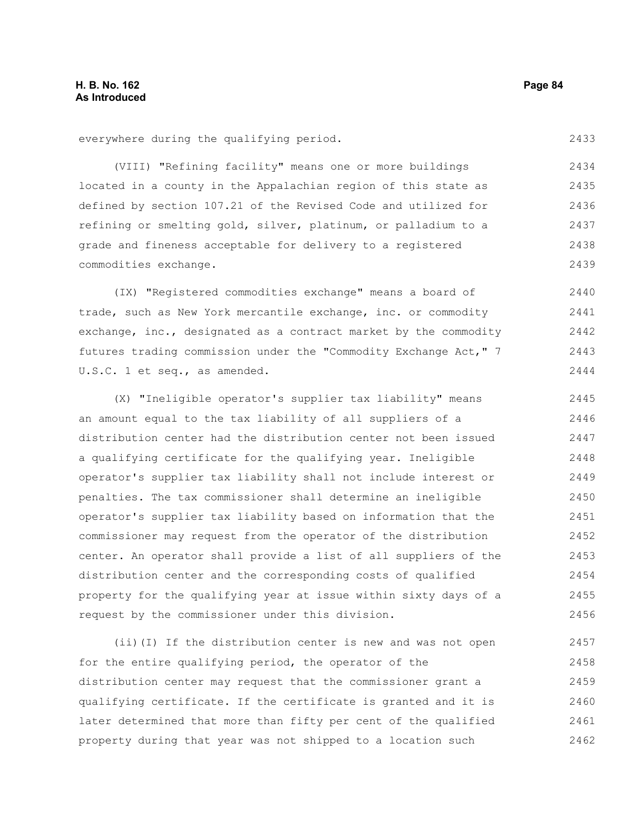everywhere during the qualifying period.

(VIII) "Refining facility" means one or more buildings located in a county in the Appalachian region of this state as defined by section 107.21 of the Revised Code and utilized for refining or smelting gold, silver, platinum, or palladium to a grade and fineness acceptable for delivery to a registered commodities exchange. 2434 2435 2436 2437 2438 2439

(IX) "Registered commodities exchange" means a board of trade, such as New York mercantile exchange, inc. or commodity exchange, inc., designated as a contract market by the commodity futures trading commission under the "Commodity Exchange Act," 7 U.S.C. 1 et seq., as amended. 2440 2441 2442 2443 2444

(X) "Ineligible operator's supplier tax liability" means an amount equal to the tax liability of all suppliers of a distribution center had the distribution center not been issued a qualifying certificate for the qualifying year. Ineligible operator's supplier tax liability shall not include interest or penalties. The tax commissioner shall determine an ineligible operator's supplier tax liability based on information that the commissioner may request from the operator of the distribution center. An operator shall provide a list of all suppliers of the distribution center and the corresponding costs of qualified property for the qualifying year at issue within sixty days of a request by the commissioner under this division. 2445 2446 2447 2448 2449 2450 2451 2452 2453 2454 2455 2456

(ii)(I) If the distribution center is new and was not open for the entire qualifying period, the operator of the distribution center may request that the commissioner grant a qualifying certificate. If the certificate is granted and it is later determined that more than fifty per cent of the qualified property during that year was not shipped to a location such 2457 2458 2459 2460 2461 2462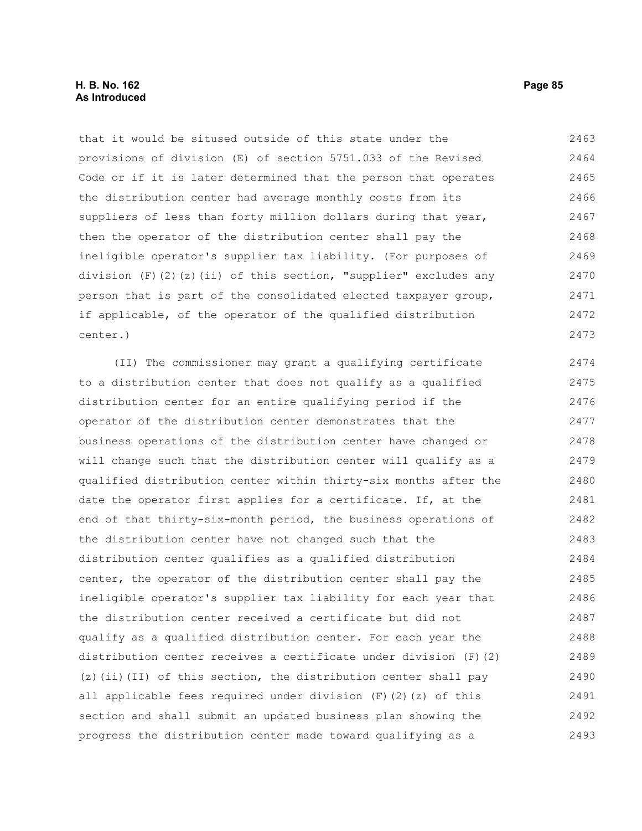# **H. B. No. 162 Page 85 As Introduced**

that it would be sitused outside of this state under the provisions of division (E) of section 5751.033 of the Revised Code or if it is later determined that the person that operates the distribution center had average monthly costs from its suppliers of less than forty million dollars during that year, then the operator of the distribution center shall pay the ineligible operator's supplier tax liability. (For purposes of division (F)(2)(z)(ii) of this section, "supplier" excludes any person that is part of the consolidated elected taxpayer group, if applicable, of the operator of the qualified distribution center.) 2463 2464 2465 2466 2467 2468 2469 2470 2471 2472 2473

(II) The commissioner may grant a qualifying certificate to a distribution center that does not qualify as a qualified distribution center for an entire qualifying period if the operator of the distribution center demonstrates that the business operations of the distribution center have changed or will change such that the distribution center will qualify as a qualified distribution center within thirty-six months after the date the operator first applies for a certificate. If, at the end of that thirty-six-month period, the business operations of the distribution center have not changed such that the distribution center qualifies as a qualified distribution center, the operator of the distribution center shall pay the ineligible operator's supplier tax liability for each year that the distribution center received a certificate but did not qualify as a qualified distribution center. For each year the distribution center receives a certificate under division  $(F)$  (2) (z)(ii)(II) of this section, the distribution center shall pay all applicable fees required under division  $(F)$  (2)(z) of this section and shall submit an updated business plan showing the progress the distribution center made toward qualifying as a 2474 2475 2476 2477 2478 2479 2480 2481 2482 2483 2484 2485 2486 2487 2488 2489 2490 2491 2492 2493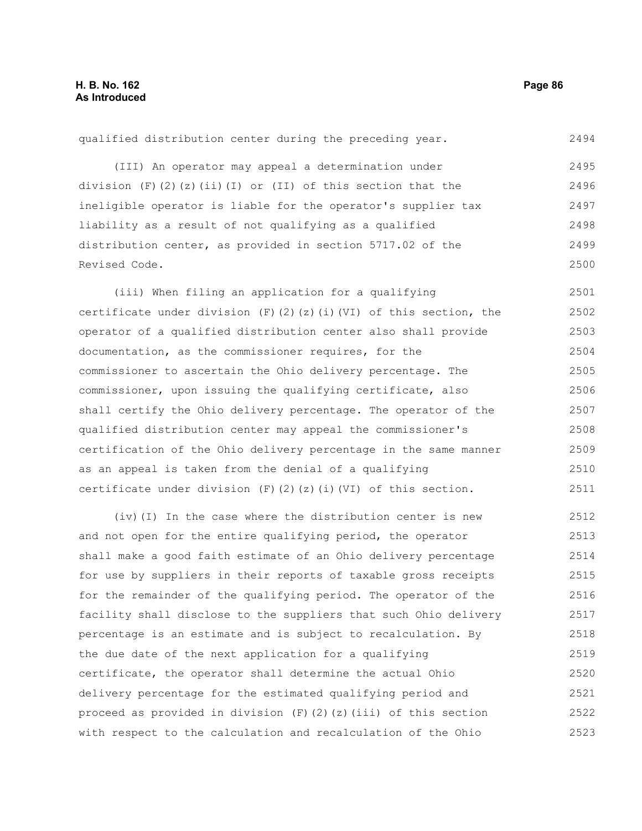qualified distribution center during the preceding year. (III) An operator may appeal a determination under division  $(F)$  (2)(z)(ii)(I) or (II) of this section that the ineligible operator is liable for the operator's supplier tax liability as a result of not qualifying as a qualified distribution center, as provided in section 5717.02 of the Revised Code. (iii) When filing an application for a qualifying certificate under division (F)(2)(z)(i)(VI) of this section, the operator of a qualified distribution center also shall provide documentation, as the commissioner requires, for the commissioner to ascertain the Ohio delivery percentage. The commissioner, upon issuing the qualifying certificate, also 2494 2495 2496 2497 2498 2499 2500 2501 2502 2503 2504 2505 2506

shall certify the Ohio delivery percentage. The operator of the

with respect to the calculation and recalculation of the Ohio

qualified distribution center may appeal the commissioner's certification of the Ohio delivery percentage in the same manner as an appeal is taken from the denial of a qualifying certificate under division  $(F)$  (2)(z)(i)(VI) of this section. (iv)(I) In the case where the distribution center is new and not open for the entire qualifying period, the operator shall make a good faith estimate of an Ohio delivery percentage for use by suppliers in their reports of taxable gross receipts for the remainder of the qualifying period. The operator of the facility shall disclose to the suppliers that such Ohio delivery percentage is an estimate and is subject to recalculation. By the due date of the next application for a qualifying certificate, the operator shall determine the actual Ohio delivery percentage for the estimated qualifying period and proceed as provided in division  $(F)(2)(z)(iii)$  of this section 2508 2509 2510 2511 2512 2513 2514 2515 2516 2517 2518 2519 2520 2521 2522

2507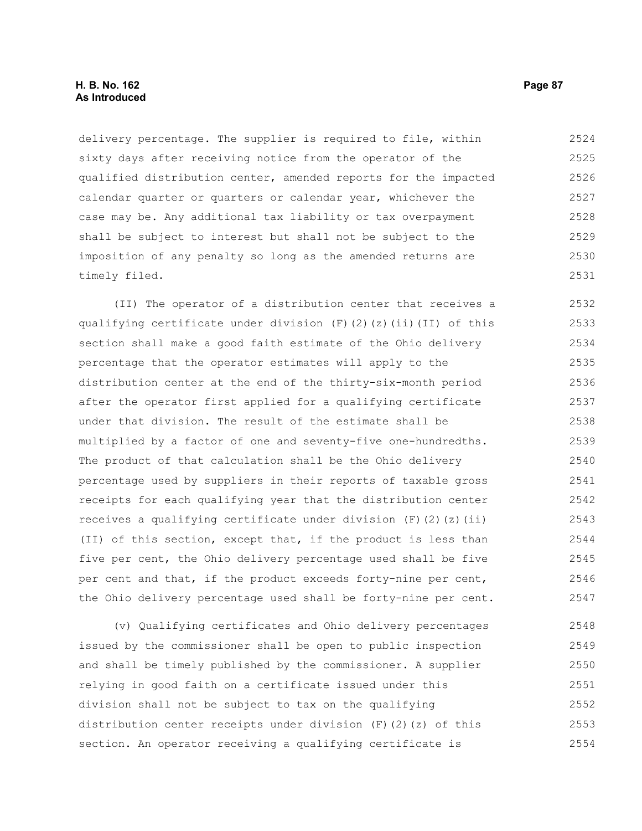## **H. B. No. 162 Page 87 As Introduced**

delivery percentage. The supplier is required to file, within sixty days after receiving notice from the operator of the qualified distribution center, amended reports for the impacted calendar quarter or quarters or calendar year, whichever the case may be. Any additional tax liability or tax overpayment shall be subject to interest but shall not be subject to the imposition of any penalty so long as the amended returns are timely filed. 2524 2525 2526 2527 2528 2529 2530 2531

(II) The operator of a distribution center that receives a qualifying certificate under division  $(F)$   $(2)$   $(2)$   $(i)$   $(II)$  of this section shall make a good faith estimate of the Ohio delivery percentage that the operator estimates will apply to the distribution center at the end of the thirty-six-month period after the operator first applied for a qualifying certificate under that division. The result of the estimate shall be multiplied by a factor of one and seventy-five one-hundredths. The product of that calculation shall be the Ohio delivery percentage used by suppliers in their reports of taxable gross receipts for each qualifying year that the distribution center receives a qualifying certificate under division  $(F)$  (2)(z)(ii) (II) of this section, except that, if the product is less than five per cent, the Ohio delivery percentage used shall be five per cent and that, if the product exceeds forty-nine per cent, the Ohio delivery percentage used shall be forty-nine per cent. 2532 2533 2534 2535 2536 2537 2538 2539 2540 2541 2542 2543 2544 2545 2546 2547

(v) Qualifying certificates and Ohio delivery percentages issued by the commissioner shall be open to public inspection and shall be timely published by the commissioner. A supplier relying in good faith on a certificate issued under this division shall not be subject to tax on the qualifying distribution center receipts under division  $(F)$  (2)(z) of this section. An operator receiving a qualifying certificate is 2548 2549 2550 2551 2552 2553 2554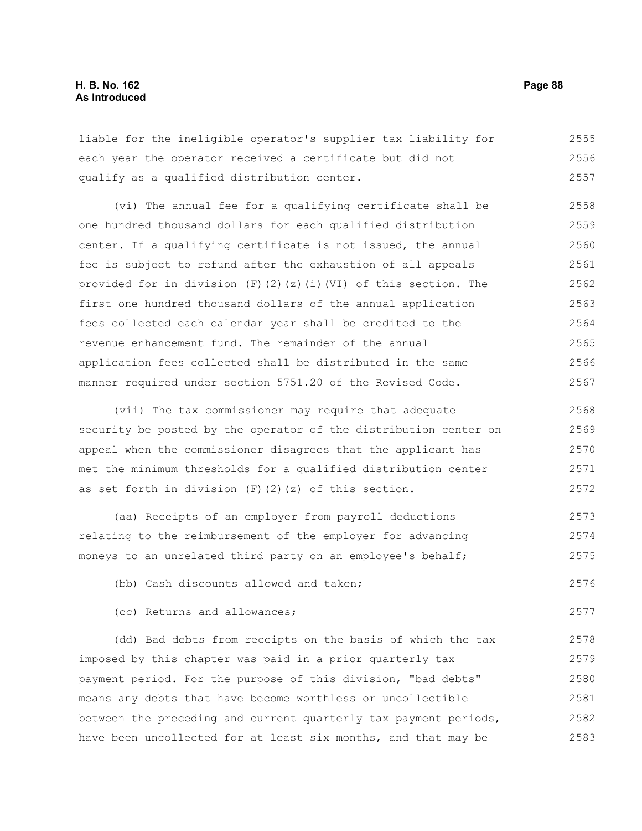liable for the ineligible operator's supplier tax liability for each year the operator received a certificate but did not qualify as a qualified distribution center. 2555 2556 2557

(vi) The annual fee for a qualifying certificate shall be one hundred thousand dollars for each qualified distribution center. If a qualifying certificate is not issued, the annual fee is subject to refund after the exhaustion of all appeals provided for in division  $(F)(2)(z)(i)(V)$  of this section. The first one hundred thousand dollars of the annual application fees collected each calendar year shall be credited to the revenue enhancement fund. The remainder of the annual application fees collected shall be distributed in the same manner required under section 5751.20 of the Revised Code. 2558 2559 2560 2561 2562 2563 2564 2565 2566 2567

(vii) The tax commissioner may require that adequate security be posted by the operator of the distribution center on appeal when the commissioner disagrees that the applicant has met the minimum thresholds for a qualified distribution center as set forth in division  $(F)$   $(2)$   $(z)$  of this section. 2568 2569 2570 2571 2572

(aa) Receipts of an employer from payroll deductions relating to the reimbursement of the employer for advancing moneys to an unrelated third party on an employee's behalf; 2573 2574 2575

(bb) Cash discounts allowed and taken; 2576

(cc) Returns and allowances;

(dd) Bad debts from receipts on the basis of which the tax imposed by this chapter was paid in a prior quarterly tax payment period. For the purpose of this division, "bad debts" means any debts that have become worthless or uncollectible between the preceding and current quarterly tax payment periods, have been uncollected for at least six months, and that may be 2578 2579 2580 2581 2582 2583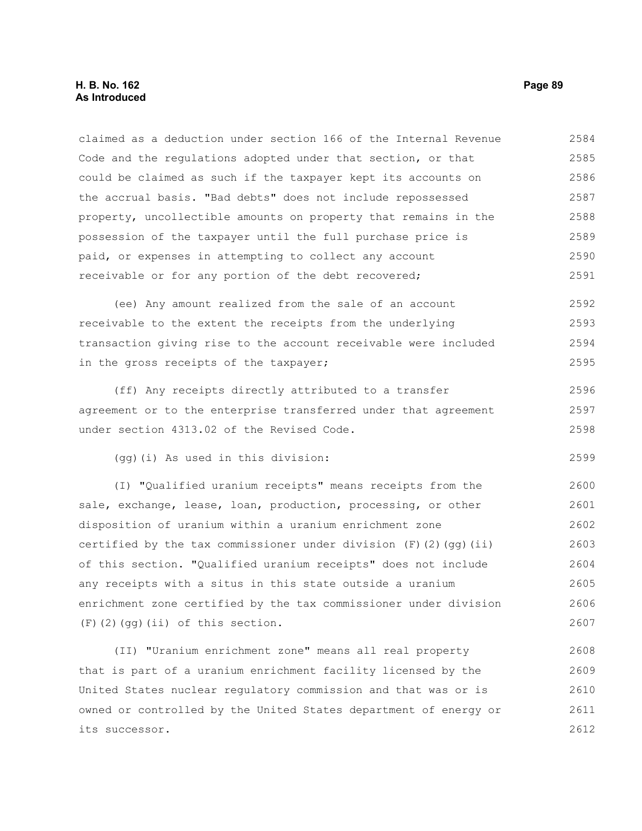### **H. B. No. 162 Page 89 As Introduced**

claimed as a deduction under section 166 of the Internal Revenue Code and the regulations adopted under that section, or that could be claimed as such if the taxpayer kept its accounts on the accrual basis. "Bad debts" does not include repossessed property, uncollectible amounts on property that remains in the possession of the taxpayer until the full purchase price is paid, or expenses in attempting to collect any account receivable or for any portion of the debt recovered; 2584 2585 2586 2587 2588 2589 2590 2591

(ee) Any amount realized from the sale of an account receivable to the extent the receipts from the underlying transaction giving rise to the account receivable were included in the gross receipts of the taxpayer; 2592 2593 2594 2595

(ff) Any receipts directly attributed to a transfer agreement or to the enterprise transferred under that agreement under section 4313.02 of the Revised Code. 2596 2597 2598

(gg)(i) As used in this division:

(I) "Qualified uranium receipts" means receipts from the sale, exchange, lease, loan, production, processing, or other disposition of uranium within a uranium enrichment zone certified by the tax commissioner under division  $(F)$  (2)(qq)(ii) of this section. "Qualified uranium receipts" does not include any receipts with a situs in this state outside a uranium enrichment zone certified by the tax commissioner under division (F)(2)(gg)(ii) of this section. 2600 2601 2602 2603 2604 2605 2606 2607

(II) "Uranium enrichment zone" means all real property that is part of a uranium enrichment facility licensed by the United States nuclear regulatory commission and that was or is owned or controlled by the United States department of energy or its successor. 2608 2609 2610 2611 2612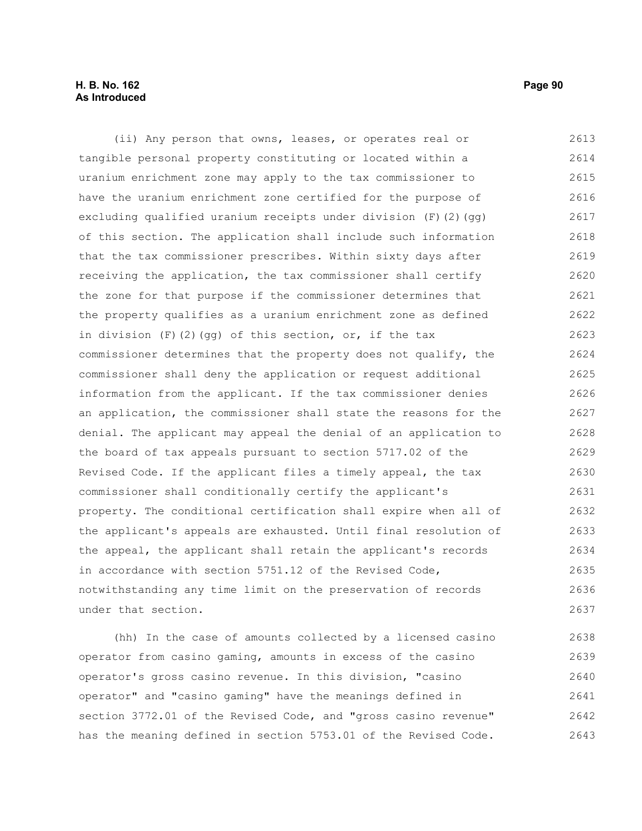# **H. B. No. 162 Page 90 As Introduced**

(ii) Any person that owns, leases, or operates real or tangible personal property constituting or located within a uranium enrichment zone may apply to the tax commissioner to have the uranium enrichment zone certified for the purpose of excluding qualified uranium receipts under division (F)(2)(gg) of this section. The application shall include such information that the tax commissioner prescribes. Within sixty days after receiving the application, the tax commissioner shall certify the zone for that purpose if the commissioner determines that the property qualifies as a uranium enrichment zone as defined in division  $(F)$  (2)(gg) of this section, or, if the tax commissioner determines that the property does not qualify, the commissioner shall deny the application or request additional information from the applicant. If the tax commissioner denies an application, the commissioner shall state the reasons for the denial. The applicant may appeal the denial of an application to the board of tax appeals pursuant to section 5717.02 of the Revised Code. If the applicant files a timely appeal, the tax commissioner shall conditionally certify the applicant's property. The conditional certification shall expire when all of the applicant's appeals are exhausted. Until final resolution of the appeal, the applicant shall retain the applicant's records in accordance with section 5751.12 of the Revised Code, notwithstanding any time limit on the preservation of records under that section. 2613 2614 2615 2616 2617 2618 2619 2620 2621 2622 2623 2624 2625 2626 2627 2628 2629 2630 2631 2632 2633 2634 2635 2636 2637

(hh) In the case of amounts collected by a licensed casino operator from casino gaming, amounts in excess of the casino operator's gross casino revenue. In this division, "casino operator" and "casino gaming" have the meanings defined in section 3772.01 of the Revised Code, and "gross casino revenue" has the meaning defined in section 5753.01 of the Revised Code. 2638 2639 2640 2641 2642 2643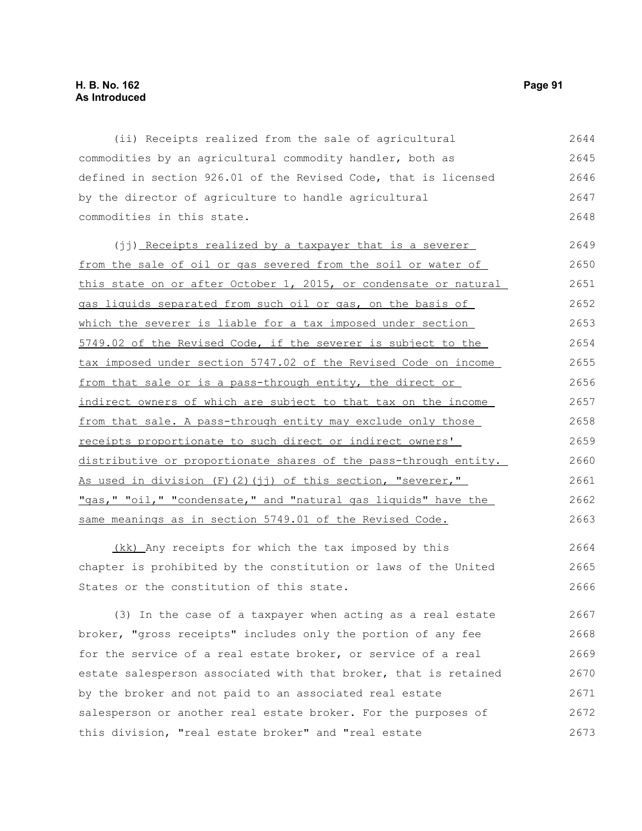(ii) Receipts realized from the sale of agricultural commodities by an agricultural commodity handler, both as defined in section 926.01 of the Revised Code, that is licensed by the director of agriculture to handle agricultural commodities in this state. 2644 2645 2646 2647 2648

(jj) Receipts realized by a taxpayer that is a severer from the sale of oil or gas severed from the soil or water of this state on or after October 1, 2015, or condensate or natural gas liquids separated from such oil or gas, on the basis of which the severer is liable for a tax imposed under section 5749.02 of the Revised Code, if the severer is subject to the tax imposed under section 5747.02 of the Revised Code on income from that sale or is a pass-through entity, the direct or indirect owners of which are subject to that tax on the income from that sale. A pass-through entity may exclude only those receipts proportionate to such direct or indirect owners' distributive or proportionate shares of the pass-through entity. As used in division (F)(2)(jj) of this section, "severer," "gas," "oil," "condensate," and "natural gas liquids" have the same meanings as in section 5749.01 of the Revised Code. 2649 2650 2651 2652 2653 2654 2655 2656 2657 2658 2659 2660 2661 2662 2663

 (kk) Any receipts for which the tax imposed by this chapter is prohibited by the constitution or laws of the United States or the constitution of this state. 2664 2665 2666

(3) In the case of a taxpayer when acting as a real estate broker, "gross receipts" includes only the portion of any fee for the service of a real estate broker, or service of a real estate salesperson associated with that broker, that is retained by the broker and not paid to an associated real estate salesperson or another real estate broker. For the purposes of this division, "real estate broker" and "real estate 2667 2668 2669 2670 2671 2672 2673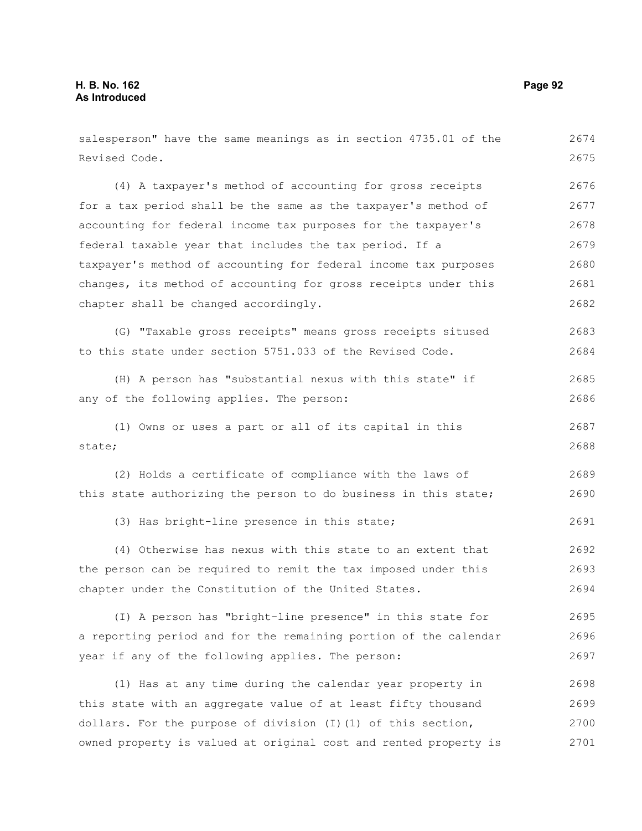| salesperson" have the same meanings as in section 4735.01 of the | 2674 |
|------------------------------------------------------------------|------|
| Revised Code.                                                    | 2675 |
| (4) A taxpayer's method of accounting for gross receipts         | 2676 |
| for a tax period shall be the same as the taxpayer's method of   | 2677 |
| accounting for federal income tax purposes for the taxpayer's    | 2678 |
| federal taxable year that includes the tax period. If a          | 2679 |
| taxpayer's method of accounting for federal income tax purposes  | 2680 |
| changes, its method of accounting for gross receipts under this  | 2681 |
| chapter shall be changed accordingly.                            | 2682 |
| (G) "Taxable gross receipts" means gross receipts sitused        | 2683 |
| to this state under section 5751.033 of the Revised Code.        | 2684 |
| (H) A person has "substantial nexus with this state" if          | 2685 |
| any of the following applies. The person:                        | 2686 |
| (1) Owns or uses a part or all of its capital in this            | 2687 |
| state;                                                           | 2688 |
| (2) Holds a certificate of compliance with the laws of           | 2689 |
| this state authorizing the person to do business in this state;  | 2690 |
| (3) Has bright-line presence in this state;                      | 2691 |
| (4) Otherwise has nexus with this state to an extent that        | 2692 |
| the person can be required to remit the tax imposed under this   | 2693 |
| chapter under the Constitution of the United States.             | 2694 |
| (I) A person has "bright-line presence" in this state for        | 2695 |
| a reporting period and for the remaining portion of the calendar | 2696 |
| year if any of the following applies. The person:                | 2697 |
| (1) Has at any time during the calendar year property in         | 2698 |
| this state with an aggregate value of at least fifty thousand    | 2699 |
| dollars. For the purpose of division (I) (1) of this section,    | 2700 |
| owned property is valued at original cost and rented property is | 2701 |
|                                                                  |      |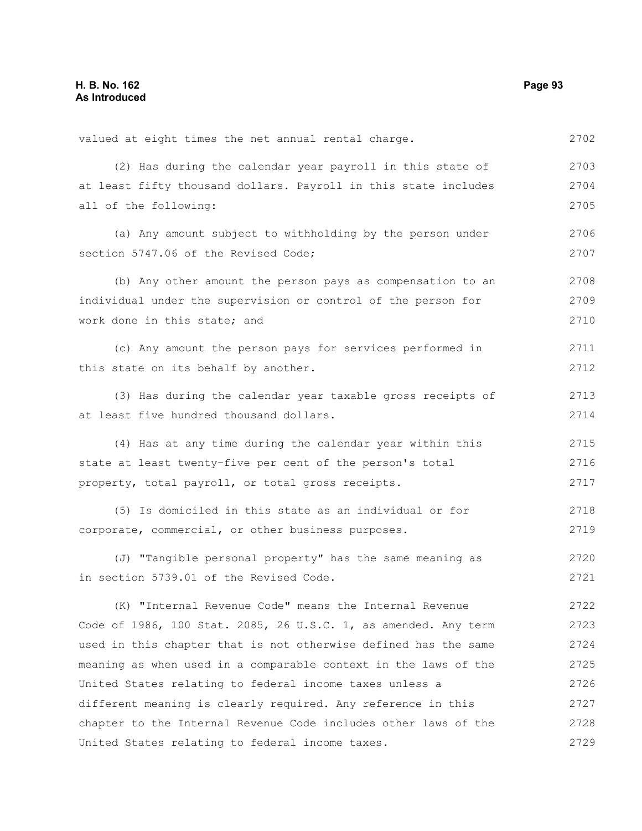| valued at eight times the net annual rental charge.             | 2702 |
|-----------------------------------------------------------------|------|
| (2) Has during the calendar year payroll in this state of       | 2703 |
| at least fifty thousand dollars. Payroll in this state includes | 2704 |
| all of the following:                                           | 2705 |
| (a) Any amount subject to withholding by the person under       | 2706 |
| section 5747.06 of the Revised Code;                            | 2707 |
| (b) Any other amount the person pays as compensation to an      | 2708 |
| individual under the supervision or control of the person for   | 2709 |
| work done in this state; and                                    | 2710 |
| (c) Any amount the person pays for services performed in        | 2711 |
| this state on its behalf by another.                            | 2712 |
| (3) Has during the calendar year taxable gross receipts of      | 2713 |
| at least five hundred thousand dollars.                         | 2714 |
| (4) Has at any time during the calendar year within this        | 2715 |
| state at least twenty-five per cent of the person's total       | 2716 |
| property, total payroll, or total gross receipts.               | 2717 |
| (5) Is domiciled in this state as an individual or for          | 2718 |
| corporate, commercial, or other business purposes.              | 2719 |
| (J) "Tangible personal property" has the same meaning as        | 2720 |
| in section 5739.01 of the Revised Code.                         | 2721 |
| (K) "Internal Revenue Code" means the Internal Revenue          | 2722 |
| Code of 1986, 100 Stat. 2085, 26 U.S.C. 1, as amended. Any term | 2723 |
| used in this chapter that is not otherwise defined has the same | 2724 |
| meaning as when used in a comparable context in the laws of the | 2725 |
| United States relating to federal income taxes unless a         | 2726 |
| different meaning is clearly required. Any reference in this    | 2727 |
| chapter to the Internal Revenue Code includes other laws of the | 2728 |
| United States relating to federal income taxes.                 | 2729 |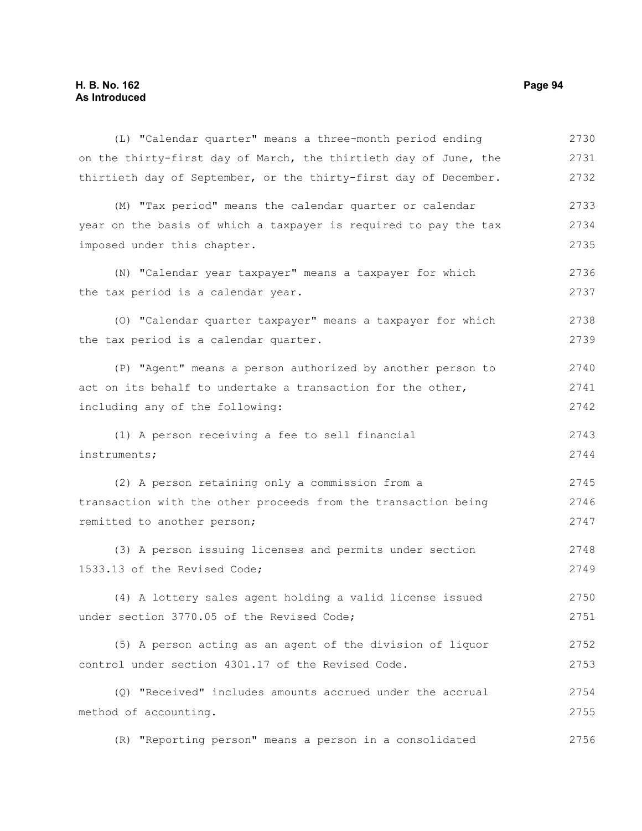(L) "Calendar quarter" means a three-month period ending on the thirty-first day of March, the thirtieth day of June, the thirtieth day of September, or the thirty-first day of December. (M) "Tax period" means the calendar quarter or calendar year on the basis of which a taxpayer is required to pay the tax imposed under this chapter. (N) "Calendar year taxpayer" means a taxpayer for which the tax period is a calendar year. (O) "Calendar quarter taxpayer" means a taxpayer for which the tax period is a calendar quarter. (P) "Agent" means a person authorized by another person to act on its behalf to undertake a transaction for the other, including any of the following: (1) A person receiving a fee to sell financial instruments; (2) A person retaining only a commission from a transaction with the other proceeds from the transaction being remitted to another person; (3) A person issuing licenses and permits under section 1533.13 of the Revised Code; (4) A lottery sales agent holding a valid license issued under section 3770.05 of the Revised Code; (5) A person acting as an agent of the division of liquor control under section 4301.17 of the Revised Code. 2730 2731 2732 2733 2734 2735 2736 2737 2738 2739 2740 2741 2742 2743 2744 2745 2746 2747 2748 2749 2750 2751 2752 2753

(Q) "Received" includes amounts accrued under the accrual method of accounting. 2754 2755

(R) "Reporting person" means a person in a consolidated 2756